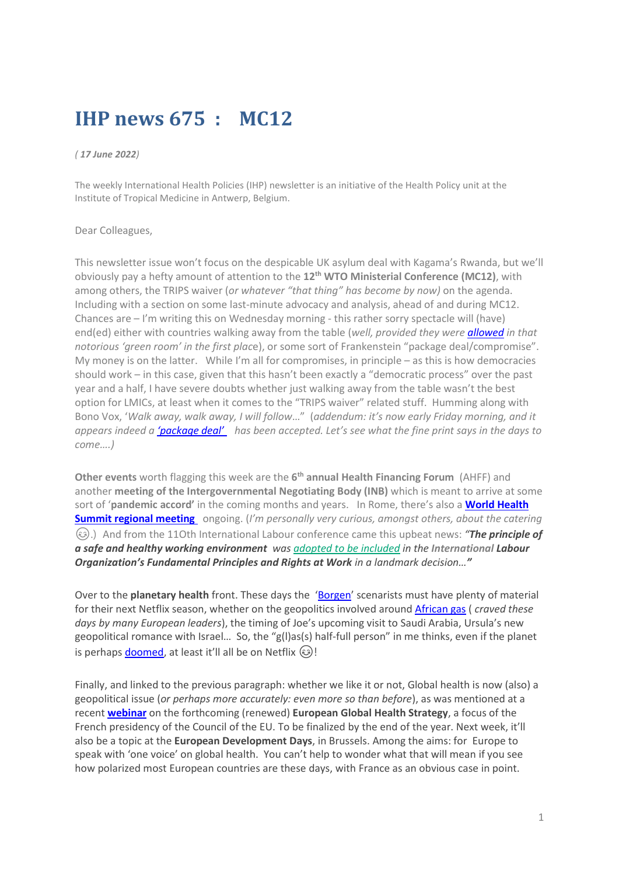# **IHP news 675 : MC12**

#### *( 17 June 2022)*

The weekly International Health Policies (IHP) newsletter is an initiative of the Health Policy unit at the Institute of Tropical Medicine in Antwerp, Belgium.

#### Dear Colleagues,

This newsletter issue won't focus on the despicable UK asylum deal with Kagama's Rwanda, but we'll obviously pay a hefty amount of attention to the **12th WTO Ministerial Conference (MC12)**, with among others, the TRIPS waiver (*or whatever "that thing" has become by now)* on the agenda. Including with a section on some last-minute advocacy and analysis, ahead of and during MC12. Chances are – I'm writing this on Wednesday morning - this rather sorry spectacle will (have) end(ed) either with countries walking away from the table (*well, provided they wer[e allowed](https://twitter.com/SouthEmpowering/status/1536965184392241152) in that notorious 'green room' in the first plac*e), or some sort of Frankenstein "package deal/compromise". My money is on the latter. While I'm all for compromises, in principle – as this is how democracies should work – in this case, given that this hasn't been exactly a "democratic process" over the past year and a half, I have severe doubts whether just walking away from the table wasn't the best option for LMICs, at least when it comes to the "TRIPS waiver" related stuff. Humming along with Bono Vox, '*Walk away, walk away, I will follow*…" (*addendum: it's now early Friday morning, and it appears indeed a ['package deal'](https://twitter.com/CastilloDacio/status/1537634239956516864) has been accepted. Let's see what the fine print says in the days to come….)*

**Other events** worth flagging this week are the 6<sup>th</sup> annual Health Financing Forum (AHFF) and another **meeting of the Intergovernmental Negotiating Body (INB)** which is meant to arrive at some sort of '**pandemic accord'** in the coming months and years. In Rome, there's also a **[World Health](https://www.regionalmeetingwhs2022.com/)  [Summit regional meeting](https://www.regionalmeetingwhs2022.com/)** ongoing. (*I'm personally very curious, amongst others, about the catering* .) And from the 11Oth International Labour conference came this upbeat news: *"The principle of a safe and healthy working environment was adopted to [be included](https://www.ilo.org/global/about-the-ilo/newsroom/news/WCMS_848132/lang--en/index.htm) in the International Labour Organization's Fundamental Principles and Rights at Work in a landmark decision…"*

Over to the **planetary health** front. These days the '[Borgen](https://www.youtube.com/watch?v=pmRJiZ4mFQU)' scenarists must have plenty of material for their next Netflix season, whether on the geopolitics involved around [African gas](https://www.lemonde.fr/economie/article/2022/06/15/le-gaz-africain-une-alternative-aux-importations-russes-pour-les-europeens_6130341_3234.html) ( *craved these days by many European leaders*), the timing of Joe's upcoming visit to Saudi Arabia, Ursula's new geopolitical romance with Israel… So, the "g(l)as(s) half-full person" in me thinks, even if the planet is perhaps [doomed,](https://www.theguardian.com/environment/2022/jun/15/new-data-reveals-extraordinary-global-heating-in-the-arctic) at least it'll all be on Netflix  $\circled{e}!$ 

Finally, and linked to the previous paragraph: whether we like it or not, Global health is now (also) a geopolitical issue (*or perhaps more accurately: even more so than before*), as was mentioned at a recent **[webinar](https://www.youtube.com/watch?v=R_SjJFi8VT4)** on the forthcoming (renewed) **European Global Health Strategy**, a focus of the French presidency of the Council of the EU. To be finalized by the end of the year. Next week, it'll also be a topic at the **European Development Days**, in Brussels. Among the aims: for Europe to speak with 'one voice' on global health. You can't help to wonder what that will mean if you see how polarized most European countries are these days, with France as an obvious case in point.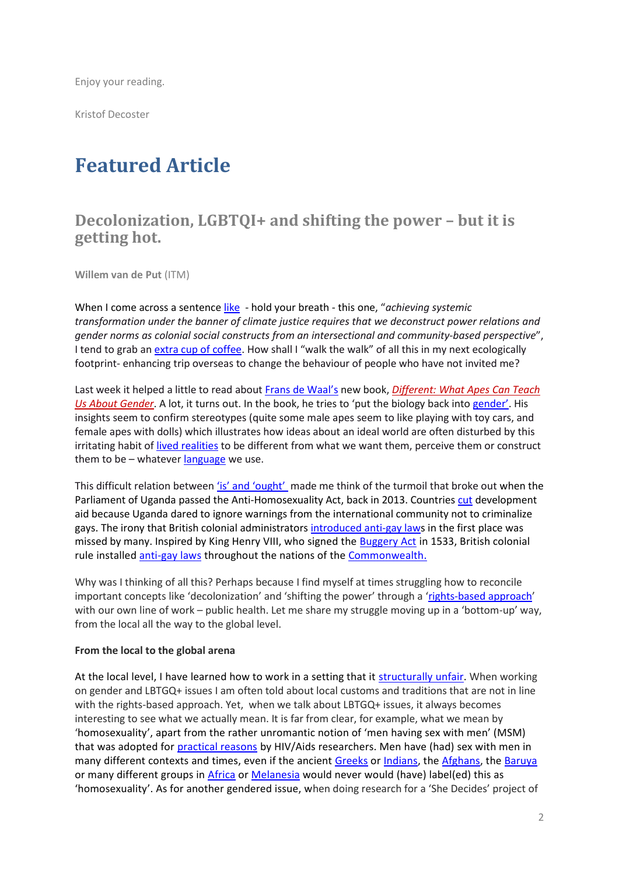Enjoy your reading.

Kristof Decoster

# **Featured Article**

### **Decolonization, LGBTQI+ and shifting the power – but it is getting hot.**

**Willem van de Put** (ITM)

When I come across a sentence [like](https://www.iass-potsdam.de/en/blog/2022/04/colonialism-gender-climate-justice) - hold your breath - this one, "*achieving systemic transformation under the banner of climate justice requires that we deconstruct power relations and gender norms as colonial social constructs from an intersectional and community-based perspective*", I tend to grab a[n extra cup of coffee.](https://www.healthline.com/nutrition/coffee-brain#fatigue) How shall I "walk the walk" of all this in my next ecologically footprint- enhancing trip overseas to change the behaviour of people who have not invited me?

Last week it helped a little to read about Frans [de Waal's](https://www.theguardian.com/science/2022/apr/17/frans-de-waal-in-other-primates-i-dont-find-the-kind-of-intolerance-we-have) new book, *[Different:](https://guardianbookshop.com/different-9781783787302) What Apes Can Teach Us About [Gender](https://guardianbookshop.com/different-9781783787302)*. A lot, it turns out. In the book, he tries to 'put the biology back into [gender](https://www.who.int/health-topics/gender#tab=tab_1)'. His insights seem to confirm stereotypes (quite some male apes seem to like playing with toy cars, and female apes with dolls) which illustrates how ideas about an ideal world are often disturbed by this irritating habit o[f lived realities](file:///C:/Users/wvandeput/Documents/Publications/Gender/9781776142767_OpenAccessPDF.pdf) to be different from what we want them, perceive them or construct them to be – whatever  $language$  we use.

This difficult relation between ['is' and 'ought'](https://www.jstor.org/stable/2379880) made me think of the turmoil that broke out when the [Parliament of Uganda](https://en.wikipedia.org/wiki/Parliament_of_Uganda) passed [the Anti-Homosexuality Act, back](https://en.wikipedia.org/wiki/The_Anti-Homosexuality_Act,_2014#cite_note-1) in 2013. Countries [cut](https://www.euractiv.com/section/development-policy/news/europe-reconsiders-uganda-aid-following-anti-gay-law/) development aid because Uganda dared to ignore warnings from the international community not to criminalize gays. The irony that British colonial administrator[s introduced anti-gay laws](https://theconversation.com/how-britains-colonial-legacy-still-affects-lgbt-politics-around-the-world-95799) in the first place was missed by many. Inspired by King Henry VIII, who signed the [Buggery Act](https://www.stonewall.org.uk/about-us/news/african-sexuality-and-legacy-imported-homophobia) in 1533, British colonial rule installed [anti-gay laws](https://www.taylorfrancis.com/books/mono/10.4324/9781351256209/british-colonialism-criminalization-homosexuality-enze-han-joseph-mahoney) throughout the nations of the [Commonwealth.](https://en.wikipedia.org/wiki/LGBT_rights_in_the_Commonwealth_of_Nations)

Why was I thinking of all this? Perhaps because I find myself at times struggling how to reconcile important concepts like 'decolonization' and 'shifting the power' through a '[rights-based approach](https://ennhri.org/about-nhris/human-rights-based-approach/)' with our own line of work – public health. Let me share my struggle moving up in a 'bottom-up' way, from the local all the way to the global level.

#### **From the local to the global arena**

At the local level, I have learned how to work in a setting that it [structurally unfair.](https://www.ethicsandinternationalaffairs.org/2020/structural-injustice-power-advantage-and-human-rights/) When working on gender and LBTGQ+ issues I am often told about local customs and traditions that are not in line with the rights-based approach. Yet, when we talk about LBTGQ+ issues, it always becomes interesting to see what we actually mean. It is far from clear, for example, what we mean by 'homosexuality', apart from the rather unromantic notion of 'men having sex with men' (MSM) that was adopted for [practical reasons](https://www.ncbi.nlm.nih.gov/pmc/articles/PMC1449332/) by HIV/Aids researchers. Men have (had) sex with men in many different contexts and times, even if the ancient [Greeks](https://www.taylorfrancis.com/chapters/edit/10.4324/9781315784144-2/times-places-homosexuality-ancient-greece-martha-nussbaum) or [Indians,](https://journal.fi/store/article/view/102235) the [Afghans,](https://link.springer.com/chapter/10.1007/978-3-319-64838-5_3) the [Baruya](https://www.goodreads.com/book/show/2597086-the-making-of-great-men) or many different groups in [Africa](https://www.perlego.com/book/2673878/boywives-and-female-husbands-studies-in-african-homosexualities-pdf?utm_source=google&utm_medium=cpc&campaignid=15913700346&adgroupid=133123121755&gclid=CjwKCAjw7vuUBhBUEiwAEdu2pBLsWpI1TSOUOkFocY0C6I6GpQLzg6NkqjpDV4piLIrHttqbG9cUbBoCthYQAvD_BwE) o[r Melanesia](https://books.google.be/books?hl=en&lr=&id=G1444C8A8-kC&oi=fnd&pg=PR7&dq=anthropological+theory+homosexuality&ots=OwXz3CScL8&sig=yDMajulfuVpFQyIYPJ90Lgf8LLk&redir_esc=y#v=onepage&q=anthropological%20theory%20homosexuality&f=false) would never would (have) label(ed) this as 'homosexuality'. As for another gendered issue, when doing research for a 'She Decides' project of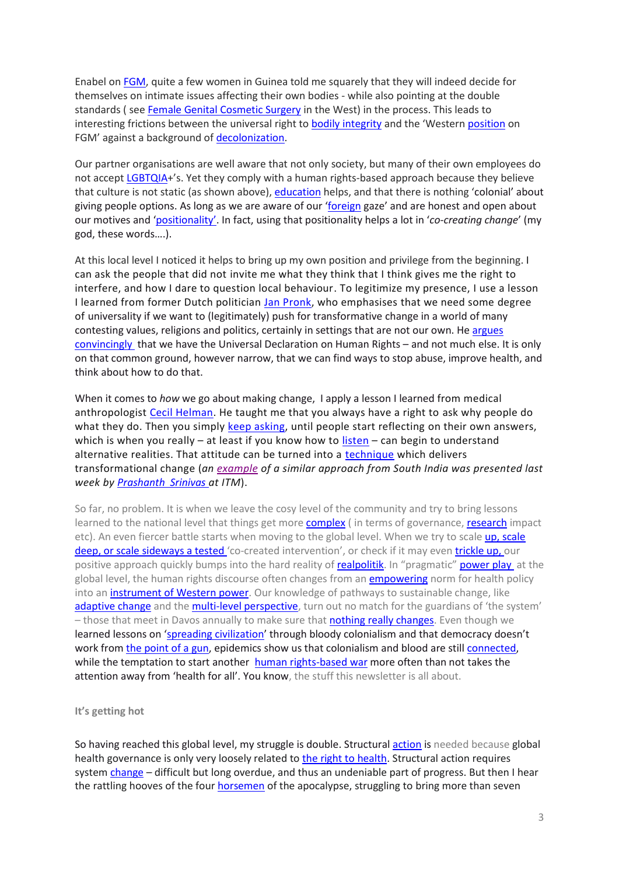Enabel o[n FGM,](https://www.endfgm.eu/female-genital-mutilation/what-is-fgm/) quite a few women in Guinea told me squarely that they will indeed decide for themselves on intimate issues affecting their own bodies - while also pointing at the double standards ( see [Female Genital Cosmetic Surgery](https://www.nature.com/articles/s41443-021-00514-8) in the West) in the process. This leads to interesting frictions between the universal right t[o bodily integrity](https://www.cambridge.org/core/journals/cambridge-law-journal/article/abs/nature-and-significance-of-the-right-to-bodily-integrity/79703F3BE9C5C21BB76338C050E951BC) and the 'Western [position](http://circumcisionharm.org/images-circharm.org/Earp%20Current_critiques_of_WHO_FGM%20IJIR%202020.pdf) on FGM' against a background of [decolonization.](https://journals.lww.com/advancesinnursingscience/Abstract/2016/04000/A_Decolonizing_Methodology_for_Health_Research_on.6.aspx)

Our partner organisations are well aware that not only society, but many of their own employees do not accept [LGBTQIA](https://www.nytimes.com/2019/06/23/world/global-lgbtq-rights.html)+'s. Yet they comply with a human rights-based approach because they believe that culture is not static (as shown above), [education](https://www.publish.csiro.au/sh/SH16145) helps, and that there is nothing 'colonial' about giving people options. As long as we are aware of our '[foreign](https://gh.bmj.com/content/4/5/e002068.full) gaze' and are honest and open about our motives and '[positiona](https://www.researchgate.net/publication/226179133_What_Difference_Does_Difference_Make_Position_and_Privilege_in_the_Field)lity'. In fact, using that positionality helps a lot in '*co-creating change*' (my god, these words….).

At this local level I noticed it helps to bring up my own position and privilege from the beginning. I can ask the people that did not invite me what they think that I think gives me the right to interfere, and how I dare to question local behaviour. To legitimize my presence, I use a lesson I learned from former Dutch politician [Jan Pronk,](https://www.janpronk.nl/index.html) who emphasises that we need some degree of universality if we want to (legitimately) push for transformative change in a world of many contesting values, religions and politics, certainly in settings that are not our own. He [argues](https://www.janpronk.nl/speeches/english/the-geography-of-human-rights.html)  [convincingly](https://www.janpronk.nl/speeches/english/the-geography-of-human-rights.html) that we have the Universal Declaration on Human Rights – and not much else. It is only on that common ground, however narrow, that we can find ways to stop abuse, improve health, and think about how to do that.

When it comes to *how* we go about making change, I apply a lesson I learned from medical anthropologist [Cecil Helman.](https://www.ncbi.nlm.nih.gov/pmc/articles/PMC4222154/) He taught me that you always have a right to ask why people do what they do. Then you simply [keep asking,](https://www.mindtools.com/pages/article/newTMC_5W.htm#:~:text=The%20method%20is%20remarkably%20simple,prevent%20the%20issue%20from%20recurring.) until people start reflecting on their own answers, which is when you really – at least if you know how to  $l$  isten – can begin to understand alternative realities. That attitude can be turned into a [technique](https://www.culture4change.eu/wp-content/uploads/2021/09/C4C-RMM-Reference-Guide_September-2017-1.pdf) which delivers transformational change (*an [example](https://www.ncbi.nlm.nih.gov/pmc/articles/PMC7076281.1/pdf/wellcomeopenres-4-17026.pdf) of a similar approach from South India was presented last week by [Prashanth](https://www.researchgate.net/profile/Prashanth-N-Srinivas) Srinivas at ITM*).

So far, no problem. It is when we leave the cosy level of the community and try to bring lessons learned to the national level that things get more **complex** (in terms of governance, [research](https://journals.plos.org/plosone/article?id=10.1371/journal.pone.0238365) impact etc). An even fiercer battle starts when moving to the global level. When we try to scale up, scale deep, or scale [sideways](https://www.researchgate.net/publication/280394872_Scaling_out_Scaling_up_Scaling_deep_Advancing_systemic_social_innovation_and_the_learning_processes_to_support_it/link/56711cc808ae0d8b0cc2d8e1/download) a tested 'co-created intervention', or check if it may eve[n trickle up,](https://journals.sagepub.com/doi/abs/10.1177/0149206318812951) our positive approach quickly bumps into the hard reality of [realpolitik.](https://www.britannica.com/topic/realpolitik) In "pragmatic" [power play](https://globalizationandhealth.biomedcentral.com/articles/10.1186/s12992-019-0515-5) at the global level, the human rights discourse often changes from an *empowering* norm for health policy into an *instrument of Western power*. Our knowledge of pathways to sustainable change, like [adaptive change](https://www.dlprog.org/opinions/sticky-change-what-international-development-can-learn-from-adaptive-management) and th[e multi-level perspective,](https://www.researchgate.net/publication/336044288_A_Review_of_the_Multi-Level_Perspective) turn out no match for the guardians of 'the system' – those that meet in Davos annually to make sure that **nothing really changes**. Even though we learned lessons on '[spreading civilization](https://scholarblogs.emory.edu/violenceinafrica/sample-page/the-philosophy-of-colonialism-civilization-christianity-and-commerce/)' through bloody colonialism and that democracy doesn't work from the [point of a gun,](https://www.goodreads.com/book/show/245044.At_the_Point_of_a_Gun) epidemics show us that colonialism and blood are still [connected,](https://www.wired.com/story/ebola-epidemic-blood-samples/) while the temptation to start another [human rights-based war](https://www.taylorfrancis.com/chapters/edit/10.4324/9781315239880-13/war-humanitarian-intervention-human-rights-richard-norman) more often than not takes the attention away from 'health for all'. You know, the stuff this newsletter is all about.

#### **It's getting hot**

So having reached this global level, my struggle is double. Structural [action](https://www.ncbi.nlm.nih.gov/pmc/articles/PMC5759713/) is needed because global health governance is only very loosely related t[o the right to health.](https://onlinelibrary.wiley.com/doi/full/10.1002/gch2.1022) Structural action requires system [change](https://www.greenbiz.com/article/what-does-system-change-mean-anyway) – difficult but long overdue, and thus an undeniable part of progress. But then I hear the rattling hooves of the four [horsemen](https://www.jw.org/en/library/magazines/watchtower-no3-2017-may/who-are-the-four-horsemen/) of the apocalypse, struggling to bring more than seven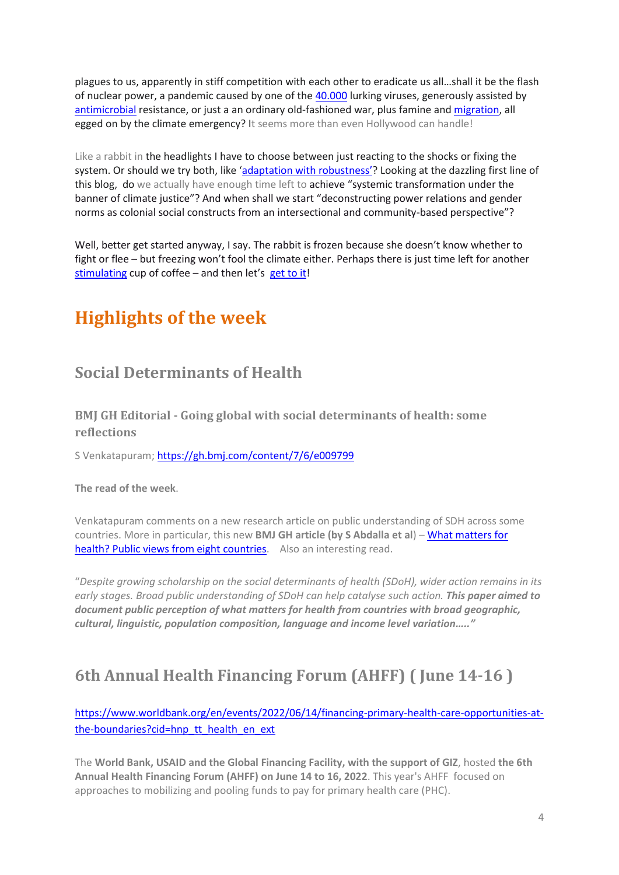plagues to us, apparently in stiff competition with each other to eradicate us all…shall it be the flash of nuclear power, a pandemic caused by one of the [40.000](https://www.theatlantic.com/science/archive/2022/04/how-climate-change-impacts-pandemics/629699/%20%20climate%20change%20is%20creating%20a%20new%20age%20of%20infectious%20dangers.) lurking viruses, generously assisted by [antimicrobial](https://www.ox.ac.uk/news/2022-01-20-estimated-12-million-people-died-2019-antibiotic-resistant-bacterial-infections#:~:text=First%20comprehensive%20analysis%20of%20global,role%20in%204.95%20million%20deaths.) resistance, or just a an ordinary old-fashioned war, plus famine an[d migration,](https://reliefweb.int/report/world/report-impact-climate-change-migration-october-2021) all egged on by the climate emergency? It seems more than even Hollywood can handle!

Like a rabbit in the headlights I have to choose between just reacting to the shocks or fixing the system. Or should we try both, like ['adaptation with robustness'](https://www.academia.edu/52027079/Adaptation_with_robustness_the_case_for_clarity_on_the_use_of_resilience_in_health_systems_and_global_health)? Looking at the dazzling first line of this blog, do we actually have enough time left to achieve "systemic transformation under the banner of climate justice"? And when shall we start "deconstructing power relations and gender norms as colonial social constructs from an intersectional and community-based perspective"?

Well, better get started anyway, I say. The rabbit is frozen because she doesn't know whether to fight or flee – but freezing won't fool the climate either. Perhaps there is just time left for another [stimulating](https://www.sciencedirect.com/science/article/pii/S1043276014001283) cup of coffee – and then let's [get to it!](https://www.youtube.com/watch?v=lcNkanA53Fc)

# **Highlights of the week**

# **Social Determinants of Health**

**BMJ GH Editorial - Going global with social determinants of health: some reflections**

S Venkatapuram;<https://gh.bmj.com/content/7/6/e009799>

**The read of the week**.

Venkatapuram comments on a new research article on public understanding of SDH across some countries. More in particular, this new **BMJ GH article (by S Abdalla et al**) – [What matters for](https://gh.bmj.com/content/7/6/e008858)  [health? Public views from eight countries.](https://gh.bmj.com/content/7/6/e008858) Also an interesting read.

"*Despite growing scholarship on the social determinants of health (SDoH), wider action remains in its early stages. Broad public understanding of SDoH can help catalyse such action. This paper aimed to document public perception of what matters for health from countries with broad geographic, cultural, linguistic, population composition, language and income level variation….."*

# **6th Annual Health Financing Forum (AHFF) ( June 14-16 )**

[https://www.worldbank.org/en/events/2022/06/14/financing-primary-health-care-opportunities-at](https://www.worldbank.org/en/events/2022/06/14/financing-primary-health-care-opportunities-at-the-boundaries?cid=hnp_tt_health_en_ext)[the-boundaries?cid=hnp\\_tt\\_health\\_en\\_ext](https://www.worldbank.org/en/events/2022/06/14/financing-primary-health-care-opportunities-at-the-boundaries?cid=hnp_tt_health_en_ext)

The **World Bank, USAID and the Global Financing Facility, with the support of GIZ**, hosted **the 6th Annual Health Financing Forum (AHFF) on June 14 to 16, 2022**. This year's AHFF focused on approaches to mobilizing and pooling funds to pay for primary health care (PHC).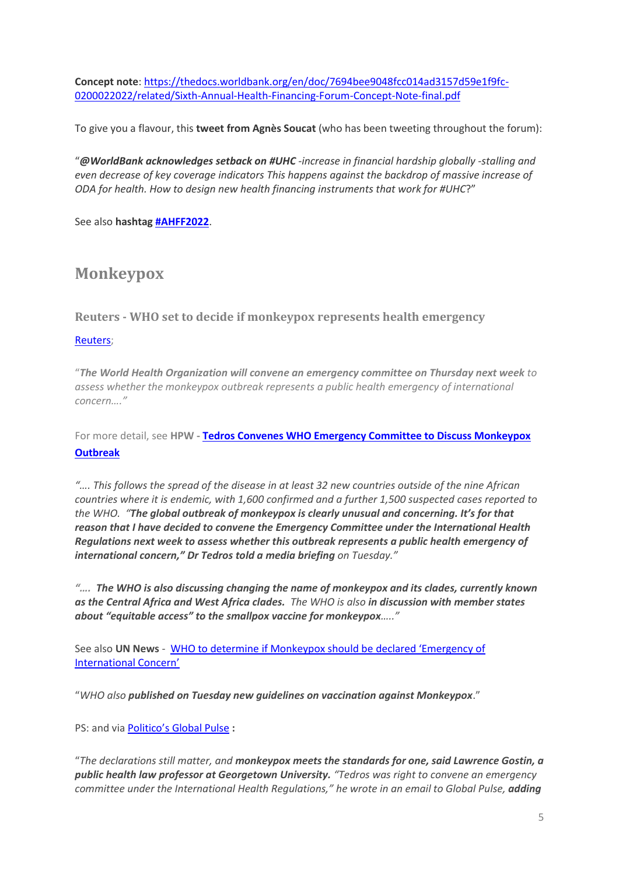**Concept note**[: https://thedocs.worldbank.org/en/doc/7694bee9048fcc014ad3157d59e1f9fc-](https://thedocs.worldbank.org/en/doc/7694bee9048fcc014ad3157d59e1f9fc-0200022022/related/Sixth-Annual-Health-Financing-Forum-Concept-Note-final.pdf)[0200022022/related/Sixth-Annual-Health-Financing-Forum-Concept-Note-final.pdf](https://thedocs.worldbank.org/en/doc/7694bee9048fcc014ad3157d59e1f9fc-0200022022/related/Sixth-Annual-Health-Financing-Forum-Concept-Note-final.pdf)

To give you a flavour, this **tweet from Agnès Soucat** (who has been tweeting throughout the forum):

"*[@WorldBank](https://twitter.com/WorldBank) acknowledges setback on [#UHC](https://twitter.com/hashtag/UHC?src=hashtag_click) -increase in financial hardship globally -stalling and even decrease of key coverage indicators This happens against the backdrop of massive increase of ODA for health. How to design new health financing instruments that work fo[r #UHC](https://twitter.com/hashtag/UHC?src=hashtag_click)*?"

See also **hashta[g #AHFF2022](https://twitter.com/hashtag/AHFF2022?src=hashtag_click)**.

### **Monkeypox**

**Reuters - WHO set to decide if monkeypox represents health emergency**

#### [Reuters;](https://www.reuters.com/business/healthcare-pharmaceuticals/who-set-decide-if-monkeypox-represents-health-emergency-2022-06-14/?taid=62a8947e802cad0001f8b163&utm_campaign=trueanthem&utm_medium=trueanthem&utm_source=twitter)

"*The World Health Organization will convene an emergency committee on Thursday next week to assess whether the monkeypox outbreak represents a public health emergency of international concern…."*

For more detail, see **HPW - [Tedros Convenes WHO Emergency Committee to Discuss Monkeypox](https://healthpolicy-watch.news/tedros-convenes-who-emergency-committee-for-monkeypox/)  [Outbreak](https://healthpolicy-watch.news/tedros-convenes-who-emergency-committee-for-monkeypox/)**

*"…. This follows the spread of the disease in at least 32 new countries outside of the nine African countries where it is endemic, with 1,600 confirmed and a further 1,500 suspected cases reported to the WHO. "The global outbreak of monkeypox is clearly unusual and concerning. It's for that reason that I have decided to convene the Emergency Committee under the International Health Regulations next week to assess whether this outbreak represents a public health emergency of international concern," Dr Tedros told a media briefing on Tuesday."*

*"…. The WHO is also discussing changing the name of monkeypox and its clades, currently known as the Central Africa and West Africa clades. The WHO is also in discussion with member states about "equitable access" to the smallpox vaccine for monkeypox….."*

See also **UN News** - [WHO to determine if Monkeypox should be](https://news.un.org/en/story/2022/06/1120392) declared 'Emergency of I[nternational Concern'](https://news.un.org/en/story/2022/06/1120392)

"*WHO also published on Tuesday new guidelines on vaccination against Monkeypox*."

PS: and via [Politico's Global Pulse](https://www.politico.com/newsletters/global-pulse/2022/06/16/a-day-late-and-a-dollar-short-on-monkeypox-00039931) **:** 

"*The declarations still matter, and monkeypox meets the standards for one, said Lawrence Gostin, a public health law professor at Georgetown University. "Tedros was right to convene an emergency committee under the International Health Regulations," he wrote in an email to Global Pulse, adding*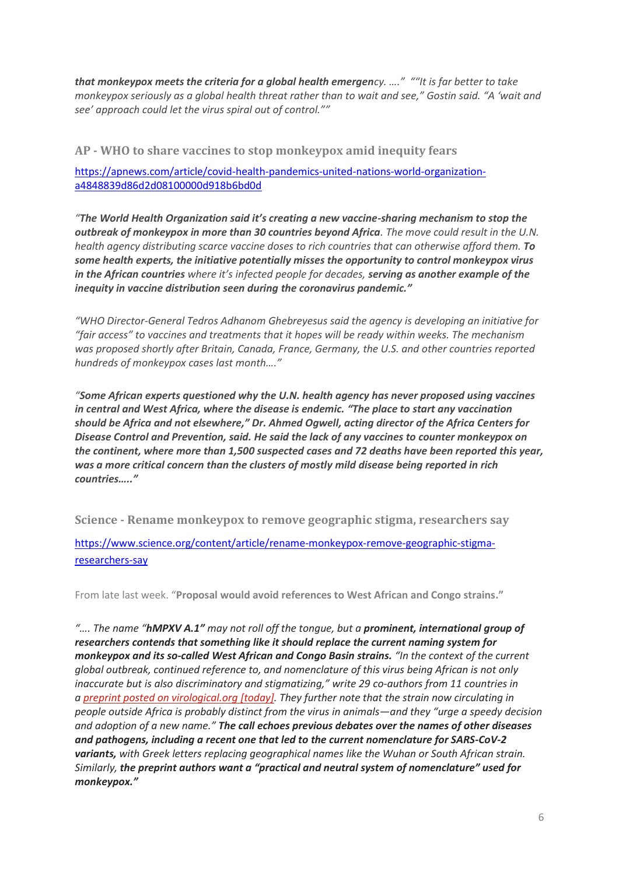*that monkeypox meets the criteria for a global health emergency. …." ""It is far better to take monkeypox seriously as a global health threat rather than to wait and see," Gostin said. "A 'wait and see' approach could let the virus spiral out of control.""*

**AP - WHO to share vaccines to stop monkeypox amid inequity fears**

[https://apnews.com/article/covid-health-pandemics-united-nations-world-organization](https://apnews.com/article/covid-health-pandemics-united-nations-world-organization-a4848839d86d2d08100000d918b6bd0d)[a4848839d86d2d08100000d918b6bd0d](https://apnews.com/article/covid-health-pandemics-united-nations-world-organization-a4848839d86d2d08100000d918b6bd0d)

*"The World Health Organization said it's creating a new vaccine-sharing mechanism to stop the outbreak of [monkeypox](https://apnews.com/article/monkeypox-what-to-know-d62250e909202943247552815dadb1de) in more than 30 countries beyond Africa. The move could result in the U.N. health agency distributing scarce vaccine doses to rich countries that can otherwise afford them. To some health experts, the initiative potentially misses the opportunity to control monkeypox virus in the African countries where it's infected people for decades, serving as another example of the inequity in vaccine distribution seen during [the coronavirus pandemic.](https://apnews.com/hub/coronavirus-pandemic)"*

*"WHO Director-General Tedros Adhanom Ghebreyesus said the agency is developing an initiative for "fair access" to vaccines and treatments that it hopes will be ready within weeks. The mechanism was proposed shortly after Britain, Canada, France, Germany, the U.S. and other countries reported hundreds of monkeypox cases last month…."*

*"Some African experts questioned why the U.N. health agency has never proposed using vaccines in central and West Africa, where the disease is endemic. "The place to start any vaccination should be Africa and not elsewhere," Dr. Ahmed Ogwell, acting director of the Africa Centers for Disease Control and Prevention, said. He said the lack of any vaccines to counter monkeypox on the continent, where more than 1,500 suspected cases and 72 deaths have been reported this year, was a more critical concern than the clusters of mostly mild disease being reported in rich countries….."*

**Science - Rename monkeypox to remove geographic stigma, researchers say**

[https://www.science.org/content/article/rename-monkeypox-remove-geographic-stigma](https://www.science.org/content/article/rename-monkeypox-remove-geographic-stigma-researchers-say)[researchers-say](https://www.science.org/content/article/rename-monkeypox-remove-geographic-stigma-researchers-say)

From late last week. "**Proposal would avoid references to West African and Congo strains."**

*"…. The name "hMPXV A.1" may not roll off the tongue, but a prominent, international group of researchers contends that something like it should replace the current naming system for monkeypox and its so-called West African and Congo Basin strains. "In the context of the current global outbreak, continued reference to, and nomenclature of this virus being African is not only inaccurate but is also discriminatory and stigmatizing," write 29 co-authors from 11 countries in a [preprint posted on virological.org \[today\]](https://virological.org/t/urgent-need-for-a-non-discriminatory-and-non-stigmatizing-nomenclature-for-monkeypox-virus/853). They further note that the strain now circulating in people outside Africa is probably distinct from the virus in animals—and they "urge a speedy decision and adoption of a new name." The call echoes previous debates over the names of other diseases and pathogens, including a recent one that led to the current nomenclature for SARS-CoV-2 variants, with Greek letters replacing geographical names like the Wuhan or South African strain. Similarly, the preprint authors want a "practical and neutral system of nomenclature" used for monkeypox."*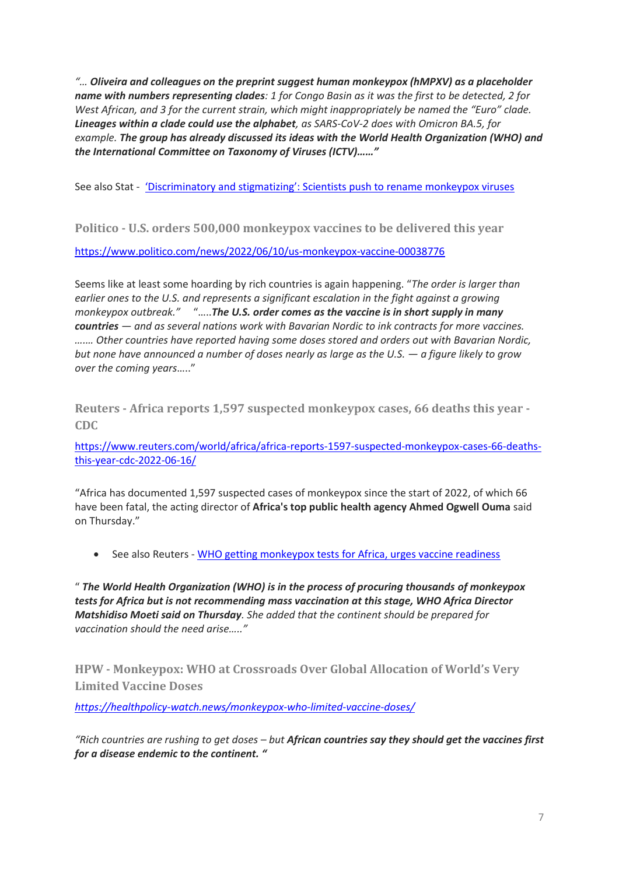*"… Oliveira and colleagues on the preprint suggest human monkeypox (hMPXV) as a placeholder name with numbers representing clades: 1 for Congo Basin as it was the first to be detected, 2 for West African, and 3 for the current strain, which might inappropriately be named the "Euro" clade. Lineages within a clade could use the alphabet, as SARS-CoV-2 does with Omicron BA.5, for example. The group has already discussed its ideas with the World Health Organization (WHO) and the International Committee on Taxonomy of Viruses (ICTV)……"*

See also Stat - ['Discriminatory and stigmatizing': Scientists push to rename monkeypox viruses](https://www.statnews.com/2022/06/11/monkeypox-virus-name-stigma/)

**Politico - U.S. orders 500,000 monkeypox vaccines to be delivered this year**

<https://www.politico.com/news/2022/06/10/us-monkeypox-vaccine-00038776>

Seems like at least some hoarding by rich countries is again happening. "*The order is larger than earlier ones to the U.S. and represents a significant escalation in the fight against a growing monkeypox outbreak."* "…..*The U.S. order comes as the vaccine is in short supply in many countries — and as several nations work with Bavarian Nordic to ink contracts for more vaccines. ….… Other countries have reported having some doses stored and orders out with Bavarian Nordic, but none have announced a number of doses nearly as large as the U.S. — a figure likely to grow over the coming years*….."

**Reuters - Africa reports 1,597 suspected monkeypox cases, 66 deaths this year - CDC**

[https://www.reuters.com/world/africa/africa-reports-1597-suspected-monkeypox-cases-66-deaths](https://www.reuters.com/world/africa/africa-reports-1597-suspected-monkeypox-cases-66-deaths-this-year-cdc-2022-06-16/)[this-year-cdc-2022-06-16/](https://www.reuters.com/world/africa/africa-reports-1597-suspected-monkeypox-cases-66-deaths-this-year-cdc-2022-06-16/)

"Africa has documented 1,597 suspected cases of monkeypox since the start of 2022, of which 66 have been fatal, the acting director of **Africa's top public health agency Ahmed Ogwell Ouma** said on Thursday."

• See also Reuters - [WHO getting monkeypox tests for Africa, urges vaccine readiness](https://www.reuters.com/business/healthcare-pharmaceuticals/who-getting-monkeypox-tests-africa-urges-vaccine-readiness-2022-06-16/?taid=62ab144065730a00012df427&utm_campaign=trueanthem&utm_medium=trueanthem&utm_source=twitter) 

" *The World Health Organization (WHO) is in the process of procuring thousands of monkeypox tests for Africa but is not recommending mass vaccination at this stage, WHO Africa Director Matshidiso Moeti said on Thursday. She added that the continent should be prepared for vaccination should the need arise….."*

**HPW - Monkeypox: WHO at Crossroads Over Global Allocation of World's Very Limited Vaccine Doses**

*<https://healthpolicy-watch.news/monkeypox-who-limited-vaccine-doses/>*

*"Rich countries are rushing to get doses – but African countries say they should get the vaccines first for a disease endemic to the continent. "*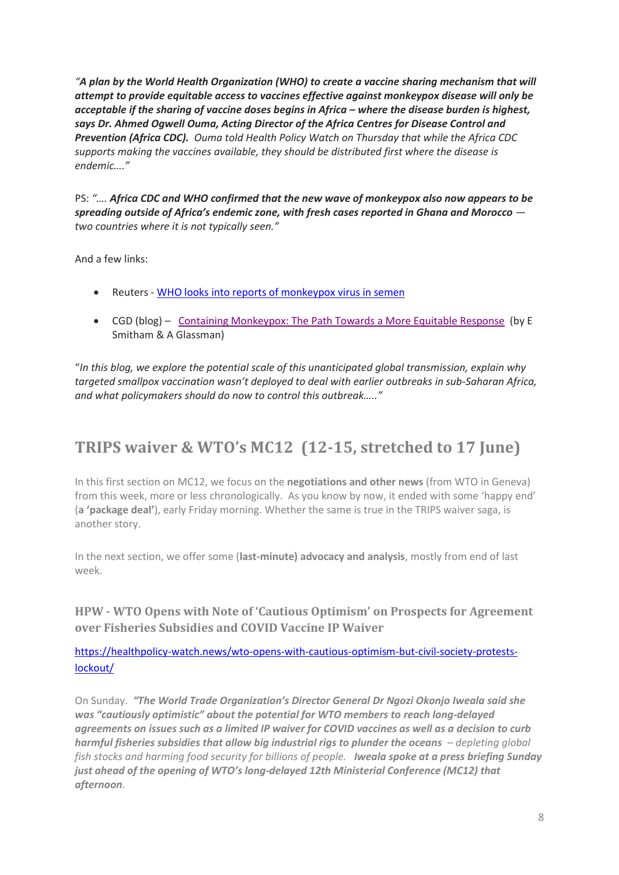*"A plan by the World Health Organization (WHO) to create a vaccine sharing mechanism that will attempt to provide equitable access to vaccines effective against monkeypox disease will only be acceptable if the sharing of vaccine doses begins in Africa – where the disease burden is highest, says Dr. Ahmed Ogwell Ouma, Acting Director of the Africa Centres for Disease Control and Prevention (Africa CDC). Ouma told Health Policy Watch on Thursday that while the Africa CDC supports making the vaccines available, they should be distributed first where the disease is endemic…."*

PS: ".... Africa CDC and WHO confirmed that the new wave of monkeypox also now appears to be *spreading outside of Africa's endemic zone, with fresh cases reported in Ghana and Morocco two countries where it is not typically seen."*

And a few links:

- Reuters WHO looks [into reports of monkeypox virus in semen](https://www.reuters.com/business/healthcare-pharmaceuticals/who-looks-into-reports-monkeypox-virus-semen-2022-06-15/?taid=62a9b8357385bc0001a6d700&utm_campaign=trueanthem&utm_medium=trueanthem&utm_source=twitter)
- CGD (blog) [Containing Monkeypox: The Path Towards a More Equitable Response](https://www.cgdev.org/blog/containing-monkeypox-path-towards-more-equitable-response) (by E Smitham & A Glassman)

"*In this blog, we explore the potential scale of this unanticipated global transmission, explain why targeted smallpox vaccination wasn't deployed to deal with earlier outbreaks in sub-Saharan Africa, and what policymakers should do now to control this outbreak….."*

# **TRIPS waiver & WTO's MC12 (12-15, stretched to 17 June)**

In this first section on MC12, we focus on the **negotiations and other news** (from WTO in Geneva) from this week, more or less chronologically. As you know by now, it ended with some 'happy end' (**a 'package deal'**), early Friday morning. Whether the same is true in the TRIPS waiver saga, is another story.

In the next section, we offer some (**last-minute) advocacy and analysis**, mostly from end of last week.

**HPW - WTO Opens with Note of 'Cautious Optimism' on Prospects for Agreement over Fisheries Subsidies and COVID Vaccine IP Waiver**

[https://healthpolicy-watch.news/wto-opens-with-cautious-optimism-but-civil-society-protests](https://healthpolicy-watch.news/wto-opens-with-cautious-optimism-but-civil-society-protests-lockout/)[lockout/](https://healthpolicy-watch.news/wto-opens-with-cautious-optimism-but-civil-society-protests-lockout/)

On Sunday. *"The World Trade Organization's Director General Dr Ngozi Okonjo Iweala said she was "cautiously optimistic" about the potential for WTO members to reach long-delayed agreements on issues such as a limited IP waiver for COVID vaccines as well as a decision to curb harmful fisheries subsidies that allow big industrial rigs to plunder the oceans – depleting global fish stocks and harming food security for billions of people. Iweala spoke at a press briefing Sunday just ahead of the opening of WTO's long-delayed 12th Ministerial Conference (MC12) that afternoon.*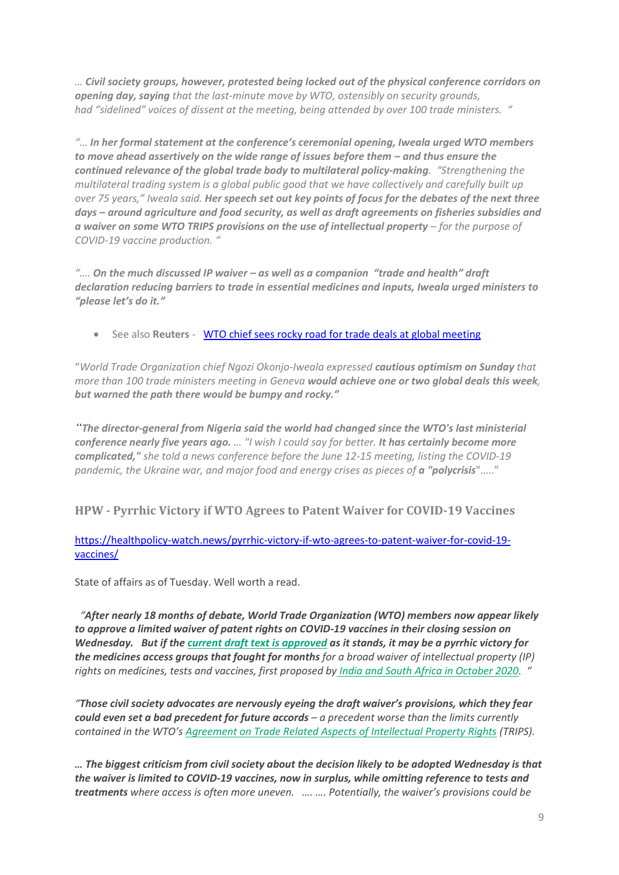*… Civil society groups, however, protested being locked out of the physical conference corridors on opening day, saying that the last-minute move by WTO, ostensibly on security grounds, had ["sidelined"](https://ourworldisnotforsale.net/2022_retract_access) voices of dissent at the meeting, being attended by over 100 trade ministers. "*

*"… In her formal statement at the conference's ceremonial opening, Iweala urged WTO members to move ahead assertively on the wide range of issues before them – and thus ensure the continued relevance of the global trade body to multilateral policy-making. "Strengthening the multilateral trading system is a global public good that we have collectively and carefully built up over 75 years," Iweala said. Her speech set out key points of focus for the debates of the next three days – around agriculture and food security, as well as draft agreements on fisheries subsidies and a waiver on some WTO TRIPS provisions on the use of intellectual property – for the purpose of COVID-19 vaccine production. "*

*"…. On the much discussed IP waiver – as well as a companion "trade and health" draft declaration reducing barriers to trade in essential medicines and inputs, Iweala urged ministers to "please let's do it."*

• See also **Reuters** - **[WTO chief sees rocky road for trade deals at global meeting](https://www.reuters.com/world/wto-chief-seeks-one-or-two-deals-warns-road-will-be-rocky-2022-06-12/)** 

"*World Trade Organization chief Ngozi Okonjo-Iweala expressed cautious optimism on Sunday that more than 100 trade ministers meeting in Geneva would achieve one or two global deals this week, but warned the path there would be bumpy and rocky."*

*"The director-general from Nigeria said the world had changed since the WTO's last ministerial conference nearly five years ago. […](https://www.reuters.com/world/what-could-wto-ministerial-conference-achieve-2022-06-03/) "I wish I could say for better. It has certainly become more complicated," she told a news conference before the June 12-15 meeting, listing the COVID-19 pandemic, the Ukraine war, and major food and energy crises as pieces of a "polycrisis"....."* 

### **HPW - Pyrrhic Victory if WTO Agrees to Patent Waiver for COVID-19 Vaccines**

#### [https://healthpolicy-watch.news/pyrrhic-victory-if-wto-agrees-to-patent-waiver-for-covid-19](https://healthpolicy-watch.news/pyrrhic-victory-if-wto-agrees-to-patent-waiver-for-covid-19-vaccines/) [vaccines/](https://healthpolicy-watch.news/pyrrhic-victory-if-wto-agrees-to-patent-waiver-for-covid-19-vaccines/)

State of affairs as of Tuesday. Well worth a read.

 *"After nearly 18 months of debate, World Trade Organization (WTO) members now appear likely to approve a limited waiver of patent rights on COVID-19 vaccines in their closing session on Wednesday. But if the [current draft text is approved](https://docs.wto.org/dol2fe/Pages/SS/directdoc.aspx?filename=q:/WT/MIN22/W15.pdf&Open=True) as it stands, it may be a pyrrhic victory for the medicines access groups that fought for months for a broad waiver of intellectual property (IP) rights on medicines, tests and vaccines, first proposed by [India and South Africa in October 2020.](https://healthpolicy-watch.news/legal-action-against-countries-not-backing-trips-waiver-for-covid-19-vaccine-roll-out-say-activists/) "*

*"Those civil society advocates are nervously eyeing the draft waiver's provisions, which they fear could even set a bad precedent for future accords – a precedent worse than the limits currently contained in the WTO's [Agreement on Trade Related Aspects of Intellectual Property Rights](https://www.wto.org/english/docs_e/legal_e/27-trips_01_e.htm) (TRIPS).*

*… The biggest criticism from civil society about the decision likely to be adopted Wednesday is that the waiver is limited to COVID-19 vaccines, now in surplus, while omitting reference to tests and treatments where access is often more uneven. …. …. Potentially, the waiver's provisions could be*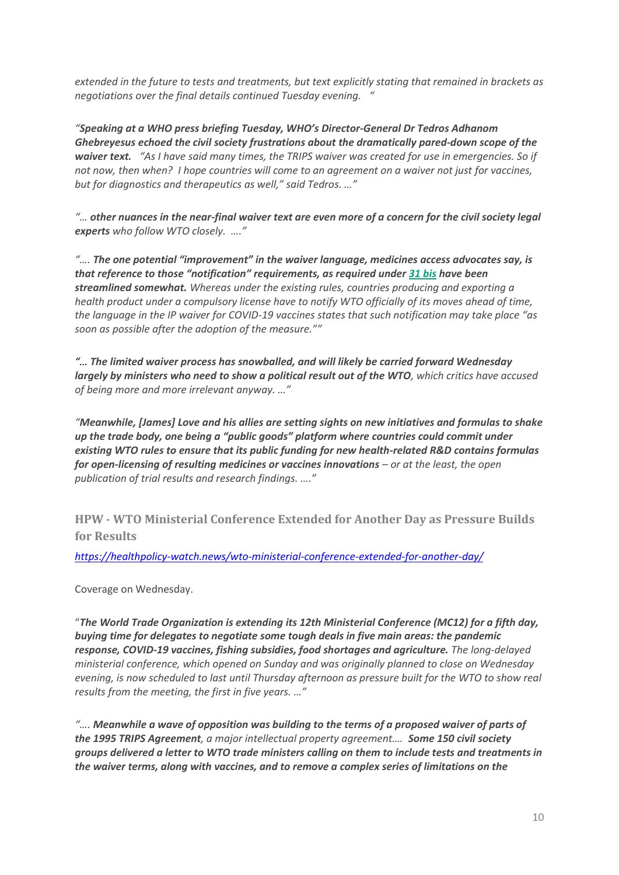*extended in the future to tests and treatments, but text explicitly stating that remained in brackets as negotiations over the final details continued Tuesday evening. "*

*"Speaking at a WHO press briefing Tuesday, WHO's Director-General Dr Tedros Adhanom Ghebreyesus echoed the civil society frustrations about the dramatically pared-down scope of the waiver text. "As I have said many times, the TRIPS waiver was created for use in emergencies. So if not now, then when? I hope countries will come to an agreement on a waiver not just for vaccines, but for diagnostics and therapeutics as well," said Tedros. …"*

*"… other nuances in the near-final waiver text are even more of a concern for the civil society legal experts who follow WTO closely. …."*

*"…. The one potential "improvement" in the waiver language, medicines access advocates say, is that reference to those "notification" requirements, as required under [31 bis](https://www.wto.org/english/tratop_e/trips_e/wtl641_e.htm) have been streamlined somewhat. Whereas under the existing rules, countries producing and exporting a health product under a compulsory license have to notify WTO officially of its moves ahead of time, the language in the IP waiver for COVID-19 vaccines states that such notification may take place "as soon as possible after the adoption of the measure.""*

*"… The limited waiver process has snowballed, and will likely be carried forward Wednesday largely by ministers who need to show a political result out of the WTO, which critics have accused of being more and more irrelevant anyway. …"*

*"Meanwhile, [James] Love and his allies are setting sights on new initiatives and formulas to shake up the trade body, one being a "public goods" platform where countries could commit under existing WTO rules to ensure that its public funding for new health-related R&D contains formulas for open-licensing of resulting medicines or vaccines innovations – or at the least, the open publication of trial results and research findings. …."*

**HPW - WTO Ministerial Conference Extended for Another Day as Pressure Builds for Results**

*<https://healthpolicy-watch.news/wto-ministerial-conference-extended-for-another-day/>*

Coverage on Wednesday.

"*The World Trade Organization is extending its 12th Ministerial Conference (MC12) for a fifth day, buying time for delegates to negotiate some tough deals in five main areas: the pandemic response, COVID-19 vaccines, fishing subsidies, food shortages and agriculture. The long-delayed ministerial conference, which opened on Sunday and was originally planned to close on Wednesday evening, is now scheduled to last until Thursday afternoon as pressure built for the WTO to show real results from the meeting, the first in five years. …"*

*"…. Meanwhile a wave of opposition was building to the terms of a proposed waiver of parts of the 1995 TRIPS Agreement, a major intellectual property agreement…. Some 150 civil society groups delivered a letter to WTO trade ministers calling on them to include tests and treatments in the waiver terms, along with vaccines, and to remove a complex series of limitations on the*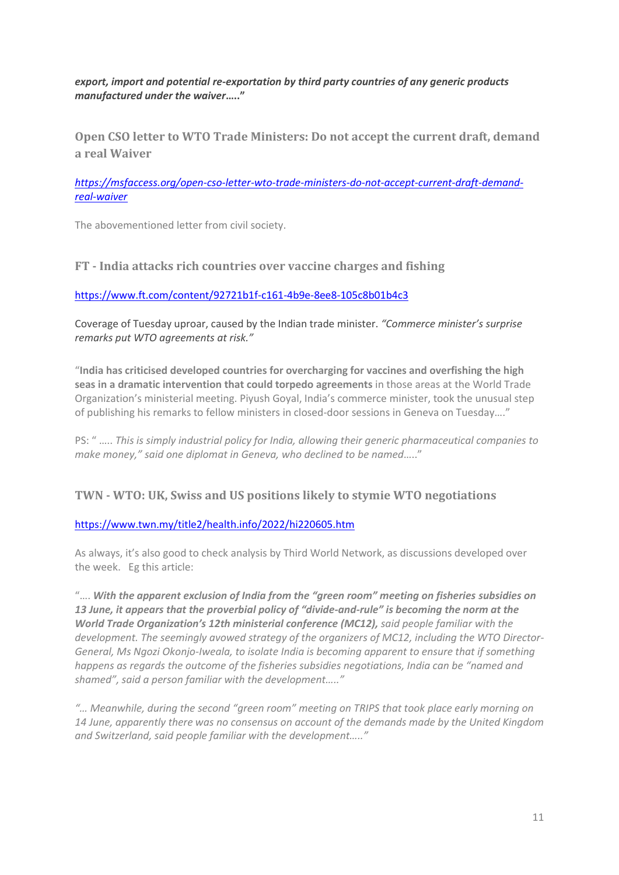*export, import and potential re-exportation by third party countries of any generic products manufactured under the waiver***….."**

**Open CSO letter to WTO Trade Ministers: Do not accept the current draft, demand a real Waiver**

#### *[https://msfaccess.org/open-cso-letter-wto-trade-ministers-do-not-accept-current-draft-demand](https://msfaccess.org/open-cso-letter-wto-trade-ministers-do-not-accept-current-draft-demand-real-waiver)[real-waiver](https://msfaccess.org/open-cso-letter-wto-trade-ministers-do-not-accept-current-draft-demand-real-waiver)*

The abovementioned letter from civil society.

#### **FT - India attacks rich countries over vaccine charges and fishing**

<https://www.ft.com/content/92721b1f-c161-4b9e-8ee8-105c8b01b4c3>

Coverage of Tuesday uproar, caused by the Indian trade minister. *"Commerce minister's surprise remarks put WTO agreements at risk."*

"**India has criticised developed countries for overcharging for vaccines and overfishing the high seas in a dramatic intervention that could torpedo agreements** in those areas at the World Trade Organization's ministerial meeting. Piyush Goyal, India's commerce minister, took the unusual step of publishing his remarks to fellow ministers in closed-door sessions in Geneva on Tuesday…."

PS: " ….. *This is simply industrial policy for India, allowing their generic pharmaceutical companies to make money," said one diplomat in Geneva, who declined to be named*….."

### **TWN - WTO: UK, Swiss and US positions likely to stymie WTO negotiations**

#### <https://www.twn.my/title2/health.info/2022/hi220605.htm>

As always, it's also good to check analysis by Third World Network, as discussions developed over the week. Eg this article:

"…. *With the apparent exclusion of India from the "green room" meeting on fisheries subsidies on 13 June, it appears that the proverbial policy of "divide-and-rule" is becoming the norm at the World Trade Organization's 12th ministerial conference (MC12), said people familiar with the development. The seemingly avowed strategy of the organizers of MC12, including the WTO Director-General, Ms Ngozi Okonjo-Iweala, to isolate India is becoming apparent to ensure that if something happens as regards the outcome of the fisheries subsidies negotiations, India can be "named and shamed", said a person familiar with the development….."*

*"… Meanwhile, during the second "green room" meeting on TRIPS that took place early morning on 14 June, apparently there was no consensus on account of the demands made by the United Kingdom and Switzerland, said people familiar with the development….."*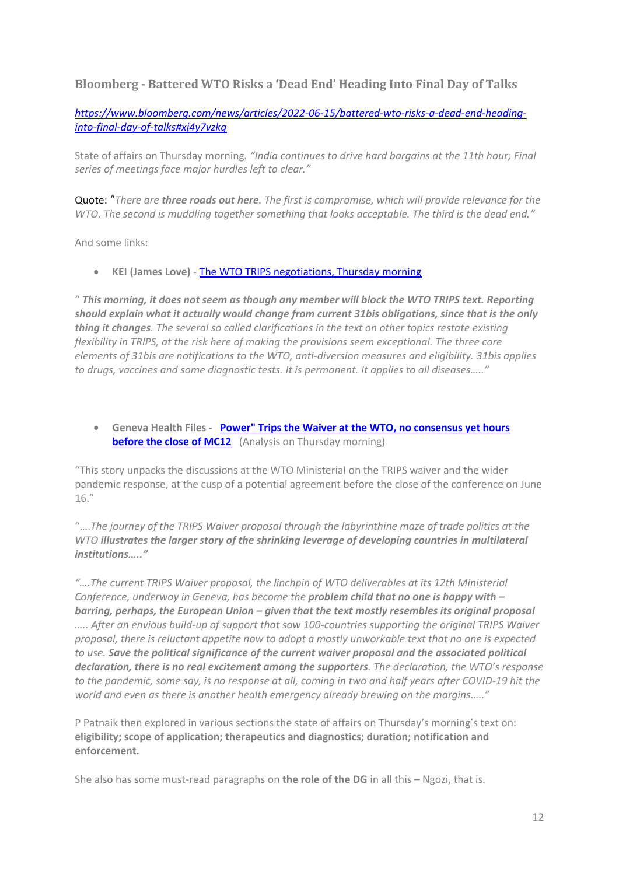### **Bloomberg - Battered WTO Risks a 'Dead End' Heading Into Final Day of Talks**

*[https://www.bloomberg.com/news/articles/2022-06-15/battered-wto-risks-a-dead-end-heading](https://www.bloomberg.com/news/articles/2022-06-15/battered-wto-risks-a-dead-end-heading-into-final-day-of-talks#xj4y7vzkg)[into-final-day-of-talks#xj4y7vzkg](https://www.bloomberg.com/news/articles/2022-06-15/battered-wto-risks-a-dead-end-heading-into-final-day-of-talks#xj4y7vzkg)*

State of affairs on Thursday morning*. "India continues to drive hard bargains at the 11th hour; Final series of meetings face major hurdles left to clear."*

Quote: "*There are three roads out here. The first is compromise, which will provide relevance for the WTO. The second is muddling together something that looks acceptable. The third is the dead end."*

And some links:

• **KEI (James Love)** - [The WTO TRIPS negotiations, Thursday morning](https://www.keionline.org/37830)

" *This morning, it does not seem as though any member will block the WTO TRIPS text. Reporting should explain what it actually would change from current 31bis obligations, since that is the only thing it changes. The several so called clarifications in the text on other topics restate existing flexibility in TRIPS, at the risk here of making the provisions seem exceptional. The three core elements of 31bis are notifications to the WTO, anti-diversion measures and eligibility. 31bis applies to drugs, vaccines and some diagnostic tests. It is permanent. It applies to all diseases….."*

• **Geneva Health Files - [Power" Trips the Waiver at the WTO, no consensus yet hours](https://genevahealthfiles.substack.com/p/power-trips-the-waiver-at-the-wto?utm_source=email&s=r)  [before the close of MC12](https://genevahealthfiles.substack.com/p/power-trips-the-waiver-at-the-wto?utm_source=email&s=r)** (Analysis on Thursday morning)

"This story unpacks the discussions at the WTO Ministerial on the TRIPS waiver and the wider pandemic response, at the cusp of a potential agreement before the close of the conference on June 16."

"….*The journey of the TRIPS Waiver proposal through the labyrinthine maze of trade politics at the WTO illustrates the larger story of the shrinking leverage of developing countries in multilateral institutions….."*

*"….The current TRIPS Waiver proposal, the linchpin of WTO deliverables at its 12th Ministerial Conference, underway in Geneva, has become the problem child that no one is happy with – barring, perhaps, the European Union – given that the text mostly resembles its original proposal ….. After an envious build-up of support that saw 100-countries supporting the original TRIPS Waiver proposal, there is reluctant appetite now to adopt a mostly unworkable text that no one is expected to use. Save the political significance of the current waiver proposal and the associated political declaration, there is no real excitement among the supporters. The declaration, the WTO's response to the pandemic, some say, is no response at all, coming in two and half years after COVID-19 hit the world and even as there is another health emergency already brewing on the margins….."*

P Patnaik then explored in various sections the state of affairs on Thursday's morning's text on: **eligibility; scope of application; therapeutics and diagnostics; duration; notification and enforcement.** 

She also has some must-read paragraphs on **the role of the DG** in all this – Ngozi, that is.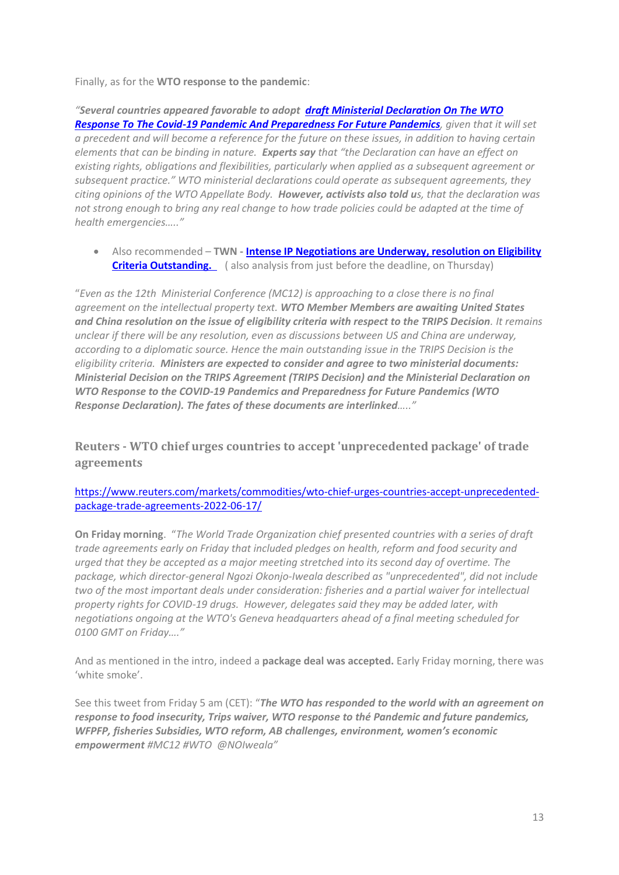Finally, as for the **WTO response to the pandemic**:

*"Several countries appeared favorable to adopt [draft Ministerial Declaration On The WTO](https://docs.wto.org/dol2fe/Pages/SS/directdoc.aspx?filename=q:/WT/MIN22/W13.pdf&Open=True)  [Response To The Covid-19 Pandemic And Preparedness For Future Pandemics](https://docs.wto.org/dol2fe/Pages/SS/directdoc.aspx?filename=q:/WT/MIN22/W13.pdf&Open=True), given that it will set a precedent and will become a reference for the future on these issues, in addition to having certain elements that can be binding in nature. Experts say that "the Declaration can have an effect on existing rights, obligations and flexibilities, particularly when applied as a subsequent agreement or subsequent practice." WTO ministerial declarations could operate as subsequent agreements, they citing opinions of the WTO Appellate Body. However, activists also told us, that the declaration was not strong enough to bring any real change to how trade policies could be adapted at the time of health emergencies….."*

• Also recommended – **TWN - [Intense IP Negotiations are Underway, resolution on Eligibility](https://twn.my/title2/wto.info/2022/ti220623.htm)  Criteria Outstanding.** (also analysis from just before the deadline, on Thursday)

"*Even as the 12th Ministerial Conference (MC12) is approaching to a close there is no final agreement on the intellectual property text. WTO Member Members are awaiting United States and China resolution on the issue of eligibility criteria with respect to the TRIPS Decision. It remains unclear if there will be any resolution, even as discussions between US and China are underway, according to a diplomatic source. Hence the main outstanding issue in the TRIPS Decision is the eligibility criteria. Ministers are expected to consider and agree to two ministerial documents: Ministerial Decision on the TRIPS Agreement (TRIPS Decision) and the Ministerial Declaration on WTO Response to the COVID-19 Pandemics and Preparedness for Future Pandemics (WTO Response Declaration). The fates of these documents are interlinked….."*

**Reuters - WTO chief urges countries to accept 'unprecedented package' of trade agreements**

[https://www.reuters.com/markets/commodities/wto-chief-urges-countries-accept-unprecedented](https://www.reuters.com/markets/commodities/wto-chief-urges-countries-accept-unprecedented-package-trade-agreements-2022-06-17/)[package-trade-agreements-2022-06-17/](https://www.reuters.com/markets/commodities/wto-chief-urges-countries-accept-unprecedented-package-trade-agreements-2022-06-17/)

**On Friday morning**. "*The World Trade Organization chief presented countries with a series of draft trade agreements early on Friday that included pledges on health, reform and food security and urged that they be accepted as a major meeting stretched into its second day of overtime. The package, which director-general Ngozi Okonjo-Iweala described as "unprecedented", did not include two of the most important deals under consideration: fisheries and a partial waiver for intellectual property rights for COVID-19 drugs. However, delegates said they may be added later, with negotiations ongoing at the WTO's Geneva headquarters ahead of a final meeting scheduled for 0100 GMT on Friday…."*

And as mentioned in the intro, indeed a **package deal was accepted.** Early Friday morning, there was 'white smoke'.

See this tweet from Friday 5 am (CET): "*The WTO has responded to the world with an agreement on response to food insecurity, Trips waiver, WTO response to thé Pandemic and future pandemics, WFPFP, fisheries Subsidies, WTO reform, AB challenges, environment, women's economic empowerment #MC12 #WTO @NOIweala"*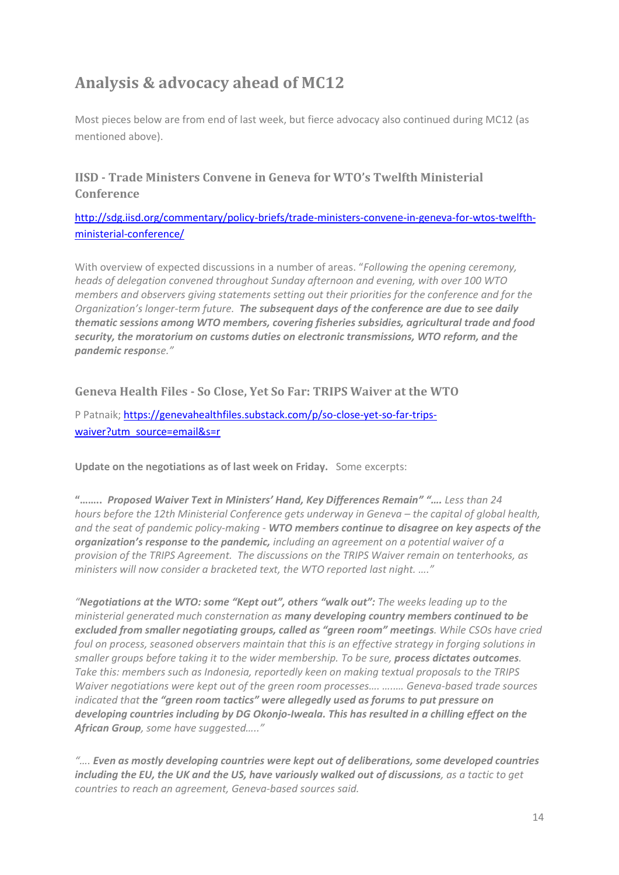# **Analysis & advocacy ahead of MC12**

Most pieces below are from end of last week, but fierce advocacy also continued during MC12 (as mentioned above).

### **IISD - Trade Ministers Convene in Geneva for WTO's Twelfth Ministerial Conference**

[http://sdg.iisd.org/commentary/policy-briefs/trade-ministers-convene-in-geneva-for-wtos-twelfth](http://sdg.iisd.org/commentary/policy-briefs/trade-ministers-convene-in-geneva-for-wtos-twelfth-ministerial-conference/)[ministerial-conference/](http://sdg.iisd.org/commentary/policy-briefs/trade-ministers-convene-in-geneva-for-wtos-twelfth-ministerial-conference/)

With overview of expected discussions in a number of areas. "*Following the opening ceremony, heads of delegation convened throughout Sunday afternoon and evening, with over 100 WTO members and observers giving statements setting out their priorities for the conference and for the Organization's longer-term future. The subsequent days of the conference are due to see daily thematic sessions among WTO members, covering fisheries subsidies, agricultural trade and food security, the moratorium on customs duties on electronic transmissions, WTO reform, and the pandemic response."*

**Geneva Health Files - So Close, Yet So Far: TRIPS Waiver at the WTO**

P Patnaik; [https://genevahealthfiles.substack.com/p/so-close-yet-so-far-trips](https://genevahealthfiles.substack.com/p/so-close-yet-so-far-trips-waiver?utm_source=email&s=r)[waiver?utm\\_source=email&s=r](https://genevahealthfiles.substack.com/p/so-close-yet-so-far-trips-waiver?utm_source=email&s=r)

**Update on the negotiations as of last week on Friday.** Some excerpts:

**"……..** *Proposed Waiver Text in Ministers' Hand, Key Differences Remain" "…. Less than 24 hours before the 12th Ministerial Conference gets underway in Geneva – the capital of global health, and the seat of pandemic policy-making - WTO members continue to disagree on key aspects of the organization's response to the pandemic, including an agreement on a potential waiver of a provision of the TRIPS Agreement. The discussions on the TRIPS Waiver remain on tenterhooks, as ministers will now consider a bracketed text, [the WTO reported](https://www.wto.org/english/news_e/news22_e/covid_10jun22_e.htm?utm_source=dlvr.it&utm_medium=twitter) last night. …."*

*"Negotiations at the WTO: some "Kept out", others "walk out": The weeks leading up to the ministerial generated much consternation as many developing country members continued to be excluded from smaller negotiating groups, called as "green room" meetings. While CSOs have cried foul on process, seasoned observers maintain that this is an effective strategy in forging solutions in smaller groups before taking it to the wider membership. To be sure, process dictates outcomes. Take this: members such as Indonesia, reportedly keen on making textual proposals to the TRIPS Waiver negotiations were kept out of the green room processes…. …..… Geneva-based trade sources indicated that the "green room tactics" were allegedly used as forums to put pressure on developing countries including by DG Okonjo-Iweala. This has resulted in a chilling effect on the African Group, some have suggested….."*

*"…. Even as mostly developing countries were kept out of deliberations, some developed countries including the EU, the UK an[d the US,](https://email.mg1.substack.com/c/eJwlkMuOhCAQRb9GloaHD1ywmKSnlz2ZZPYGpLSZVjRQjvHvB9qEEB51q869g0aY1nCqbY1I8tbjuYHycMQZECGQPULonVWsrlrOZEOsoi0fWkNc7McAsGg3K7LtZnaDRrf6XN12omvIU3VMi7GrTGOMoFJw01Z0pMJ2ppZG1OaaqXfrwA-gVj-f_aadJcO6LOAx9yKzeiJusRAfBb-ndWwlHj4zlh4wPUTwdgsQYzq_eXKduEdnC3F7_H5XX7ckbeC6_3wejw_iFKec04axZIfTqhSlkcLwQTRaNIJTa4qKLhMr424i6uFVJiYS1MvCkKAhpG-HU2kgm-8z8O4dnj14bWawCsMOBK9o31T9BB5Citz2GhVr6qoTnHEpObtySGZr2TLZ8pakqXZNKq-y6k8_Qc_4HN0M8R9zV5H4) have variously walked out of discussions, as a tactic to get countries to reach an agreement, Geneva-based sources said.*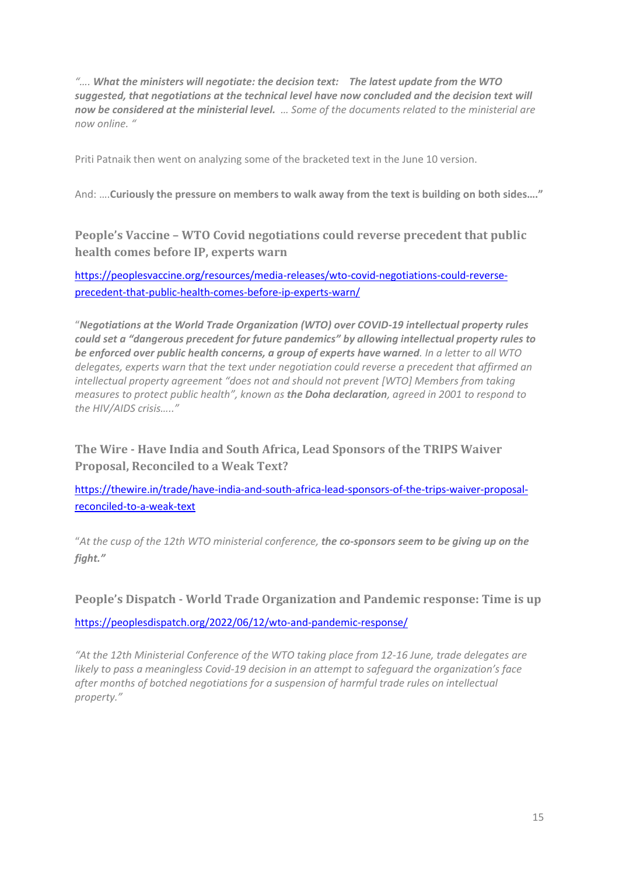*"…. What the ministers will negotiate: the decision text: The [latest update](https://email.mg1.substack.com/c/eJwtkEmOwyAQRU8TlhaDDc6CRW_6GoihYtONwYJyrNy-cdISQp-hqv5_3iIspb70XhqSazP42kFnOFsCRKjkaFBNDJpNo-JsliRoqrhXjsRmHhVgszFpsh8uRW8xlnz9Vndxl2TVo3PjNPqgOFChmFRccTkqKxVlM5vsZ6Y9QoTsQZecXma3MRBftg0yXr1I0ivi3m7i68a_-zrPczixDKUu_QR5SbGtXV2uDfwLzt_Sl2cMhtGfI183w4obiZpTzqlkrCfhdBzE4GbhuBfSCik4De420m1hQztcQ-t_h26HVP0bwHe_UPtzxGVwcOU2l9cjR3wZyNYlCBrrAQQ_VN-AzAIZaqcdjEXN5DTeBWd8njn7IOg5p1mxuQMifWoovSrrq-ppV7AJ10dM0P4Av6eQ-A) from the WTO suggested, that negotiations at the technical level have now concluded and the decision text will now be considered at the ministerial level. … Some of the documents related to the ministerial are [now online.](https://email.mg1.substack.com/c/eJxFUttunDAQ_Rp4RL6AYR_8kG6y7UpplIpWeUTGHsCKFyPbNOHvOyyRKlmeM2du1hxrlWD0YZOLjynfry5tC8gZPqKDlCDka4TQWSNpVdaMNiI3ktRM131uYzcEgJuyTubL2jurVbJ-3rPrEz-JfJJQGzaQmrJKlIQJQRWnQ1VSwU8g6CCOmWo1FmYN0s9u6xZlTa797QZz2nvlTk4pLTHjDxm74DFex-Ij-cKH8e46NgCCVzVCRHt56lpQQU9fuGsJEYWKy2fGL89qHldMzPjj08v352v7I2Oi9WvQ8HrQWPKtI-SE_NnPCT4Tkq0OdklIPaqkjnRkz2qnfq0QNvQyVpWk3W69dwi5efuNhg0_ry8Ze9hLbVyc2v43XfyyLhhwX2_6cz1PCMFgLIUVcisZYYwISnHnjJQFL_qG90xzobjgjJg-K8ltpEVc-5iUfi9wcXmQ7wY0bhYChm0aix52hbp9q-ts09bBrHoHRt7HpEP_u5TdCDME_BemU0lSUZUnzihrGkYPsVCRqqlpU7M6x6nGY9Us96q_agLl0jRYB_EfPOzF-w) "*

Priti Patnaik then went on analyzing some of the bracketed text in the June 10 version.

And: ….**Curiously the pressure on members to walk away from the text is building on both sides…."**

**People's Vaccine – WTO Covid negotiations could reverse precedent that public health comes before IP, experts warn**

[https://peoplesvaccine.org/resources/media-releases/wto-covid-negotiations-could-reverse](https://peoplesvaccine.org/resources/media-releases/wto-covid-negotiations-could-reverse-precedent-that-public-health-comes-before-ip-experts-warn/)[precedent-that-public-health-comes-before-ip-experts-warn/](https://peoplesvaccine.org/resources/media-releases/wto-covid-negotiations-could-reverse-precedent-that-public-health-comes-before-ip-experts-warn/)

"*Negotiations at the World Trade Organization (WTO) over COVID-19 intellectual property rules could set a "dangerous precedent for future pandemics" by allowing intellectual property rules to be enforced over public health concerns, a group of experts have warned. In a letter to all WTO delegates, experts warn that the text under negotiation could reverse a precedent that affirmed an intellectual property agreement "does not and should not prevent [WTO] Members from taking measures to protect public health", known as the Doha declaration, agreed in 2001 to respond to the HIV/AIDS crisis….."*

**The Wire - Have India and South Africa, Lead Sponsors of the TRIPS Waiver Proposal, Reconciled to a Weak Text?**

[https://thewire.in/trade/have-india-and-south-africa-lead-sponsors-of-the-trips-waiver-proposal](https://thewire.in/trade/have-india-and-south-africa-lead-sponsors-of-the-trips-waiver-proposal-reconciled-to-a-weak-text)[reconciled-to-a-weak-text](https://thewire.in/trade/have-india-and-south-africa-lead-sponsors-of-the-trips-waiver-proposal-reconciled-to-a-weak-text)

"*At the cusp of the 12th WTO ministerial conference, the co-sponsors seem to be giving up on the fight."*

**People's Dispatch - World Trade Organization and Pandemic response: Time is up**

<https://peoplesdispatch.org/2022/06/12/wto-and-pandemic-response/>

*"At the 12th Ministerial Conference of the WTO taking place from 12-16 June, trade delegates are likely to pass a meaningless Covid-19 decision in an attempt to safequard the organization's face after months of botched negotiations for a suspension of harmful trade rules on intellectual property."*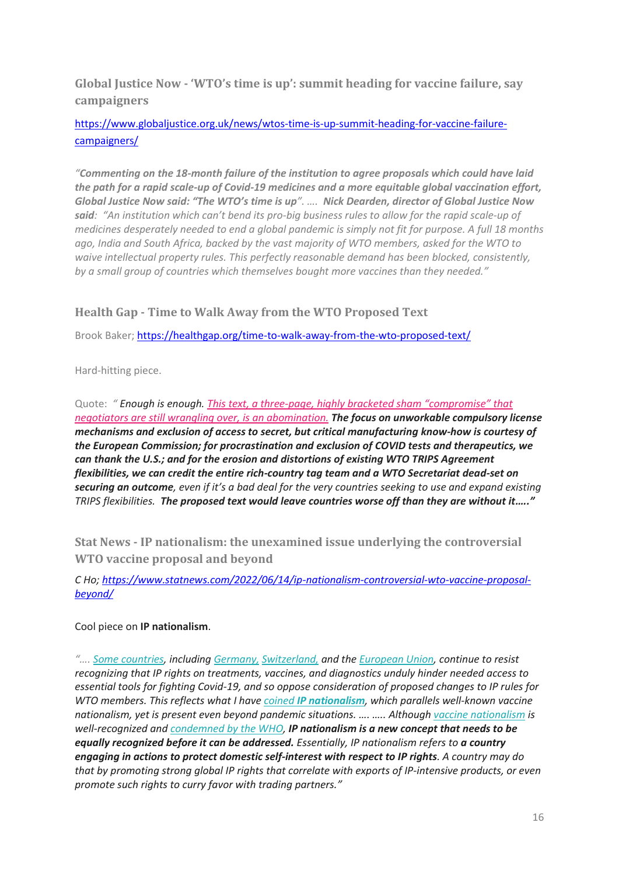**Global Justice Now - 'WTO's time is up': summit heading for vaccine failure, say campaigners**

[https://www.globaljustice.org.uk/news/wtos-time-is-up-summit-heading-for-vaccine-failure](https://www.globaljustice.org.uk/news/wtos-time-is-up-summit-heading-for-vaccine-failure-campaigners/)[campaigners/](https://www.globaljustice.org.uk/news/wtos-time-is-up-summit-heading-for-vaccine-failure-campaigners/)

*"Commenting on the 18-month failure of the institution to agree proposals which could have laid the path for a rapid scale-up of Covid-19 medicines and a more equitable global vaccination effort, Global Justice Now said: "The WTO's time is up". …. Nick Dearden, director of Global Justice Now said: "An institution which can't bend its pro-big business rules to allow for the rapid scale-up of medicines desperately needed to end a global pandemic is simply not fit for purpose. A full 18 months ago, India and South Africa, backed by the vast majority of WTO members, asked for the WTO to waive intellectual property rules. This perfectly reasonable demand has been blocked, consistently, by a small group of countries which themselves bought more vaccines than they needed."*

### **Health Gap - Time to Walk Away from the WTO Proposed Text**

Brook Baker;<https://healthgap.org/time-to-walk-away-from-the-wto-proposed-text/>

Hard-hitting piece.

Quote: *" Enough is enough. This text, a three-page, highly bracketed sham ["compromise"](https://www.bilaterals.org/IMG/pdf/covid-19_trips_working_document_as_of_25_may_2022.pdf) that negotiators are still wrangling over, is an [abomination.](https://www.bilaterals.org/IMG/pdf/covid-19_trips_working_document_as_of_25_may_2022.pdf) The focus on unworkable compulsory license mechanisms and exclusion of access to secret, but critical manufacturing know-how is courtesy of the European Commission; for procrastination and exclusion of COVID tests and therapeutics, we can thank the U.S.; and for the erosion and distortions of existing WTO TRIPS Agreement flexibilities, we can credit the entire rich-country tag team and a WTO Secretariat dead-set on securing an outcome, even if it's a bad deal for the very countries seeking to use and expand existing TRIPS flexibilities. The proposed text would leave countries worse off than they are without it….."*

**Stat News - IP nationalism: the unexamined issue underlying the controversial WTO vaccine proposal and beyond**

*C Ho; [https://www.statnews.com/2022/06/14/ip-nationalism-controversial-wto-vaccine-proposal](https://www.statnews.com/2022/06/14/ip-nationalism-controversial-wto-vaccine-proposal-beyond/)[beyond/](https://www.statnews.com/2022/06/14/ip-nationalism-controversial-wto-vaccine-proposal-beyond/)*

#### Cool piece on **IP nationalism**.

*"…[. Some countries,](https://medicalxpress.com/news/2022-06-wto-shot-arm-covid-jab.html) including [Germany,](https://eu.boell.org/en/2022/02/16/why-wont-germany-support-covid-19-vaccine-waiver-anna-cavazzini-answers-and-more-ahead) [Switzerland,](https://www.ige.ch/en/intellectual-property/ip-and-society/swiss-health-foreign-policy-and-access-to-therapeutic-products/suspension-of-the-trips-agreement) and the [European Union,](https://www.nature.com/articles/d41586-022-00878-x) continue to resist recognizing that IP rights on treatments, vaccines, and diagnostics unduly hinder needed access to essential tools for fighting Covid-19, and so oppose consideration of proposed changes to IP rules for WTO members. This reflects what I have coined [IP nationalism](https://papers.ssrn.com/sol3/papers.cfm?abstract_id=3910806), which parallels well-known vaccine nationalism, yet is present even beyond pandemic situations. …. ….. Although [vaccine nationalism](https://www.globalcitizen.org/en/content/what-is-vaccine-nationalism/) is well-recognized and [condemned by the WHO,](https://news.un.org/en/story/2020/08/1070422) IP nationalism is a new concept that needs to be equally recognized before it can be addressed. Essentially, IP nationalism refers to a country engaging in actions to protect domestic self-interest with respect to IP rights. A country may do that by promoting strong global IP rights that correlate with exports of IP-intensive products, or even promote such rights to curry favor with trading partners."*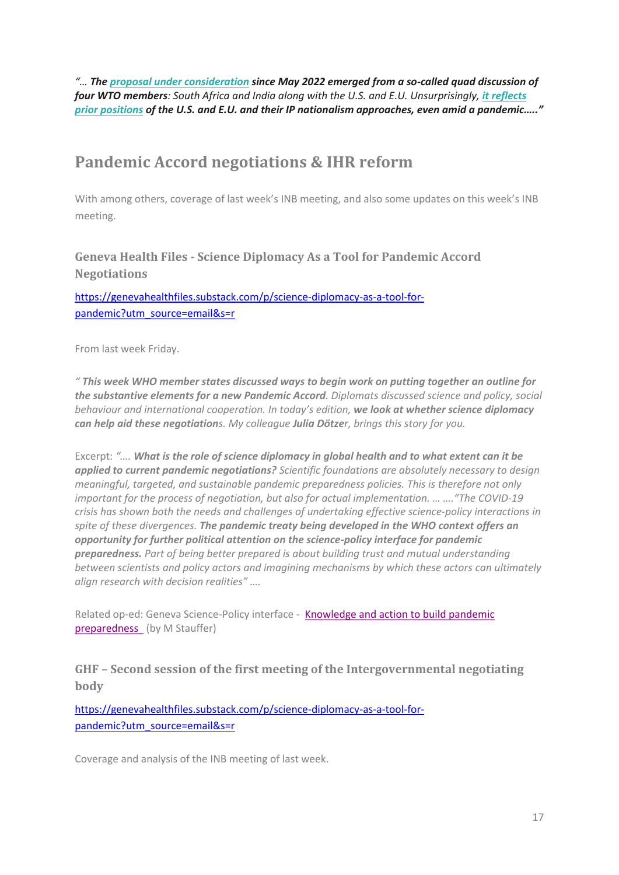*"… The [proposal under consideration](https://www.statnews.com/pharmalot/2022/06/12/covid19-vaccines-patents-wto-who-2/) since May 2022 emerged from a so-called quad discussion of four WTO members: South Africa and India along with the U.S. and E.U. Unsurprisingly, [it reflects](https://www.southcentre.int/wp-content/uploads/2022/05/PB110_Analysis-of-the-Outcome-Text-of-the-Informal-Quadrilateral-Discussions-on-the-TRIPS-COVID-19-Waiver_EN.pdf)  [prior positions](https://www.southcentre.int/wp-content/uploads/2022/05/PB110_Analysis-of-the-Outcome-Text-of-the-Informal-Quadrilateral-Discussions-on-the-TRIPS-COVID-19-Waiver_EN.pdf) of the U.S. and E.U. and their IP nationalism approaches, even amid a pandemic….."*

# **Pandemic Accord negotiations & IHR reform**

With among others, coverage of last week's INB meeting, and also some updates on this week's INB meeting.

**Geneva Health Files - Science Diplomacy As a Tool for Pandemic Accord Negotiations**

[https://genevahealthfiles.substack.com/p/science-diplomacy-as-a-tool-for](https://genevahealthfiles.substack.com/p/science-diplomacy-as-a-tool-for-pandemic?utm_source=email&s=r)[pandemic?utm\\_source=email&s=r](https://genevahealthfiles.substack.com/p/science-diplomacy-as-a-tool-for-pandemic?utm_source=email&s=r)

From last week Friday.

*" This week WHO member states discussed ways to begin work on putting together an outline for the substantive elements for a new Pandemic Accord. Diplomats discussed science and policy, social behaviour and international cooperation. In today's edition, we look at whether science diplomacy can help aid these negotiations. My colleague Julia Dötzer, brings this story for you.*

Excerpt: *"…. What is the role of science diplomacy in global health and to what extent can it be applied to current pandemic negotiations? Scientific foundations are absolutely necessary to design meaningful, targeted, and sustainable pandemic preparedness policies. This is therefore not only important for the process of negotiation, but also for actual implementation. … …."The COVID-19 crisis has shown both the needs and challenges of undertaking effective science-policy interactions in spite of these divergences. The pandemic treaty being developed in the WHO context offers an opportunity for further political attention on the science-policy interface for pandemic preparedness. Part of being better prepared is about building trust and mutual understanding between scientists and policy actors and imagining mechanisms by which these actors can ultimately align research with decision realities" ….*

Related op-ed: Geneva Science-Policy interface - [Knowledge and action to build pandemic](https://gspi.ch/activities/knowledge-and-action-to-build-pandemic-preparedness/)  [preparedness](https://gspi.ch/activities/knowledge-and-action-to-build-pandemic-preparedness/) (by M Stauffer)

**GHF – Second session of the first meeting of the Intergovernmental negotiating body**

[https://genevahealthfiles.substack.com/p/science-diplomacy-as-a-tool-for](https://genevahealthfiles.substack.com/p/science-diplomacy-as-a-tool-for-pandemic?utm_source=email&s=r)[pandemic?utm\\_source=email&s=r](https://genevahealthfiles.substack.com/p/science-diplomacy-as-a-tool-for-pandemic?utm_source=email&s=r)

Coverage and analysis of the INB meeting of last week.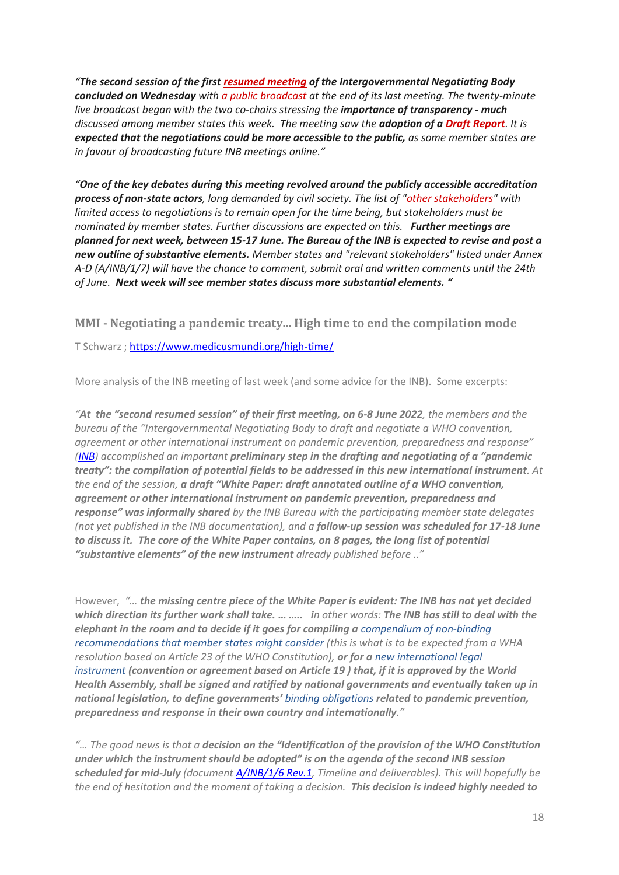*"The second session of the first [resumed meeting](https://email.mg1.substack.com/c/eJwlkMGOhCAMhp9muA0RFMUDh73saxiQqmQQDNSZ-PZbdxJo2kDb__9mi7DmcpkjV2R3mPA6wCT41AiIUNhZoUzBG6G6QQrdM2-aQc6DY6FOSwHYbYiGHaeLYbYYcrp_D2M79mwzXTs6YZdR2cH1w-wXKzq36FEPzqlOi-9Oe_oAaQYDbyhXTsDmvO-Q8B7FotkQj_pofx7yl449jso_W-YhIZWroxDSHeG-E-VP8aww5-SfBeq5g6eyVtLGN9wjC0Y2Uja9aBrdKSF5y5W0FkS_iFa3Wgv16Jp9FbyerqKdX5wEsWJenqZWwkLPAVfu4DY-3WrPFPCaIFkXwRssJzD8Yv0nNK2QoBBuP1k0oifzijiqcei-DMip0h3JEprRVp-pK5m76203sBG3JUSof6Nxkl4) of the Intergovernmental Negotiating Body concluded on Wednesday with [a public broadcast a](https://email.mg1.substack.com/c/eJwlkMGOhCAMhp9muA0RFMUDh73saxiQqmQQDNSZ-PZbdxJo2kDb__9mi7DmcpkjV2R3mPA6wCT41AiIUNhZoUzBG6G6QQrdM2-aQc6DY6FOSwHYbYiGHaeLYbYYcrp_D2M79mwzXTs6YZdR2cH1w-wXKzq36FEPzqlOi-9Oe_oAaQYDbyhXTsDmvO-Q8B7FotkQj_pofx7yl449jso_W-YhIZWroxDSHeG-E-VP8aww5-SfBeq5g6eyVtLGN9wjC0Y2Uja9aBrdKSF5y5W0FkS_iFa3Wgv16Jp9FbyerqKdX5wEsWJenqZWwkLPAVfu4DY-3WrPFPCaIFkXwRssJzD8Yv0nNK2QoBBuP1k0oifzijiqcei-DMip0h3JEprRVp-pK5m76203sBG3JUSof6Nxkl4)t the end of its last meeting. The twenty-minute live broadcast began with the two co-chairs stressing the importance of transparency - much discussed among member states this week. The meeting saw the adoption of [a Draft Report](https://email.mg1.substack.com/c/eJwlUD1vwyAQ_TVhqwUYbDwwpENTqZ27WhguNg0GC7Aj__tCI3E3cO_ufWiVYQ7xlFtIGdU25nMD6eGZHOQMEe0J4miNJJz1lIgOGYl7qvsJ2TTeI8CqrJNo2ydntco2-Iruh3bo0CLvqmOq1KCp0FBbRybop54qrDngF6fajQWvQcIB8QwekA7rCj7XU8jJJectXdrrhX6UZ6I9oJlDmB00BVi-7tZBnZQiRfbtszfXn7cnXFefwtfv2r3fPtP3vrMhkII5LDyRlRRTijuCsWCc0KZtOFUKSHcnrWiFIPzC8DqTJu1Tyko_KhmK8mFAF9UQy9jmuZmguh-r5N3bfI7g1eTAyBx3QPmV7X9M4wweYsncjCpL0nEmeAmTDz17BVHscsGKLCJQYTWhbHlZtw61gHJ5qU7TH0b6k3M). It is expected that the negotiations could be more accessible to the public, as some member states are in favour of broadcasting future INB meetings online."*

*"One of the key debates during this meeting revolved around the publicly accessible accreditation process of non-state actors, long demanded by civil society. The list of ["other stakeholders"](https://email.mg1.substack.com/c/eJwlkE2OhCAQhU_T7MbwI0IvWPQsJpnNLOYCBKFU0ooGyu54-8ExIY8AVdR7n3cI45oPs60FySkWjw1MgneZAREy2QtkG4NhslWc6Y4EQxX3qiex2CEDLC7Ohmx7P0fvMK7prFZ3ce_IZEQIvRKt54NWraBUdN5zyT2owXvK5TXT7SFC8mDgBflYExC_LgskPL8is5kQt3ITjxv_qsttW2ne09rEhPU49lViOnULgx3iDOW6YXV72O-fT2bVL7zYB6SmlpBoOOWcdoxS3UrGG9FI7hywbmBCC62ZvLV0GVlT9r6g88-m-iHZPAP46hdyfY44Nj2cue1pdk8RDwvJ9TMEg3kHghfVf0B2hAS50g7WoWGdbLWsGOVdtReCGlTqttpimtSpYa1dyZxdLzeBm3H6D_YHg3-QLg) with limited access to negotiations is to remain open for the time being, but stakeholders must be nominated by member states. Further discussions are expected on this. Further meetings are planned for next week, between 15-17 June. The Bureau of the INB is expected to revise and post a new outline of substantive elements. Member states and "relevant stakeholders" listed under Annex A-D (A/INB/1/7) will have the chance to comment, submit oral and written comments until the 24th of June. Next week will see member states discuss more substantial elements. "*

**MMI - Negotiating a pandemic treaty... High time to end the compilation mode**

T Schwarz ; <https://www.medicusmundi.org/high-time/>

More analysis of the INB meeting of last week (and some advice for the INB). Some excerpts:

*"At the "second resumed session" of their first meeting, on 6-8 June 2022, the members and the bureau of the "Intergovernmental Negotiating Body to draft and negotiate a WHO convention, agreement or other international instrument on pandemic prevention, preparedness and response" [\(INB\)](https://apps.who.int/gb/inb/index.html) accomplished an important preliminary step in the drafting and negotiating of a "pandemic treaty": the compilation of potential fields to be addressed in this new international instrument. At the end of the session, a draft "White Paper: draft annotated outline of a WHO convention, agreement or other international instrument on pandemic prevention, preparedness and response" was informally shared by the INB Bureau with the participating member state delegates (not yet published in the INB documentation), and a follow-up session was scheduled for 17-18 June to discuss it. The core of the White Paper contains, on 8 pages, the long list of potential "substantive elements" of the new instrument already published before .."*

However, *"… the missing centre piece of the White Paper is evident: The INB has not yet decided which direction its further work shall take. … ….. in other words: The INB has still to deal with the elephant in the room and to decide if it goes for compiling a compendium of non-binding recommendations that member states might consider (this is what is to be expected from a WHA resolution based on Article 23 of the WHO Constitution), or for a new international legal instrument (convention or agreement based on Article 19 ) that, if it is approved by the World Health Assembly, shall be signed and ratified by national governments and eventually taken up in national legislation, to define governments' binding obligations related to pandemic prevention, preparedness and response in their own country and internationally."*

*"… The good news is that a decision on the "Identification of the provision of the WHO Constitution under which the instrument should be adopted" is on the agenda of the second INB session scheduled for mid-July (document [A/INB/1/6](https://apps.who.int/gb/inb/pdf_files/inb1/A_INB1_6Rev1-en.pdf) Rev.1, Timeline and deliverables). This will hopefully be the end of hesitation and the moment of taking a decision. This decision is indeed highly needed to*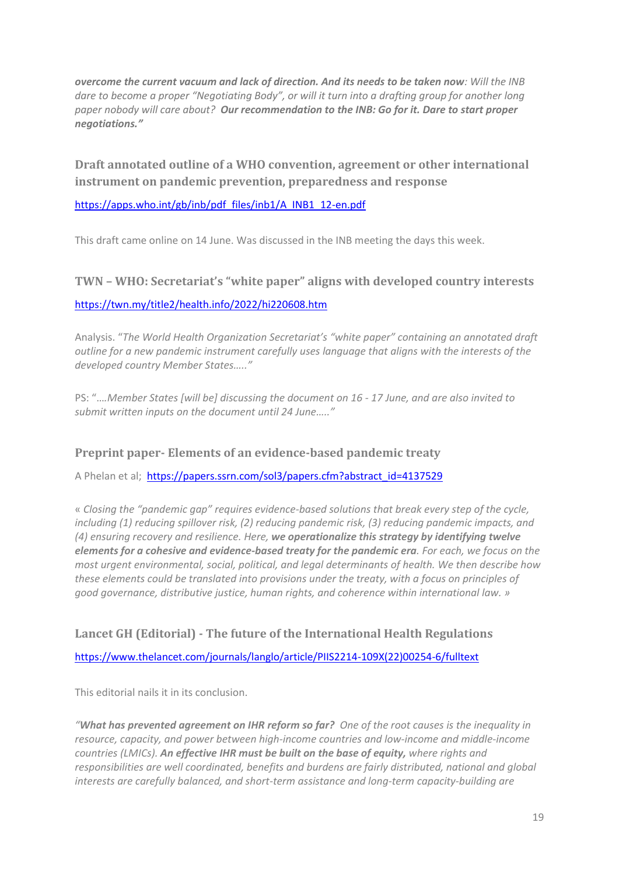*overcome the current vacuum and lack of direction. And its needs to be taken now: Will the INB dare to become a proper "Negotiating Body", or will it turn into a drafting group for another long paper nobody will care about? Our recommendation to the INB: Go for it. Dare to start proper negotiations."*

**Draft annotated outline of a WHO convention, agreement or other international instrument on pandemic prevention, preparedness and response**

[https://apps.who.int/gb/inb/pdf\\_files/inb1/A\\_INB1\\_12-en.pdf](https://apps.who.int/gb/inb/pdf_files/inb1/A_INB1_12-en.pdf)

This draft came online on 14 June. Was discussed in the INB meeting the days this week.

### **TWN – WHO: Secretariat's "white paper" aligns with developed country interests**

#### <https://twn.my/title2/health.info/2022/hi220608.htm>

Analysis. "*The World Health Organization Secretariat's "white paper" containing an annotated draft outline for a new pandemic instrument carefully uses language that aligns with the interests of the developed country Member States….."*

PS: "…*.Member States [will be] discussing the document on 16 - 17 June, and are also invited to submit written inputs on the document until 24 June….."*

### **Preprint paper- Elements of an evidence-based pandemic treaty**

A Phelan et al; [https://papers.ssrn.com/sol3/papers.cfm?abstract\\_id=4137529](https://papers.ssrn.com/sol3/papers.cfm?abstract_id=4137529)

« *Closing the "pandemic gap" requires evidence-based solutions that break every step of the cycle, including (1) reducing spillover risk, (2) reducing pandemic risk, (3) reducing pandemic impacts, and (4) ensuring recovery and resilience. Here, we operationalize this strategy by identifying twelve elements for a cohesive and evidence-based treaty for the pandemic era. For each, we focus on the most urgent environmental, social, political, and legal determinants of health. We then describe how these elements could be translated into provisions under the treaty, with a focus on principles of good governance, distributive justice, human rights, and coherence within international law. »*

### **Lancet GH (Editorial) - The future of the International Health Regulations**

[https://www.thelancet.com/journals/langlo/article/PIIS2214-109X\(22\)00254-6/fulltext](https://www.thelancet.com/journals/langlo/article/PIIS2214-109X(22)00254-6/fulltext)

This editorial nails it in its conclusion.

*"What has prevented agreement on IHR reform so far? One of the root causes is the inequality in resource, capacity, and power between high-income countries and low-income and middle-income countries (LMICs). An effective IHR must be built on the base of equity, where rights and responsibilities are well coordinated, benefits and burdens are fairly distributed, national and global interests are carefully balanced, and short-term assistance and long-term capacity-building are*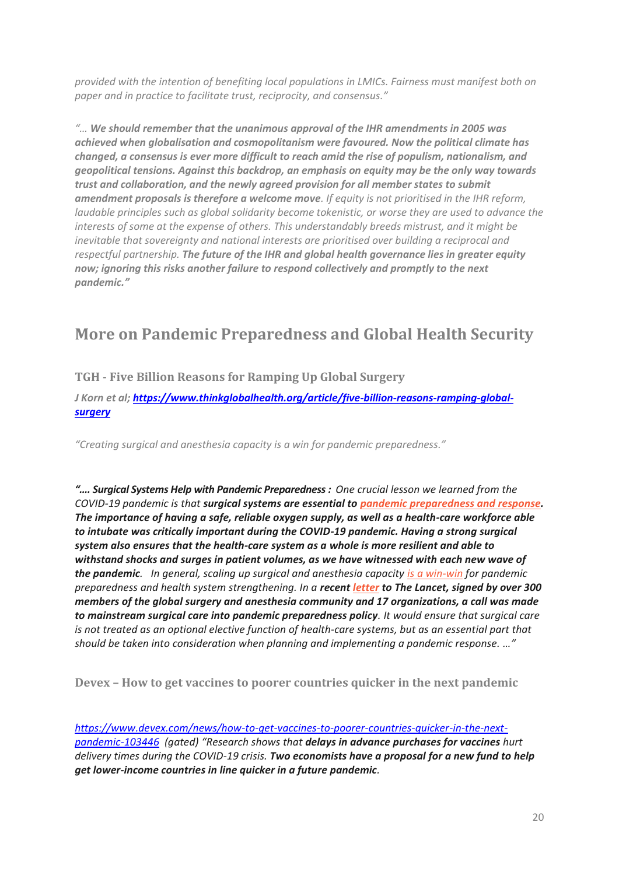*provided with the intention of benefiting local populations in LMICs. Fairness must manifest both on paper and in practice to facilitate trust, reciprocity, and consensus."*

*"… We should remember that the unanimous approval of the IHR amendments in 2005 was achieved when globalisation and cosmopolitanism were favoured. Now the political climate has changed, a consensus is ever more difficult to reach amid the rise of populism, nationalism, and geopolitical tensions. Against this backdrop, an emphasis on equity may be the only way towards trust and collaboration, and the newly agreed provision for all member states to submit amendment proposals is therefore a welcome move. If equity is not prioritised in the IHR reform, laudable principles such as global solidarity become tokenistic, or worse they are used to advance the interests of some at the expense of others. This understandably breeds mistrust, and it might be inevitable that sovereignty and national interests are prioritised over building a reciprocal and respectful partnership. The future of the IHR and global health governance lies in greater equity now; ignoring this risks another failure to respond collectively and promptly to the next pandemic."*

# **More on Pandemic Preparedness and Global Health Security**

### **TGH - Five Billion Reasons for Ramping Up Global Surgery**

*J Korn et al; [https://www.thinkglobalhealth.org/article/five-billion-reasons-ramping-global](https://www.thinkglobalhealth.org/article/five-billion-reasons-ramping-global-surgery)[surgery](https://www.thinkglobalhealth.org/article/five-billion-reasons-ramping-global-surgery)*

*"Creating surgical and anesthesia capacity is a win for pandemic preparedness."*

*"…. Surgical Systems Help with Pandemic Preparedness : One crucial lesson we learned from the COVID-19 pandemic is that surgical systems are essential to [pandemic preparedness](https://thehill.com/blogs/congress-blog/healthcare/559988-investing-in-surgical-systems-supports-pandemic-preparedness/) and response. The importance of having a safe, reliable oxygen supply, as well as a health-care workforce able to intubate was critically important during the COVID-19 pandemic. Having a strong surgical system also ensures that the health-care system as a whole is more resilient and able to withstand shocks and surges in patient volumes, as we have witnessed with each new wave of the pandemic. In general, scaling up surgical and anesthesia capacity [is a win-win](https://www.thinkglobalhealth.org/article/investing-surgery-closing-global-health-gap) for pandemic preparedness and health system strengthening. In a recent [letter](https://www.thelancet.com/journals/lancet/article/PIIS0140-6736(22)00521-9/fulltext) to The Lancet, signed by over 300 members of the global surgery and anesthesia community and 17 organizations, a call was made to mainstream surgical care into pandemic preparedness policy. It would ensure that surgical care is not treated as an optional elective function of health-care systems, but as an essential part that should be taken into consideration when planning and implementing a pandemic response. …"*

**Devex – How to get vaccines to poorer countries quicker in the next pandemic**

*[https://www.devex.com/news/how-to-get-vaccines-to-poorer-countries-quicker-in-the-next](https://www.devex.com/news/how-to-get-vaccines-to-poorer-countries-quicker-in-the-next-pandemic-103446)[pandemic-103446](https://www.devex.com/news/how-to-get-vaccines-to-poorer-countries-quicker-in-the-next-pandemic-103446) (gated) "Research shows that delays in advance purchases for vaccines hurt delivery times during the COVID-19 crisis. Two economists have a proposal for a new fund to help get lower-income countries in line quicker in a future pandemic.*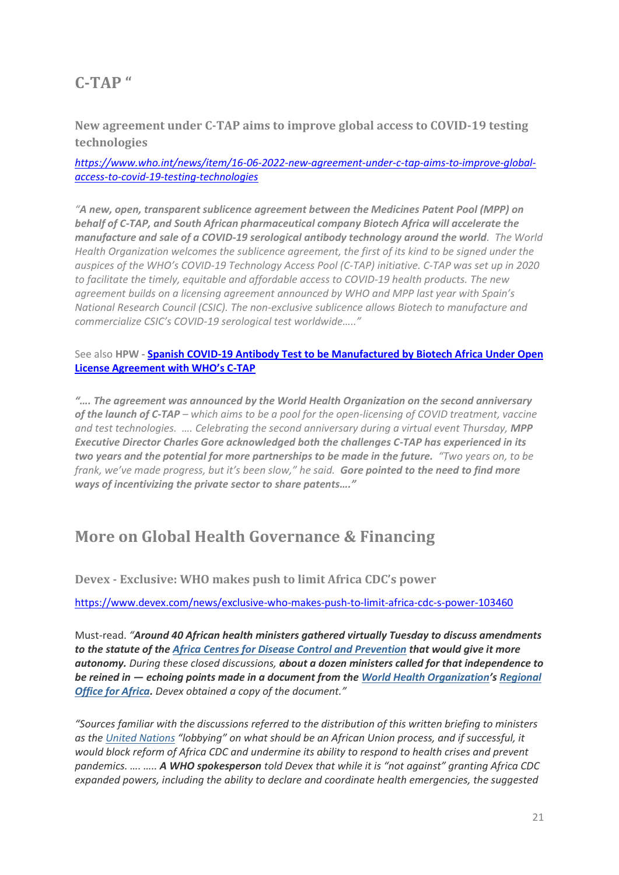## **C-TAP "**

**New agreement under C-TAP aims to improve global access to COVID-19 testing technologies**

*[https://www.who.int/news/item/16-06-2022-new-agreement-under-c-tap-aims-to-improve-global](https://www.who.int/news/item/16-06-2022-new-agreement-under-c-tap-aims-to-improve-global-access-to-covid-19-testing-technologies)[access-to-covid-19-testing-technologies](https://www.who.int/news/item/16-06-2022-new-agreement-under-c-tap-aims-to-improve-global-access-to-covid-19-testing-technologies)*

*"A new, open, transparent sublicence agreement between the Medicines Patent Pool (MPP) on behalf of C-TAP, and South African pharmaceutical company Biotech Africa will accelerate the manufacture and sale of a COVID-19 serological antibody technology around the world. The World Health Organization welcomes the sublicence agreement, the first of its kind to be signed under the auspices of the WHO's COVID-19 Technology Access Pool (C-TAP) initiative. C-TAP was set up in 2020 to facilitate the timely, equitable and affordable access to COVID-19 health products. The new agreement builds on a licensing agreement announced by WHO and MPP last year with Spain's National Research Council (CSIC). The non-exclusive sublicence allows Biotech to manufacture and commercialize CSIC's COVID-19 serological test worldwide….."*

See also **HPW - Spanish COVID-19 Antibody Test [to be Manufactured by Biotech Africa Under Open](https://healthpolicy-watch.news/c-tap-mpp-biotech-africa-covid-19-test/)  [License Agreement with WHO's C](https://healthpolicy-watch.news/c-tap-mpp-biotech-africa-covid-19-test/)-TAP**

*"…. The agreement was announced by the World Health Organization on the second anniversary of the launch of C-TAP – which aims to be a pool for the open-licensing of COVID treatment, vaccine and test technologies. …. Celebrating the second anniversary during a virtual event Thursday, MPP Executive Director Charles Gore acknowledged both the challenges C-TAP has experienced in its two years and the potential for more partnerships to be made in the future. "Two years on, to be frank, we've made progress, but it's been slow," he said. Gore pointed to the need to find more ways of incentivizing the private sector to share patents…."*

### **More on Global Health Governance & Financing**

**Devex - Exclusive: WHO makes push to limit Africa CDC's power**

<https://www.devex.com/news/exclusive-who-makes-push-to-limit-africa-cdc-s-power-103460>

Must-read. *"Around 40 African health ministers gathered virtually Tuesday to discuss amendments to the statute of the [Africa](https://www.devex.com/organizations/centres-for-disease-control-and-prevention-africa-cdc-120577) [Centres](https://www.devex.com/organizations/centres-for-disease-control-and-prevention-africa-cdc-120577) [for Disease Control and Prevention](https://www.devex.com/organizations/centres-for-disease-control-and-prevention-africa-cdc-120577) that would give it more autonomy. During these closed discussions, about a dozen ministers called for that independence to be reined in — echoing points made in a document from the [World Health Organization](https://www.devex.com/organizations/world-health-organization-who-30562)'s [Regional](https://www.devex.com/organizations/world-health-organization-regional-office-for-africa-who-africa-120578)  [Office for Africa.](https://www.devex.com/organizations/world-health-organization-regional-office-for-africa-who-africa-120578) Devex obtained a copy of the document."*

*"Sources familiar with the discussions referred to the distribution of this written briefing to ministers as the [United Nations](https://www.devex.com/organizations/united-nations-un-41567) "lobbying" on what should be an African Union process, and if successful, it would block reform of Africa CDC and undermine its ability to respond to health crises and prevent pandemics. …. ….. A WHO spokesperson told Devex that while it is "not against" granting Africa CDC expanded powers, including the ability to declare and coordinate health emergencies, the suggested*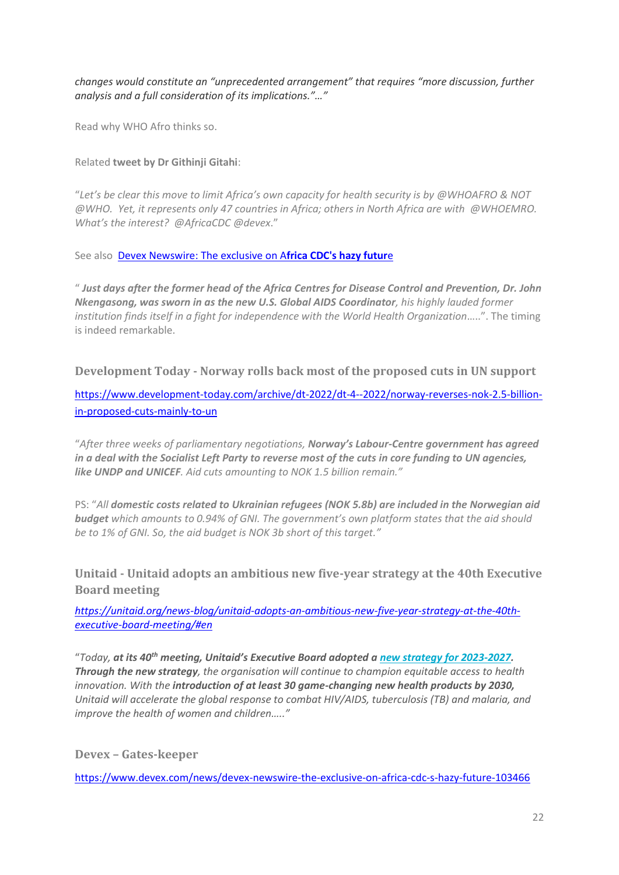*changes would constitute an "unprecedented arrangement" that requires "more discussion, further analysis and a full consideration of its implications."…"*

Read why WHO Afro thinks so.

#### Related **tweet by Dr Githinji Gitahi**:

"*Let's be clear this move to limit Africa's own capacity for health security is by @WHOAFRO & NOT @WHO. Yet, it represents only 47 countries in Africa; others in North Africa are with @WHOEMRO. What's the interest? @AfricaCDC @devex*."

See also [Devex Newswire: The exclusive on A](https://www.devex.com/news/devex-newswire-the-exclusive-on-africa-cdc-s-hazy-future-103466)**frica CDC's hazy futur**e

" *Just days after the former head of the Africa Centres for Disease Control and Prevention, Dr. John Nkengasong, was sworn in as the new U.S. Global AIDS Coordinator, his highly lauded former institution finds itself in a fight for independence with the World Health Organization*…..". The timing is indeed remarkable.

**Development Today - Norway rolls back most of the proposed cuts in UN support**

[https://www.development-today.com/archive/dt-2022/dt-4--2022/norway-reverses-nok-2.5-billion](https://www.development-today.com/archive/dt-2022/dt-4--2022/norway-reverses-nok-2.5-billion-in-proposed-cuts-mainly-to-un)[in-proposed-cuts-mainly-to-un](https://www.development-today.com/archive/dt-2022/dt-4--2022/norway-reverses-nok-2.5-billion-in-proposed-cuts-mainly-to-un)

"*After three weeks of parliamentary negotiations, Norway's Labour-Centre government has agreed in a deal with the Socialist Left Party to reverse most of the cuts in core funding to UN agencies, like UNDP and UNICEF. Aid cuts amounting to NOK 1.5 billion remain."*

PS: "*All domestic costs related to Ukrainian refugees (NOK 5.8b) are included in the Norwegian aid budget which amounts to 0.94% of GNI. The government's own platform states that the aid should be to 1% of GNI. So, the aid budget is NOK 3b short of this target."*

**Unitaid - Unitaid adopts an ambitious new five-year strategy at the 40th Executive Board meeting**

*[https://unitaid.org/news-blog/unitaid-adopts-an-ambitious-new-five-year-strategy-at-the-40th](https://unitaid.org/news-blog/unitaid-adopts-an-ambitious-new-five-year-strategy-at-the-40th-executive-board-meeting/#en)[executive-board-meeting/#en](https://unitaid.org/news-blog/unitaid-adopts-an-ambitious-new-five-year-strategy-at-the-40th-executive-board-meeting/#en)*

"*Today, at its 40th meeting, Unitaid's Executive Board adopted a new strategy for [2023-2027.](https://unitaid.org/assets/Unitaid_Strategy_2023-2027_V333.pdf) Through the new strategy, the organisation will continue to champion equitable access to health innovation. With the introduction of at least 30 game-changing new health products by 2030, Unitaid will accelerate the global response to combat HIV/AIDS, tuberculosis (TB) and malaria, and improve the health of women and children….."*

**Devex – Gates-keeper**

<https://www.devex.com/news/devex-newswire-the-exclusive-on-africa-cdc-s-hazy-future-103466>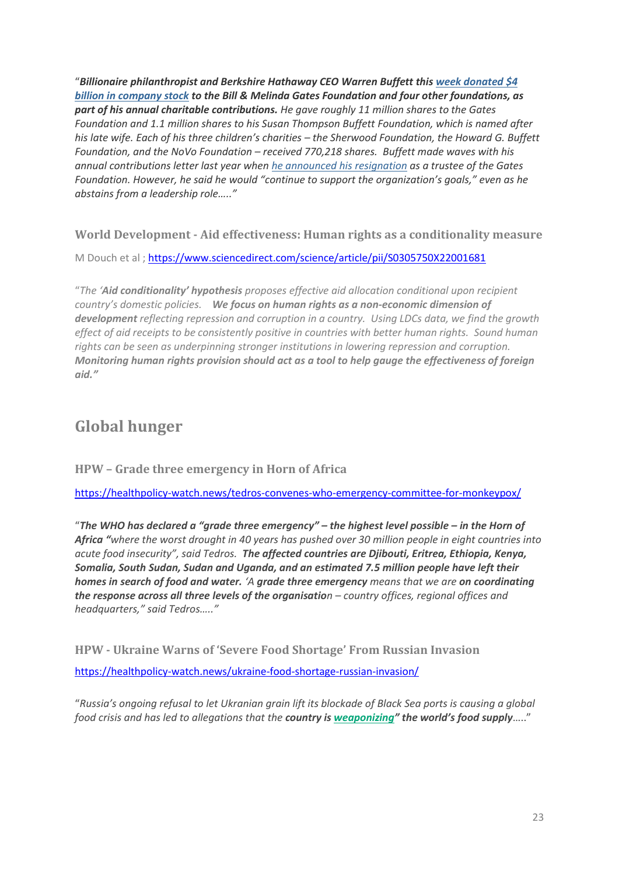"*Billionaire philanthropist and Berkshire Hathaway CEO Warren Buffett this [week donated \\$4](https://www.berkshirehathaway.com/news/jun1422.pdf)  [billion in company stock](https://www.berkshirehathaway.com/news/jun1422.pdf) to the Bill & Melinda Gates Foundation and four other foundations, as part of his annual charitable contributions. He gave roughly 11 million shares to the Gates Foundation and 1.1 million shares to his Susan Thompson Buffett Foundation, which is named after his late wife. Each of his three children's charities – the Sherwood Foundation, the Howard G. Buffett Foundation, and the NoVo Foundation – received 770,218 shares. Buffett made waves with his annual contributions letter last year when [he announced his resignation](https://www.devex.com/news/buffett-steps-down-from-gates-adding-to-questions-about-its-future-100215) as a trustee of the Gates Foundation. However, he said he would "continue to support the organization's goals," even as he abstains from a leadership role….."*

**World Development - Aid effectiveness: Human rights as a conditionality measure**

M Douch et al ; <https://www.sciencedirect.com/science/article/pii/S0305750X22001681>

"*The 'Aid conditionality' hypothesis proposes effective aid allocation conditional upon recipient country's domestic policies. We focus on human rights as a non-economic dimension of development reflecting repression and corruption in a country. Using LDCs data, we find the growth effect of aid receipts to be consistently positive in countries with better human rights. Sound human rights can be seen as underpinning stronger institutions in lowering repression and corruption. Monitoring human rights provision should act as a tool to help gauge the effectiveness of foreign aid."*

## **Global hunger**

#### **HPW – Grade three emergency in Horn of Africa**

<https://healthpolicy-watch.news/tedros-convenes-who-emergency-committee-for-monkeypox/>

"*The WHO has declared a "grade three emergency" – the highest level possible – in the Horn of Africa "where the worst drought in 40 years has pushed over 30 million people in eight countries into acute food insecurity", said Tedros. The affected countries are Djibouti, Eritrea, Ethiopia, Kenya, Somalia, South Sudan, Sudan and Uganda, and an estimated 7.5 million people have left their homes in search of food and water. 'A grade three emergency means that we are on coordinating the response across all three levels of the organisation – country offices, regional offices and headquarters," said Tedros….."*

**HPW - Ukraine Warns of 'Severe Food Shortage' From Russian Invasion** <https://healthpolicy-watch.news/ukraine-food-shortage-russian-invasion/>

"*Russia's ongoing refusal to let Ukranian grain lift its blockade of Black Sea ports is causing a global food crisis and has led to allegations that the country is [weaponizing](https://www.state.gov/secretary-antony-j-blinken-and-secretary-thomas-j-vilsack-opening-remarks-at-a-virtual-roundtable-discussion-on-food-security-issues-arising-from-russias-invasion-of-ukraine/)" the world's food supply*….."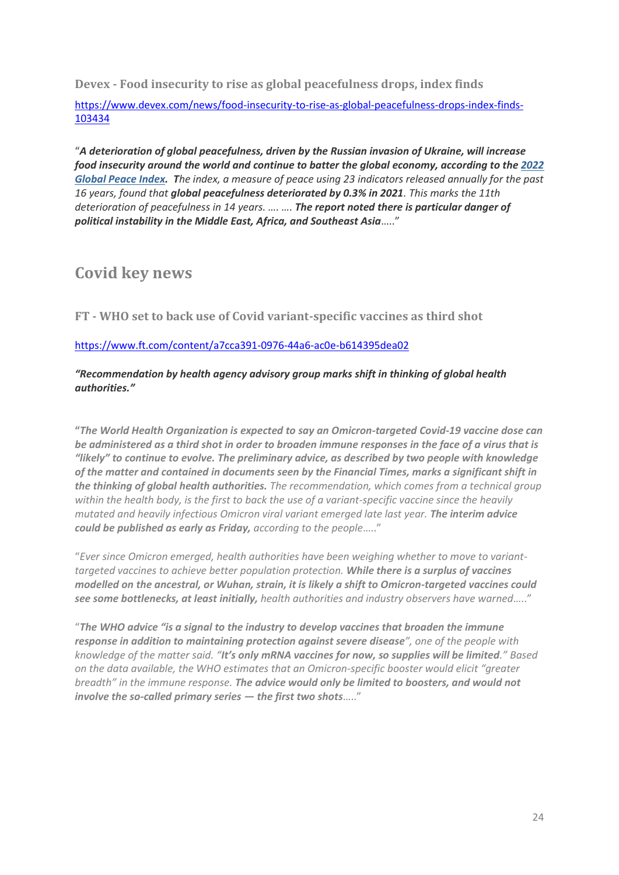**Devex - Food insecurity to rise as global peacefulness drops, index finds**

[https://www.devex.com/news/food-insecurity-to-rise-as-global-peacefulness-drops-index-finds-](https://www.devex.com/news/food-insecurity-to-rise-as-global-peacefulness-drops-index-finds-103434)[103434](https://www.devex.com/news/food-insecurity-to-rise-as-global-peacefulness-drops-index-finds-103434)

"*A deterioration of global peacefulness, driven by the Russian invasion of Ukraine, will increase food insecurity around the world and continue to batter the global economy, according to the [2022](https://www.visionofhumanity.org/peacefulness-declines-to-lowest-level-in-15-years/)  [Global Peace Index.](https://www.visionofhumanity.org/peacefulness-declines-to-lowest-level-in-15-years/) The index, a measure of peace using 23 indicators released annually for the past 16 years, found that global peacefulness deteriorated by 0.3% in 2021. This marks the 11th deterioration of peacefulness in 14 years. …. …. The report noted there is particular danger of political instability in the Middle East, Africa, and Southeast Asia*….."

### **Covid key news**

**FT - WHO set to back use of Covid variant-specific vaccines as third shot**

#### <https://www.ft.com/content/a7cca391-0976-44a6-ac0e-b614395dea02>

*"Recommendation by health agency advisory group marks shift in thinking of global health authorities."*

**"***The World Health Organization is expected to say an Omicron-targeted Covid-19 vaccine dose can be administered as a third shot in order to broaden immune responses in the face of a virus that is "likely" to continue to evolve. The preliminary advice, as described by two people with knowledge of the matter and contained in documents seen by the Financial Times, marks a significant shift in the thinking of global health authorities. The recommendation, which comes from a technical group within the health body, is the first to back the use of a variant-specific vaccine since the heavily mutated and heavily infectious Omicron viral variant emerged late last year. The interim advice could be published as early as Friday, according to the people*….."

"*Ever since Omicron emerged, health authorities have been weighing whether to move to varianttargeted vaccines to achieve better population protection. While there is a surplus of vaccines modelled on the ancestral, or Wuhan, strain, it is likely a shift to Omicron-targeted vaccines could see some bottlenecks, at least initially, health authorities and industry observers have warned*….."

"*The WHO advice "is a signal to the industry to develop vaccines that broaden the immune response in addition to maintaining protection against severe disease", one of the people with knowledge of the matter said. "It's only mRNA vaccines for now, so supplies will be limited." Based on the data available, the WHO estimates that an Omicron-specific booster would elicit "greater breadth" in the immune response. The advice would only be limited to boosters, and would not involve the so-called primary series — the first two shots*….."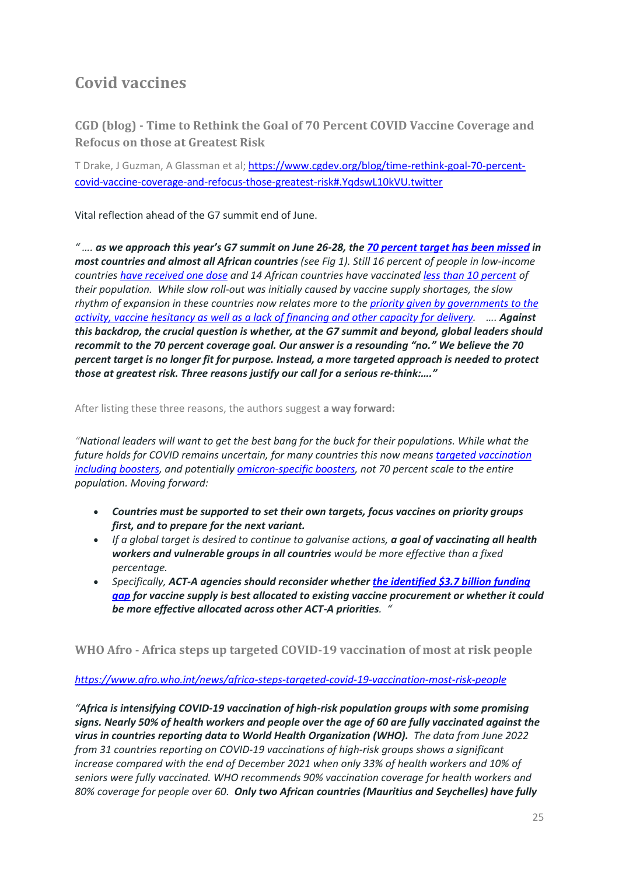# **Covid vaccines**

**CGD (blog) - Time to Rethink the Goal of 70 Percent COVID Vaccine Coverage and Refocus on those at Greatest Risk**

T Drake, J Guzman, A Glassman et al; [https://www.cgdev.org/blog/time-rethink-goal-70-percent](https://www.cgdev.org/blog/time-rethink-goal-70-percent-covid-vaccine-coverage-and-refocus-those-greatest-risk#.YqdswL10kVU.twitter)[covid-vaccine-coverage-and-refocus-those-greatest-risk#.YqdswL10kVU.twitter](https://www.cgdev.org/blog/time-rethink-goal-70-percent-covid-vaccine-coverage-and-refocus-those-greatest-risk#.YqdswL10kVU.twitter)

Vital reflection ahead of the G7 summit end of June.

*" …. as we approach this year's G7 summit on June 26-28, the [70 percent target has been missed](http://covid19globaltracker.org/) in most countries and almost all African countries (see Fig 1). Still 16 percent of people in low-income countries [have received one dose](https://ourworldindata.org/covid-vaccinations) and 14 African countries have vaccinated [less than 10 percent](https://africacdc.org/covid-19-vaccination/) of their population. While slow roll-out was initially caused by vaccine supply shortages, the slow rhythm of expansion in these countries now relates more to the [priority given by governments to the](https://www.devex.com/news/covid-19-vaccine-delivery-and-demand-slowing-down-103187)  [activity, vaccine hesitancy as well as a lack of financing and other capacity for delivery.](https://www.devex.com/news/covid-19-vaccine-delivery-and-demand-slowing-down-103187) …. Against this backdrop, the crucial question is whether, at the G7 summit and beyond, global leaders should recommit to the 70 percent coverage goal. Our answer is a resounding "no." We believe the 70 percent target is no longer fit for purpose. Instead, a more targeted approach is needed to protect those at greatest risk. Three reasons justify our call for a serious re-think:…."*

After listing these three reasons, the authors suggest **a way forward:**

*"National leaders will want to get the best bang for the buck for their populations. While what the future holds for COVID remains uncertain, for many countries this now means [targeted vaccination](https://www.who.int/news/item/17-05-2022-interim-statement-on-the-use-of-additional-booster-doses-of-emergency-use-listed-mrna-vaccines-against-covid-19)  [including boosters,](https://www.who.int/news/item/17-05-2022-interim-statement-on-the-use-of-additional-booster-doses-of-emergency-use-listed-mrna-vaccines-against-covid-19) and potentially [omicron-specific boosters,](https://www.washingtonpost.com/health/2022/06/08/moderna-booster-omicron-coronavirus-trial/) not 70 percent scale to the entire population. Moving forward:*

- *Countries must be supported to set their own targets, focus vaccines on priority groups first, and to prepare for the next variant.*
- *If a global target is desired to continue to galvanise actions, a goal of vaccinating all health workers and vulnerable groups in all countries would be more effective than a fixed percentage.*
- *Specifically, ACT-A agencies should reconsider whether [the identified \\$3.7 billion funding](https://www.who.int/publications/m/item/access-to-covid-19-tools-tracker)  [gap](https://www.who.int/publications/m/item/access-to-covid-19-tools-tracker) for vaccine supply is best allocated to existing vaccine procurement or whether it could be more effective allocated across other ACT-A priorities. "*

**WHO Afro - Africa steps up targeted COVID-19 vaccination of most at risk people**

#### *<https://www.afro.who.int/news/africa-steps-targeted-covid-19-vaccination-most-risk-people>*

*"Africa is intensifying COVID-19 vaccination of high-risk population groups with some promising signs. Nearly 50% of health workers and people over the age of 60 are fully vaccinated against the virus in countries reporting data to World Health Organization (WHO). The data from June 2022 from 31 countries reporting on COVID-19 vaccinations of high-risk groups shows a significant increase compared with the end of December 2021 when only 33% of health workers and 10% of seniors were fully vaccinated. WHO recommends 90% vaccination coverage for health workers and 80% coverage for people over 60. Only two African countries (Mauritius and Seychelles) have fully*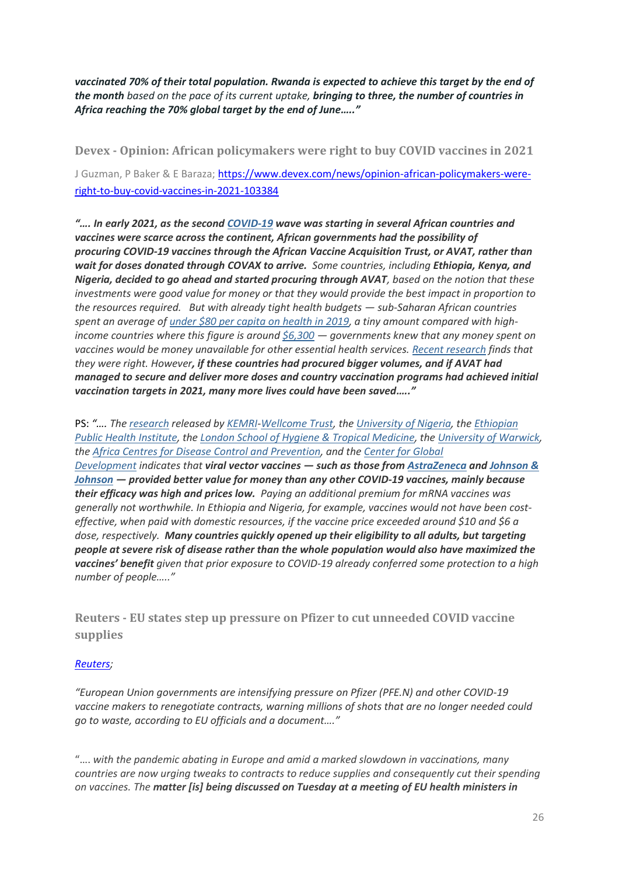*vaccinated 70% of their total population. Rwanda is expected to achieve this target by the end of the month based on the pace of its current uptake, bringing to three, the number of countries in Africa reaching the 70% global target by the end of June….."*

**Devex - Opinion: African policymakers were right to buy COVID vaccines in 2021** J Guzman, P Baker & E Baraza[; https://www.devex.com/news/opinion-african-policymakers-were](https://www.devex.com/news/opinion-african-policymakers-were-right-to-buy-covid-vaccines-in-2021-103384)[right-to-buy-covid-vaccines-in-2021-103384](https://www.devex.com/news/opinion-african-policymakers-were-right-to-buy-covid-vaccines-in-2021-103384)

*"…. In early 2021, as the second [COVID-19](https://www.devex.com/focus/covid-19) wave was starting in several African countries and vaccines were scarce across the continent, African governments had the possibility of procuring COVID-19 vaccines through the African Vaccine Acquisition Trust, or AVAT, rather than wait for doses donated through COVAX to arrive. Some countries, including Ethiopia, Kenya, and Nigeria, decided to go ahead and started procuring through AVAT, based on the notion that these investments were good value for money or that they would provide the best impact in proportion to the resources required. But with already tight health budgets — sub-Saharan African countries spent an average of [under \\$80 per capita on health in 2019,](https://data.worldbank.org/indicator/SH.XPD.CHEX.PC.CD?locations=ZG) a tiny amount compared with highincome countries where this figure is around [\\$6,300](https://data.worldbank.org/indicator/SH.XPD.CHEX.PP.CD?locations=XD) — governments knew that any money spent on vaccines would be money unavailable for other essential health services. [Recent research](https://www.cgdev.org/blog/price-priorities-pace-three-factors-drive-cost-effectiveness-covid-19-vaccination-strategies) finds that they were right. However, if these countries had procured bigger volumes, and if AVAT had managed to secure and deliver more doses and country vaccination programs had achieved initial vaccination targets in 2021, many more lives could have been saved….."*

PS: *"…. The [research](https://www.cgdev.org/blog/price-priorities-pace-three-factors-drive-cost-effectiveness-covid-19-vaccination-strategies) released by [KEMRI-](https://www.devex.com/organizations/kenya-medical-research-institute-kemri-48628)[Wellcome Trust,](https://www.devex.com/organizations/wellcome-46514) the [University of Nigeria,](https://www.devex.com/organizations/university-of-nigeria-133027) the [Ethiopian](https://www.devex.com/organizations/ethiopian-public-health-institute-ephi-119600)  [Public Health Institute,](https://www.devex.com/organizations/ethiopian-public-health-institute-ephi-119600) the [London School of Hygiene & Tropical Medicine,](https://www.devex.com/organizations/london-school-of-hygiene-and-tropical-medicine-lshtm-20341) the [University of Warwick,](https://www.devex.com/organizations/the-university-of-warwick-70917) the [Africa](https://www.devex.com/organizations/centres-for-disease-control-and-prevention-africa-cdc-120577) [Centres](https://www.devex.com/organizations/centres-for-disease-control-and-prevention-africa-cdc-120577) [for Disease Control and Prevention,](https://www.devex.com/organizations/centres-for-disease-control-and-prevention-africa-cdc-120577) and the [Center for Global](https://www.devex.com/organizations/center-for-global-development-44582)  [Development](https://www.devex.com/organizations/center-for-global-development-44582) indicates that viral vector vaccines — such as those from [AstraZeneca](https://www.devex.com/organizations/astrazeneca-plc-48751) and [Johnson &](https://www.devex.com/organizations/johnson-johnson-48575)  [Johnson](https://www.devex.com/organizations/johnson-johnson-48575) — provided better value for money than any other COVID-19 vaccines, mainly because their efficacy was high and prices low. Paying an additional premium for mRNA vaccines was generally not worthwhile. In Ethiopia and Nigeria, for example, vaccines would not have been costeffective, when paid with domestic resources, if the vaccine price exceeded around \$10 and \$6 a dose, respectively. Many countries quickly opened up their eligibility to all adults, but targeting people at severe risk of disease rather than the whole population would also have maximized the vaccines' benefit given that prior exposure to COVID-19 already conferred some protection to a high number of people….."*

**Reuters - EU states step up pressure on Pfizer to cut unneeded COVID vaccine supplies**

#### *[Reuters;](https://www.reuters.com/business/healthcare-pharmaceuticals/eu-states-step-up-pressure-pfizer-cut-unneeded-covid-vaccine-supplies-2022-06-14/?taid=62a8713a802cad0001f8aaee&utm_campaign=trueanthem&utm_medium=trueanthem&utm_source=twitter)*

*"European Union governments are intensifying pressure on Pfizer [\(PFE.N\)](https://www.reuters.com/companies/PFE.N) and other COVID-19 vaccine makers to renegotiate contracts, warning millions of shots that are no longer needed could go to waste, according to EU officials and a document…."*

"…. *with the pandemic abating in Europe and amid a marked slowdown in vaccinations, many countries are now urging tweaks to contracts to reduce supplies and consequently cut their spending on vaccines. The matter [is] being discussed on Tuesday at a meeting of EU health ministers in*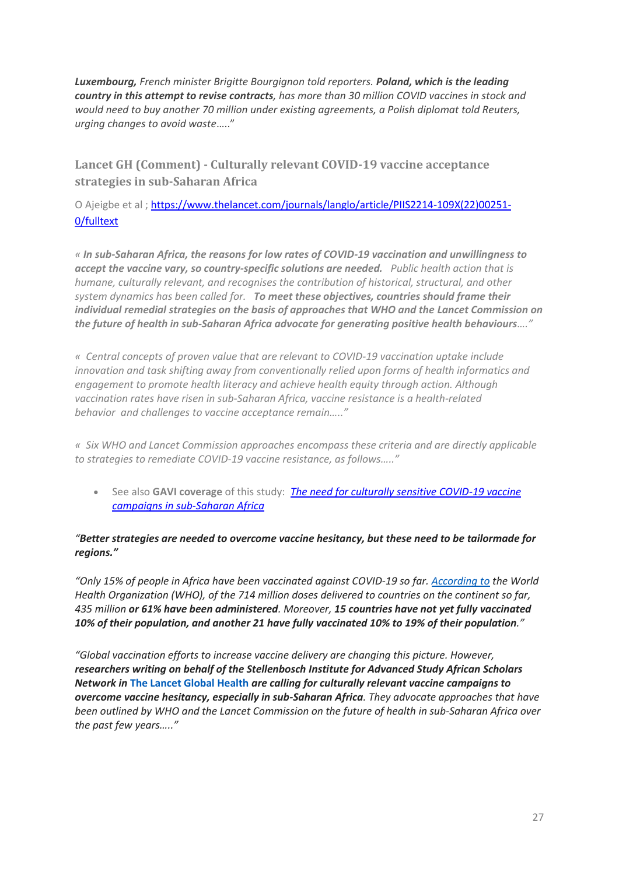*Luxembourg, French minister Brigitte Bourgignon told reporters. Poland, which is the leading country in this attempt to revise contracts, has more than 30 million COVID vaccines in stock and would need to buy another 70 million under existing agreements, a Polish diplomat told Reuters, urging changes to avoid waste*….."

**Lancet GH (Comment) - Culturally relevant COVID-19 vaccine acceptance strategies in sub-Saharan Africa**

O Ajeigbe et al ; [https://www.thelancet.com/journals/langlo/article/PIIS2214-109X\(22\)00251-](https://www.thelancet.com/journals/langlo/article/PIIS2214-109X(22)00251-0/fulltext) [0/fulltext](https://www.thelancet.com/journals/langlo/article/PIIS2214-109X(22)00251-0/fulltext)

*« In sub-Saharan Africa, the reasons for low rates of COVID-19 vaccination and unwillingness to accept the vaccine vary, so country-specific solutions are needed. Public health action that is humane, culturally relevant, and recognises the contribution of historical, structural, and other system dynamics has been called for. To meet these objectives, countries should frame their individual remedial strategies on the basis of approaches that WHO and the Lancet Commission on the future of health in sub-Saharan Africa advocate for generating positive health behaviours…."*

*« Central concepts of proven value that are relevant to COVID-19 vaccination uptake include innovation and task shifting away from conventionally relied upon forms of health informatics and engagement to promote health literacy and achieve health equity through action. Although vaccination rates have risen in sub-Saharan Africa, vaccine resistance is a health-related behavior and challenges to vaccine acceptance remain….."*

*« Six WHO and Lancet Commission approaches encompass these criteria and are directly applicable to strategies to remediate COVID-19 vaccine resistance, as follows….."*

• See also **GAVI coverage** of this study: *[The need for culturally sensitive COVID-19 vaccine](https://www.gavi.org/vaccineswork/need-culturally-sensitive-covid-19-vaccine-campaigns-sub-saharan-africa)  [campaigns in sub-Saharan Africa](https://www.gavi.org/vaccineswork/need-culturally-sensitive-covid-19-vaccine-campaigns-sub-saharan-africa)*

#### *"Better strategies are needed to overcome vaccine hesitancy, but these need to be tailormade for regions."*

*"Only 15% of people in Africa have been vaccinated against COVID-19 so far. [According to](https://www.afro.who.int/news/africas-covid-19-vaccine-uptake-increases-15) the World Health Organization (WHO), of the 714 million doses delivered to countries on the continent so far, 435 million or 61% have been administered. Moreover, 15 countries have not yet fully vaccinated 10% of their population, and another 21 have fully vaccinated 10% to 19% of their population."*

*"Global vaccination efforts to increase vaccine delivery are changing this picture. However, researchers writing on behalf of the Stellenbosch Institute for Advanced Study African Scholars Network in* **[The Lancet Global Health](https://www.thelancet.com/journals/langlo/article/PIIS2214-109X(22)00251-0/fulltext)** *are calling for culturally relevant vaccine campaigns to overcome vaccine hesitancy, especially in sub-Saharan Africa. They advocate approaches that have been outlined by WHO and the Lancet Commission on the future of health in sub-Saharan Africa over the past few years….."*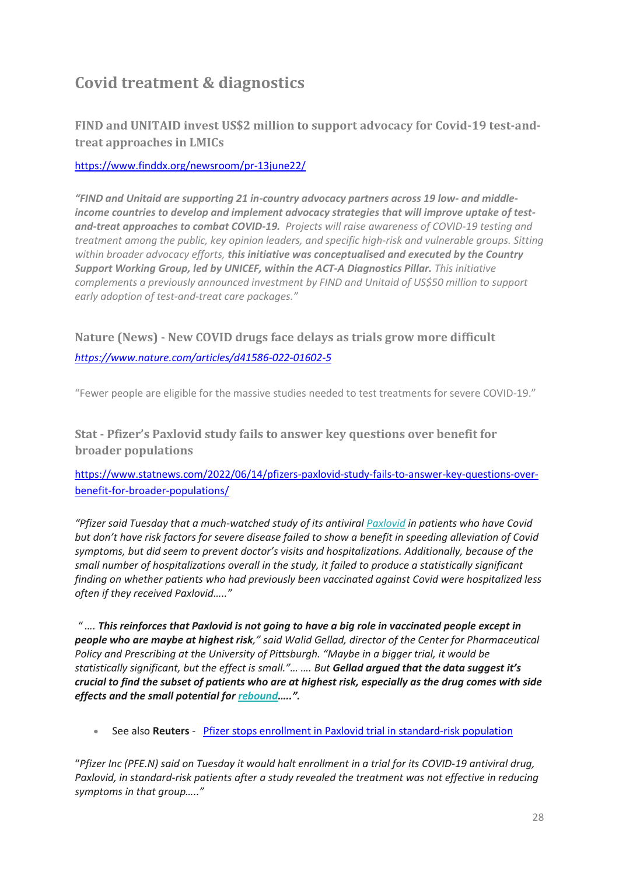# **Covid treatment & diagnostics**

**FIND and UNITAID invest US\$2 million to support advocacy for Covid-19 test-andtreat approaches in LMICs**

<https://www.finddx.org/newsroom/pr-13june22/>

*"FIND and Unitaid are supporting 21 in-country advocacy partners across 19 low- and middleincome countries to develop and implement advocacy strategies that will improve uptake of testand-treat approaches to combat COVID-19. Projects will raise awareness of COVID-19 testing and treatment among the public, key opinion leaders, and specific high-risk and vulnerable groups. Sitting within broader advocacy efforts, this initiative was conceptualised and executed by the Country Support Working Group, led by UNICEF, within the ACT-A Diagnostics Pillar. This initiative complements a previously announced investment by FIND and Unitaid of US\$50 million to support early adoption of test-and-treat care packages."*

**Nature (News) - New COVID drugs face delays as trials grow more difficult** *<https://www.nature.com/articles/d41586-022-01602-5>*

"Fewer people are eligible for the massive studies needed to test treatments for severe COVID-19."

**Stat - Pfizer's Paxlovid study fails to answer key questions over benefit for broader populations**

[https://www.statnews.com/2022/06/14/pfizers-paxlovid-study-fails-to-answer-key-questions-over](https://www.statnews.com/2022/06/14/pfizers-paxlovid-study-fails-to-answer-key-questions-over-benefit-for-broader-populations/)[benefit-for-broader-populations/](https://www.statnews.com/2022/06/14/pfizers-paxlovid-study-fails-to-answer-key-questions-over-benefit-for-broader-populations/)

*"Pfizer said Tuesday that a much-watched study of its antiviral [Paxlovid](https://www.statnews.com/2022/05/24/paxlovid-rebound-has-covid-researchers-looking-for-theories/) in patients who have Covid but don't have risk factors for severe disease failed to show a benefit in speeding alleviation of Covid symptoms, but did seem to prevent doctor's visits and hospitalizations. Additionally, because of the small number of hospitalizations overall in the study, it failed to produce a statistically significant finding on whether patients who had previously been vaccinated against Covid were hospitalized less often if they received Paxlovid….."*

*" …. This reinforces that Paxlovid is not going to have a big role in vaccinated people except in people who are maybe at highest risk," said Walid Gellad, director of the Center for Pharmaceutical Policy and Prescribing at the University of Pittsburgh. "Maybe in a bigger trial, it would be statistically significant, but the effect is small."… …. But Gellad argued that the data suggest it's crucial to find the subset of patients who are at highest risk, especially as the drug comes with side effects and the small potential for [rebound](https://www.statnews.com/2022/05/24/paxlovid-rebound-has-covid-researchers-looking-for-theories/)…..".*

• See also **Reuters** - [Pfizer stops enrollment in Paxlovid trial in standard-risk population](https://www.reuters.com/business/healthcare-pharmaceuticals/pfizer-stops-enrollment-paxlovid-trial-standard-risk-population-2022-06-14/?taid=62a9361fb64e860001aa326e&utm_campaign=trueanthem&utm_medium=trueanthem&utm_source=twitter)

"*Pfizer Inc [\(PFE.N\)](https://www.reuters.com/companies/PFE.N) said on Tuesday it would halt enrollment in a trial for its COVID-19 antiviral drug, Paxlovid, in standard-risk patients after a study revealed the treatment was not effective in reducing symptoms in that group….."*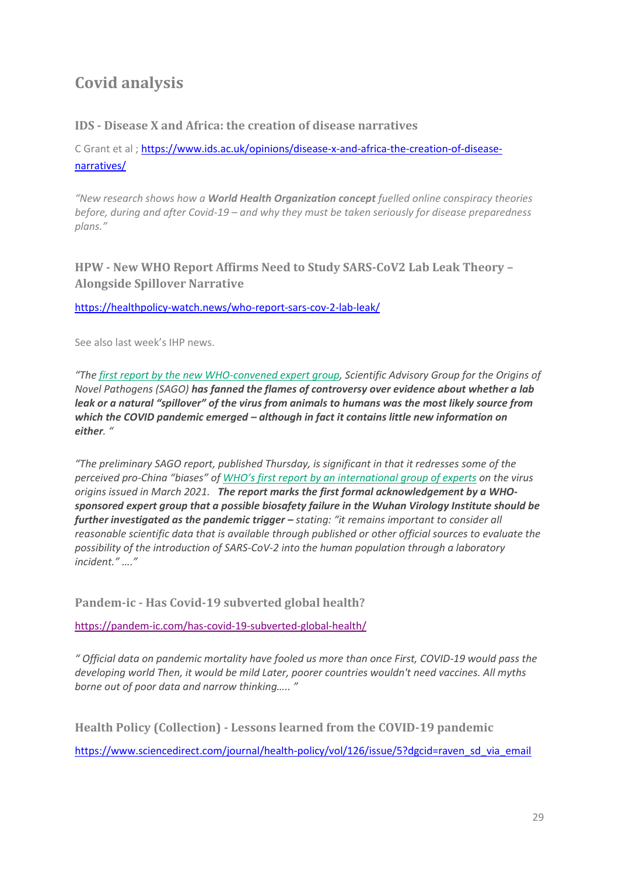# **Covid analysis**

### **IDS - Disease X and Africa: the creation of disease narratives**

C Grant et al ; [https://www.ids.ac.uk/opinions/disease-x-and-africa-the-creation-of-disease](https://www.ids.ac.uk/opinions/disease-x-and-africa-the-creation-of-disease-narratives/)[narratives/](https://www.ids.ac.uk/opinions/disease-x-and-africa-the-creation-of-disease-narratives/)

*"New research shows how a World Health Organization concept fuelled online conspiracy theories before, during and after Covid-19 – and why they must be taken seriously for disease preparedness plans."*

**HPW - New WHO Report Affirms Need to Study SARS-CoV2 Lab Leak Theory – Alongside Spillover Narrative**

<https://healthpolicy-watch.news/who-report-sars-cov-2-lab-leak/>

See also last week's IHP news.

*"The [first report by the new WHO-convened expert group,](https://www.who.int/publications/m/item/scientific-advisory-group-on-the-origins-of-novel-pathogens-report) Scientific Advisory Group for the Origins of Novel Pathogens (SAGO) has fanned the flames of controversy over evidence about whether a lab leak or a natural "spillover" of the virus from animals to humans was the most likely source from which the COVID pandemic emerged – although in fact it contains little new information on either. "*

*"The preliminary SAGO report, published Thursday, is significant in that it redresses some of the perceived pro-China "biases" of [WHO's first report by an internationa](https://healthpolicy-watch.news/sars-cov2-virus-origins-report/)l group of experts on the virus origins issued in March 2021. The report marks the first formal acknowledgement by a WHOsponsored expert group that a possible biosafety failure in the Wuhan Virology Institute should be further investigated as the pandemic trigger – stating: "it remains important to consider all reasonable scientific data that is available through published or other official sources to evaluate the possibility of the introduction of SARS-CoV-2 into the human population through a laboratory incident." …."*

**Pandem-ic - Has Covid-19 subverted global health?** 

<https://pandem-ic.com/has-covid-19-subverted-global-health/>

*" Official data on pandemic mortality have fooled us more than once First, COVID-19 would pass the developing world Then, it would be mild Later, poorer countries wouldn't need vaccines. All myths borne out of poor data and narrow thinking….. "*

**Health Policy (Collection) - Lessons learned from the COVID-19 pandemic**

https://www.sciencedirect.com/journal/health-policy/vol/126/issue/5?dgcid=raven\_sd\_via\_email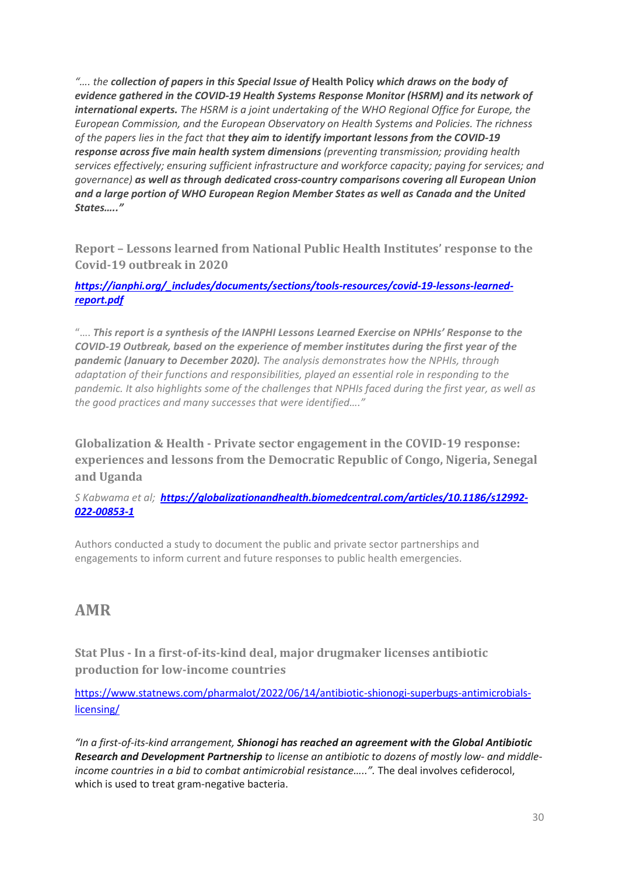*"…. the collection of papers in this Special Issue of* **Health Policy** *which draws on the body of evidence gathered in the COVID-19 Health Systems Response Monitor (HSRM) and its network of international experts. The HSRM is a joint undertaking of the WHO Regional Office for Europe, the European Commission, and the European Observatory on Health Systems and Policies. The richness of the papers lies in the fact that they aim to identify important lessons from the COVID-19 response across five main health system dimensions (preventing transmission; providing health services effectively; ensuring sufficient infrastructure and workforce capacity; paying for services; and governance) as well as through dedicated cross-country comparisons covering all European Union and a large portion of WHO European Region Member States as well as Canada and the United States….."*

**Report – Lessons learned from National Public Health Institutes' response to the Covid-19 outbreak in 2020**

*[https://ianphi.org/\\_includes/documents/sections/tools-resources/covid-19-lessons-learned](https://ianphi.org/_includes/documents/sections/tools-resources/covid-19-lessons-learned-report.pdf)[report.pdf](https://ianphi.org/_includes/documents/sections/tools-resources/covid-19-lessons-learned-report.pdf)*

"…. *This report is a synthesis of the IANPHI Lessons Learned Exercise on NPHIs' Response to the COVID-19 Outbreak, based on the experience of member institutes during the first year of the pandemic (January to December 2020). The analysis demonstrates how the NPHIs, through adaptation of their functions and responsibilities, played an essential role in responding to the pandemic. It also highlights some of the challenges that NPHIs faced during the first year, as well as the good practices and many successes that were identified…."*

**Globalization & Health - Private sector engagement in the COVID-19 response: experiences and lessons from the Democratic Republic of Congo, Nigeria, Senegal and Uganda**

*S Kabwama et al; [https://globalizationandhealth.biomedcentral.com/articles/10.1186/s12992-](https://globalizationandhealth.biomedcentral.com/articles/10.1186/s12992-022-00853-1) [022-00853-1](https://globalizationandhealth.biomedcentral.com/articles/10.1186/s12992-022-00853-1)*

Authors conducted a study to document the public and private sector partnerships and engagements to inform current and future responses to public health emergencies.

### **AMR**

**Stat Plus - In a first-of-its-kind deal, major drugmaker licenses antibiotic production for low-income countries**

[https://www.statnews.com/pharmalot/2022/06/14/antibiotic-shionogi-superbugs-antimicrobials](https://www.statnews.com/pharmalot/2022/06/14/antibiotic-shionogi-superbugs-antimicrobials-licensing/)[licensing/](https://www.statnews.com/pharmalot/2022/06/14/antibiotic-shionogi-superbugs-antimicrobials-licensing/)

*"In a first-of-its-kind arrangement, Shionogi has reached an agreement with the Global Antibiotic Research and Development Partnership to license an antibiotic to dozens of mostly low- and middleincome countries in a bid to combat antimicrobial resistance…..".* The deal involves cefiderocol, which is used to treat gram-negative bacteria.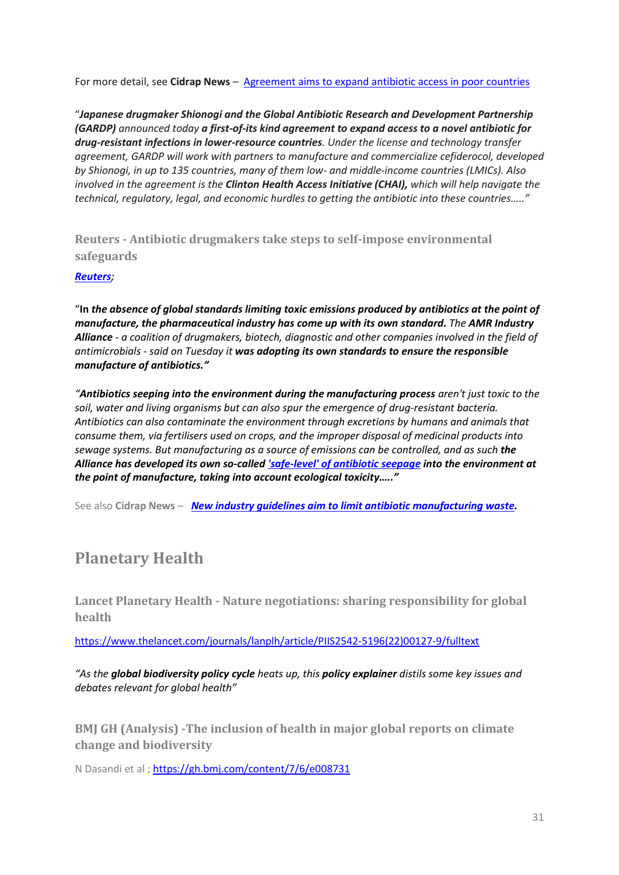For more detail, see **Cidrap News** - [Agreement aims to expand antibiotic access in poor countries](https://www.cidrap.umn.edu/news-perspective/2022/06/agreement-aims-expand-antibiotic-access-poor-countries)

"*Japanese drugmaker Shionogi and the Global Antibiotic Research and Development Partnership (GARDP) announced today a first-of-its kind agreement to expand access to a novel antibiotic for drug-resistant infections in lower-resource countries. Under the license and technology transfer agreement, GARDP will work with partners to manufacture and commercialize cefiderocol, developed by Shionogi, in up to 135 countries, many of them low- and middle-income countries (LMICs). Also involved in the agreement is the Clinton Health Access Initiative (CHAI), which will help navigate the technical, regulatory, legal, and economic hurdles to getting the antibiotic into these countries….."*

**Reuters - Antibiotic drugmakers take steps to self-impose environmental safeguards**

#### *[Reuters;](https://www.reuters.com/business/healthcare-pharmaceuticals/antibiotic-drugmakers-take-steps-self-impose-environmental-safeguards-2022-06-14/?taid=62a889d7b64e860001aa1135&utm_campaign=trueanthem&utm_medium=trueanthem&utm_source=twitter)*

"**In** *the absence of global standards limiting toxic emissions produced by antibiotics at the point of manufacture, the pharmaceutical industry has come up with its own standard. The AMR Industry Alliance - a coalition of drugmakers, biotech, diagnostic and other companies involved in the field of antimicrobials - said on Tuesday it was adopting its own standards to ensure the responsible manufacture of antibiotics."*

*"Antibiotics seeping into the environment during the manufacturing process aren't just toxic to the soil, water and living organisms but can also spur the emergence of drug-resistant bacteria. Antibiotics can also contaminate the environment through excretions by humans and animals that consume them, via fertilisers used on crops, and the improper disposal of medicinal products into sewage systems. But manufacturing as a source of emissions can be controlled, and as such the Alliance has developed its own so-calle[d 'safe-level' of antibiotic seepage](https://www.amrindustryalliance.org/wp-content/uploads/2022/04/AMR-Table-1-Update-February-2022.pdf) into the environment at the point of manufacture, taking into account ecological toxicity….."*

See also **Cidrap News** – *[New industry guidelines aim to limit antibiotic manufacturing waste.](https://www.cidrap.umn.edu/news-perspective/2022/06/new-industry-guidelines-aim-limit-antibiotic-manufacturing-waste)* 

# **Planetary Health**

**Lancet Planetary Health - Nature negotiations: sharing responsibility for global health**

[https://www.thelancet.com/journals/lanplh/article/PIIS2542-5196\(22\)00127-9/fulltext](https://www.thelancet.com/journals/lanplh/article/PIIS2542-5196(22)00127-9/fulltext)

*"As the global biodiversity policy cycle heats up, this policy explainer distils some key issues and debates relevant for global health"*

**BMJ GH (Analysis) -The inclusion of health in major global reports on climate change and biodiversity**

N Dasandi et al ; <https://gh.bmj.com/content/7/6/e008731>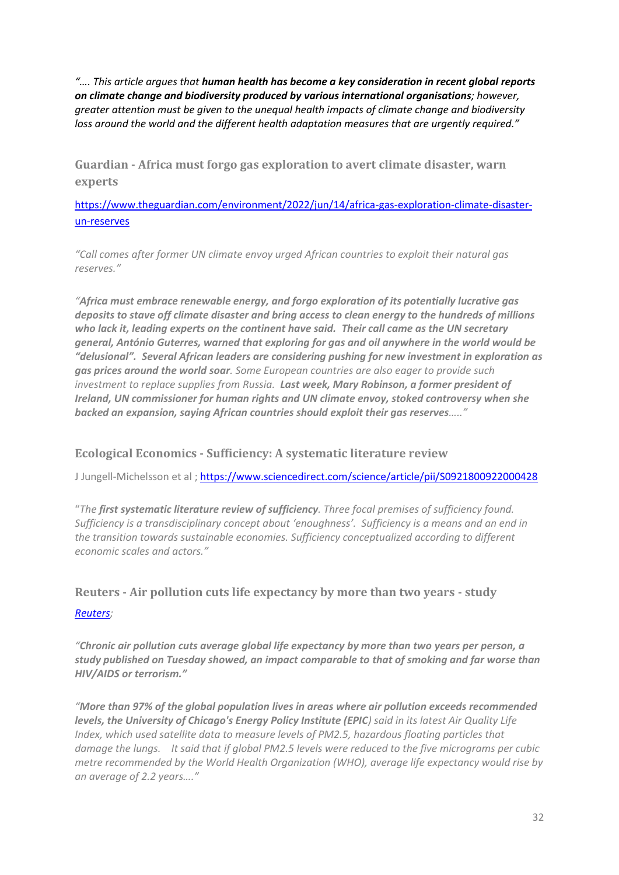*"…. This article argues that human health has become a key consideration in recent global reports on climate change and biodiversity produced by various international organisations; however, greater attention must be given to the unequal health impacts of climate change and biodiversity loss around the world and the different health adaptation measures that are urgently required."*

**Guardian - Africa must forgo gas exploration to avert climate disaster, warn experts**

[https://www.theguardian.com/environment/2022/jun/14/africa-gas-exploration-climate-disaster](https://www.theguardian.com/environment/2022/jun/14/africa-gas-exploration-climate-disaster-un-reserves)[un-reserves](https://www.theguardian.com/environment/2022/jun/14/africa-gas-exploration-climate-disaster-un-reserves)

*"Call comes after former UN climate envoy urged African countries to exploit their natural gas reserves."*

*"Africa must embrace renewable energy, and forgo exploration of its potentially lucrative gas deposits to stave off climate disaster and bring access to clean energy to the hundreds of millions who lack it, leading experts on the continent have said. Their call came as the UN secretary general, António Guterres, warned that exploring for gas and oil anywhere in the world would be "delusional". Several African leaders are considering pushing for new investment in exploration as gas prices around the world soar. Some European countries are also eager to provide such investment to replace supplies from Russia. Last week, Mary Robinson, a former president of Ireland, UN commissioner for human rights and UN climate envoy, stoked controversy when she backed an expansion, saying African countries should exploit their gas reserves….."*

### **Ecological Economics - Sufficiency: A systematic literature review**

J Jungell-Michelsson et al ; <https://www.sciencedirect.com/science/article/pii/S0921800922000428>

"*The first systematic literature review of sufficiency. Three focal premises of sufficiency found. Sufficiency is a transdisciplinary concept about 'enoughness'. Sufficiency is a means and an end in the transition towards sustainable economies. Sufficiency conceptualized according to different economic scales and actors."*

### **Reuters - Air pollution cuts life expectancy by more than two years - study** *[Reuters;](https://www.reuters.com/business/healthcare-pharmaceuticals/air-pollution-cuts-life-expectancy-by-more-than-two-years-study-2022-06-14/?taid=62a86db6802cad0001f8aa8d&utm_campaign=trueanthem&utm_medium=trueanthem&utm_source=twitter)*

*"Chronic air pollution cuts average global life expectancy by more than two years per person, a study published on Tuesday showed, an impact comparable to that of smoking and far worse than HIV/AIDS or terrorism."*

*"More than 97% of the global population lives in areas where air pollution exceeds recommended levels, the University of Chicago's Energy Policy Institute (EPIC) said in its latest Air Quality Life Index, which used satellite data to measure levels of PM2.5, hazardous floating particles that damage the lungs. It said that if global PM2.5 levels were reduced to the five micrograms per cubic metre recommended by the World Health Organization (WHO), average life expectancy would rise by an average of 2.2 years…."*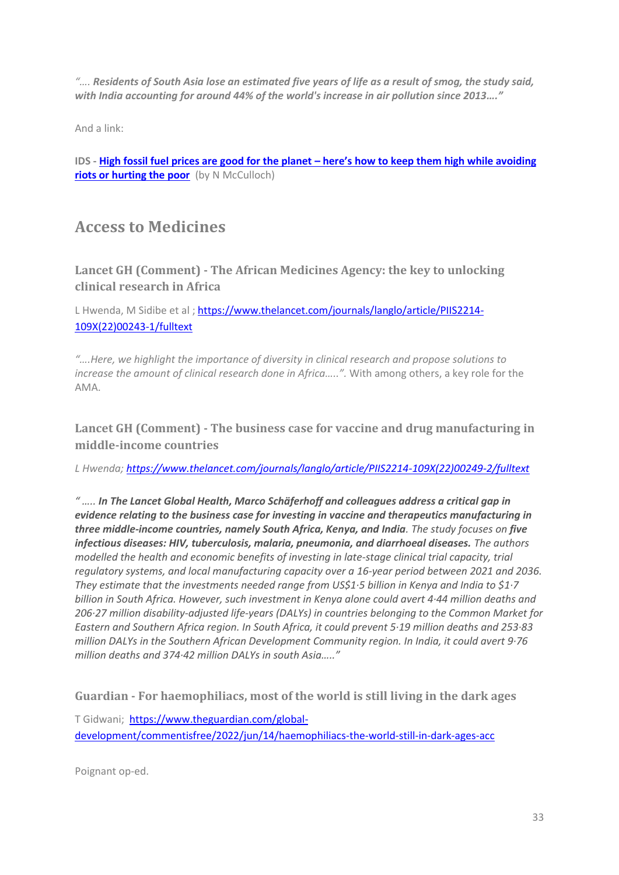*"…. Residents of South Asia lose an estimated five years of life as a result of smog, the study said, with India accounting for around 44% of the world's increase in air pollution since 2013…."*

And a link:

**IDS - High fossil fuel prices are good for the planet – [here's how to keep them high while avoiding](https://www.ids.ac.uk/opinions/high-fossil-fuel-prices-are-good-for-the-planet-heres-how-to-keep-them-high-while-avoiding-riots-or-hurting-the-poor/)  [riots or hurting the poor](https://www.ids.ac.uk/opinions/high-fossil-fuel-prices-are-good-for-the-planet-heres-how-to-keep-them-high-while-avoiding-riots-or-hurting-the-poor/)** (by N McCulloch)

### **Access to Medicines**

**Lancet GH (Comment) - The African Medicines Agency: the key to unlocking clinical research in Africa**

L Hwenda, M Sidibe et al ; [https://www.thelancet.com/journals/langlo/article/PIIS2214-](https://www.thelancet.com/journals/langlo/article/PIIS2214-109X(22)00243-1/fulltext) [109X\(22\)00243-1/fulltext](https://www.thelancet.com/journals/langlo/article/PIIS2214-109X(22)00243-1/fulltext)

*"….Here, we highlight the importance of diversity in clinical research and propose solutions to increase the amount of clinical research done in Africa…..".* With among others, a key role for the AMA.

**Lancet GH (Comment) - The business case for vaccine and drug manufacturing in middle-income countries**

*L Hwenda[; https://www.thelancet.com/journals/langlo/article/PIIS2214-109X\(22\)00249-2/fulltext](https://www.thelancet.com/journals/langlo/article/PIIS2214-109X(22)00249-2/fulltext)*

*" ….. In The Lancet Global Health, Marco Schäferhoff and colleagues address a critical gap in evidence relating to the business case for investing in vaccine and therapeutics manufacturing in three middle-income countries, namely South Africa, Kenya, and India. The study focuses on five infectious diseases: HIV, tuberculosis, malaria, pneumonia, and diarrhoeal diseases. The authors modelled the health and economic benefits of investing in late-stage clinical trial capacity, trial regulatory systems, and local manufacturing capacity over a 16-year period between 2021 and 2036. They estimate that the investments needed range from US\$1·5 billion in Kenya and India to \$1·7 billion in South Africa. However, such investment in Kenya alone could avert 4·44 million deaths and 206·27 million disability-adjusted life-years (DALYs) in countries belonging to the Common Market for Eastern and Southern Africa region. In South Africa, it could prevent 5·19 million deaths and 253·83 million DALYs in the Southern African Development Community region. In India, it could avert 9·76 million deaths and 374·42 million DALYs in south Asia….."*

**Guardian - For haemophiliacs, most of the world is still living in the dark ages**

T Gidwani; [https://www.theguardian.com/global](https://www.theguardian.com/global-development/commentisfree/2022/jun/14/haemophiliacs-the-world-still-in-dark-ages-acc)[development/commentisfree/2022/jun/14/haemophiliacs-the-world-still-in-dark-ages-acc](https://www.theguardian.com/global-development/commentisfree/2022/jun/14/haemophiliacs-the-world-still-in-dark-ages-acc)

Poignant op-ed.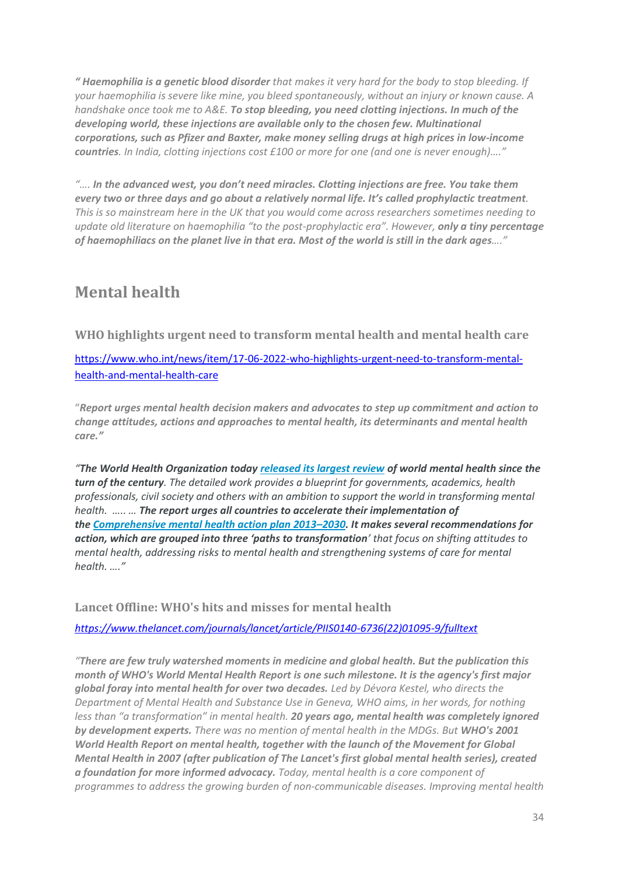*" [Haemophilia is a genetic blood disorder](https://www.nhs.uk/conditions/haemophilia/#:~:text=Haemophilia%20is%20a%20rare%20condition,sticky%20and%20form%20a%20clot.) that makes it very hard for the body to stop bleeding. If your haemophilia is severe like mine, you bleed spontaneously, without an injury or known cause. A handshake once took me to A&E. To stop bleeding, you need clotting injections. In much of the developing world, these injections are available only to the chosen few. Multinational corporations, such as Pfizer and Baxter, make money selling drugs at high prices in low-income countries. In India, clotting injections cost £100 or more for one (and one is never enough)…."*

*"…. In the advanced west, you don't need miracles. Clotting injections are free. You take them every two or three days and go about a relatively normal life. It's called prophylactic treatment. This is so mainstream here in the UK that you would come across researchers sometimes needing to update old literature on haemophilia "to the post-prophylactic era". However, only a tiny percentage of haemophiliacs on the planet live in that era. Most of the world is still in the dark ages…."*

# **Mental health**

**WHO highlights urgent need to transform mental health and mental health care**

[https://www.who.int/news/item/17-06-2022-who-highlights-urgent-need-to-transform-mental](https://www.who.int/news/item/17-06-2022-who-highlights-urgent-need-to-transform-mental-health-and-mental-health-care)[health-and-mental-health-care](https://www.who.int/news/item/17-06-2022-who-highlights-urgent-need-to-transform-mental-health-and-mental-health-care)

"*Report urges mental health decision makers and advocates to step up commitment and action to change attitudes, actions and approaches to mental health, its determinants and mental health care."*

*"The World Health Organization today [released its largest review](https://www.who.int/publications-detail-redirect/9789240049338) of world mental health since the turn of the century. The detailed work provides a blueprint for governments, academics, health professionals, civil society and others with an ambition to support the world in transforming mental health. ….. … The report urges all countries to accelerate their implementation of the [Comprehensive mental health action plan 2013](https://www.who.int/publications/m/item/mental-health-action-plan-2013-2030-flyer-what-member-states-can-do#:~:text=The%20Comprehensive%20Mental%20Health%20Action%20Plan%202013-2030%20builds,to%20achieve%20universal%20coverage%20for%20mental%20health%20services.)–2030. It makes several recommendations for action, which are grouped into three 'paths to transformation' that focus on shifting attitudes to mental health, addressing risks to mental health and strengthening systems of care for mental health. …."*

**Lancet Offline: WHO's hits and misses for mental health**

*[https://www.thelancet.com/journals/lancet/article/PIIS0140-6736\(22\)01095-9/fulltext](https://www.thelancet.com/journals/lancet/article/PIIS0140-6736(22)01095-9/fulltext)*

*"There are few truly watershed moments in medicine and global health. But the publication this month of WHO's World Mental Health Report is one such milestone. It is the agency's first major global foray into mental health for over two decades. Led by Dévora Kestel, who directs the Department of Mental Health and Substance Use in Geneva, WHO aims, in her words, for nothing less than "a transformation" in mental health. 20 years ago, mental health was completely ignored by development experts. There was no mention of mental health in the MDGs. But WHO's 2001 World Health Report on mental health, together with the launch of the Movement for Global Mental Health in 2007 (after publication of The Lancet's first global mental health series), created a foundation for more informed advocacy. Today, mental health is a core component of programmes to address the growing burden of non-communicable diseases. Improving mental health*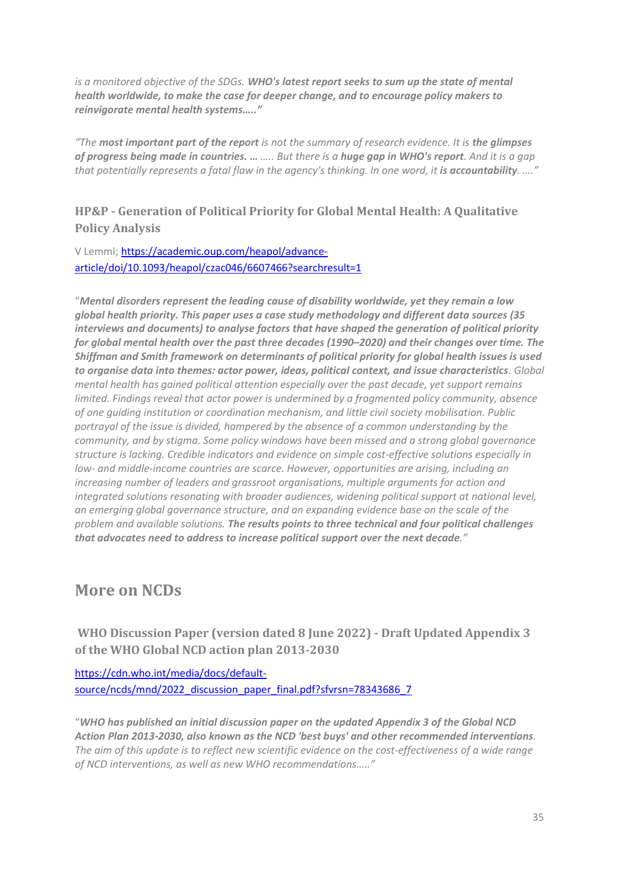*is a monitored objective of the SDGs. WHO's latest report seeks to sum up the state of mental health worldwide, to make the case for deeper change, and to encourage policy makers to reinvigorate mental health systems….."*

*"The most important part of the report is not the summary of research evidence. It is the glimpses of progress being made in countries. … ….. But there is a huge gap in WHO's report. And it is a gap*  that potentially represents a fatal flaw in the agency's thinking. In one word, it is accountability. ....<sup>"</sup>

### **HP&P - Generation of Political Priority for Global Mental Health: A Qualitative Policy Analysis**

#### V Lemmi; [https://academic.oup.com/heapol/advance](https://academic.oup.com/heapol/advance-article/doi/10.1093/heapol/czac046/6607466?searchresult=1)[article/doi/10.1093/heapol/czac046/6607466?searchresult=1](https://academic.oup.com/heapol/advance-article/doi/10.1093/heapol/czac046/6607466?searchresult=1)

"*Mental disorders represent the leading cause of disability worldwide, yet they remain a low global health priority. This paper uses a case study methodology and different data sources (35 interviews and documents) to analyse factors that have shaped the generation of political priority for global mental health over the past three decades (1990–2020) and their changes over time. The Shiffman and Smith framework on determinants of political priority for global health issues is used to organise data into themes: actor power, ideas, political context, and issue characteristics. Global mental health has gained political attention especially over the past decade, yet support remains limited. Findings reveal that actor power is undermined by a fragmented policy community, absence of one guiding institution or coordination mechanism, and little civil society mobilisation. Public portrayal of the issue is divided, hampered by the absence of a common understanding by the community, and by stigma. Some policy windows have been missed and a strong global governance structure is lacking. Credible indicators and evidence on simple cost-effective solutions especially in low- and middle-income countries are scarce. However, opportunities are arising, including an increasing number of leaders and grassroot organisations, multiple arguments for action and integrated solutions resonating with broader audiences, widening political support at national level, an emerging global governance structure, and an expanding evidence base on the scale of the problem and available solutions. The results points to three technical and four political challenges that advocates need to address to increase political support over the next decade."*

## **More on NCDs**

**WHO Discussion Paper (version dated 8 June 2022) - Draft Updated Appendix 3 of the WHO Global NCD action plan 2013-2030**

[https://cdn.who.int/media/docs/default](https://cdn.who.int/media/docs/default-source/ncds/mnd/2022_discussion_paper_final.pdf?sfvrsn=78343686_7)[source/ncds/mnd/2022\\_discussion\\_paper\\_final.pdf?sfvrsn=78343686\\_7](https://cdn.who.int/media/docs/default-source/ncds/mnd/2022_discussion_paper_final.pdf?sfvrsn=78343686_7)

"*WHO has published an initial discussion paper on the updated Appendix 3 of the Global NCD Action Plan 2013-2030, also known as the NCD 'best buys' and other recommended interventions. The aim of this update is to reflect new scientific evidence on the cost-effectiveness of a wide range of NCD interventions, as well as new WHO recommendations….."*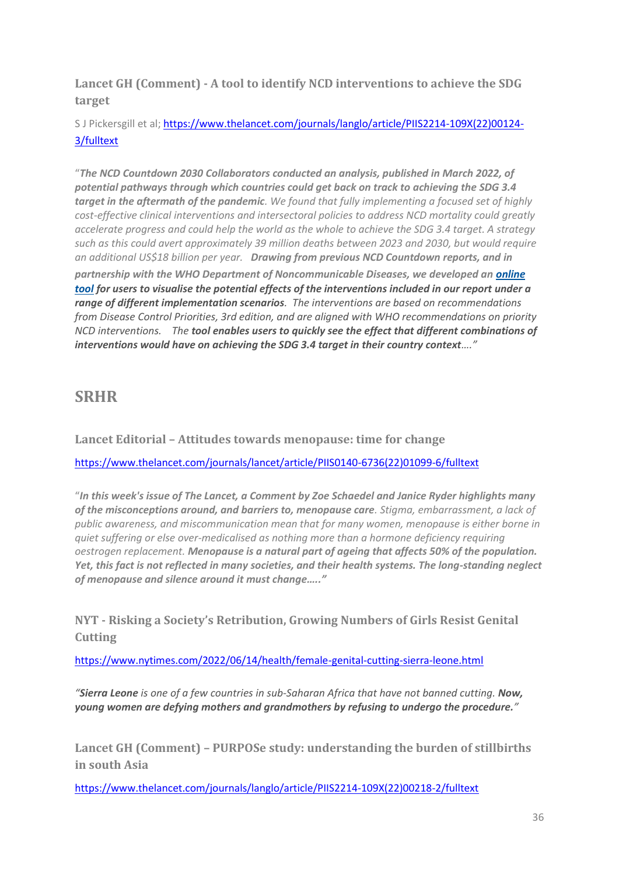**Lancet GH (Comment) - A tool to identify NCD interventions to achieve the SDG target**

S J Pickersgill et al; [https://www.thelancet.com/journals/langlo/article/PIIS2214-109X\(22\)00124-](https://www.thelancet.com/journals/langlo/article/PIIS2214-109X(22)00124-3/fulltext) [3/fulltext](https://www.thelancet.com/journals/langlo/article/PIIS2214-109X(22)00124-3/fulltext)

"*The NCD Countdown 2030 Collaborators conducted an analysis, published in March 2022, of potential pathways through which countries could get back on track to achieving the SDG 3.4 target in the aftermath of the pandemic. We found that fully implementing a focused set of highly cost-effective clinical interventions and intersectoral policies to address NCD mortality could greatly accelerate progress and could help the world as the whole to achieve the SDG 3.4 target. A strategy such as this could avert approximately 39 million deaths between 2023 and 2030, but would require an additional US\$18 billion per year. Drawing from previous NCD Countdown reports, and in partnership with the WHO Department of Noncommunicable Diseases, we developed an [online](https://dcp-uw.shinyapps.io/NCDC/)  [tool](https://dcp-uw.shinyapps.io/NCDC/) for users to visualise the potential effects of the interventions included in our report under a range of different implementation scenarios. The interventions are based on recommendations from Disease Control Priorities, 3rd edition, and are aligned with WHO recommendations on priority NCD interventions. The tool enables users to quickly see the effect that different combinations of interventions would have on achieving the SDG 3.4 target in their country context…."*

## **SRHR**

**Lancet Editorial – Attitudes towards menopause: time for change**

[https://www.thelancet.com/journals/lancet/article/PIIS0140-6736\(22\)01099-6/fulltext](https://www.thelancet.com/journals/lancet/article/PIIS0140-6736(22)01099-6/fulltext)

"*In this week's issue of The Lancet, a Comment by Zoe Schaedel and Janice Ryder highlights many of the misconceptions around, and barriers to, menopause care. Stigma, embarrassment, a lack of public awareness, and miscommunication mean that for many women, menopause is either borne in quiet suffering or else over-medicalised as nothing more than a hormone deficiency requiring oestrogen replacement. Menopause is a natural part of ageing that affects 50% of the population. Yet, this fact is not reflected in many societies, and their health systems. The long-standing neglect of menopause and silence around it must change….."*

**NYT - Risking a Society's Retri[bution, Growing Numbers of Girls Resist Genital](https://www.nytimes.com/2022/06/14/health/female-genital-cutting-sierra-leone.html)  [Cutting](https://www.nytimes.com/2022/06/14/health/female-genital-cutting-sierra-leone.html)**

<https://www.nytimes.com/2022/06/14/health/female-genital-cutting-sierra-leone.html>

*"Sierra Leone is one of a few countries in sub-Saharan Africa that have not banned cutting. Now, young women are defying mothers and grandmothers by refusing to undergo the procedure."*

**Lancet GH (Comment) – PURPOSe study: understanding the burden of stillbirths in south Asia**

[https://www.thelancet.com/journals/langlo/article/PIIS2214-109X\(22\)00218-2/fulltext](https://www.thelancet.com/journals/langlo/article/PIIS2214-109X(22)00218-2/fulltext)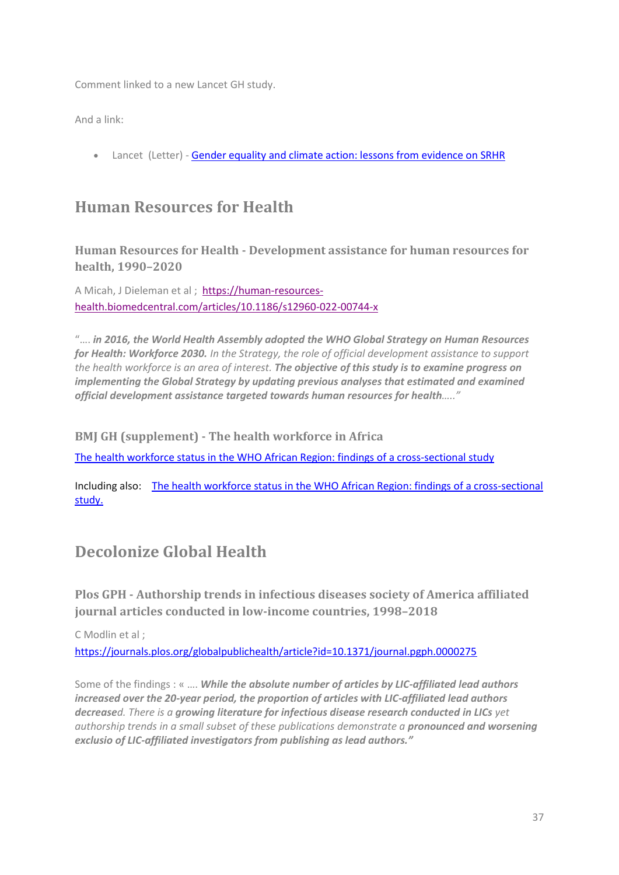Comment linked to a new Lancet GH study.

And a link:

• Lancet (Letter) - [Gender equality and climate action: lessons from evidence on SRHR](https://www.thelancet.com/journals/lancet/article/PIIS0140-6736(22)00951-5/fulltext)

## **Human Resources for Health**

**Human Resources for Health - Development assistance for human resources for health, 1990–2020**

A Micah, J Dieleman et al ; [https://human-resources](https://human-resources-health.biomedcentral.com/articles/10.1186/s12960-022-00744-x)[health.biomedcentral.com/articles/10.1186/s12960-022-00744-x](https://human-resources-health.biomedcentral.com/articles/10.1186/s12960-022-00744-x)

"…. *in 2016, the World Health Assembly adopted the WHO Global Strategy on Human Resources for Health: Workforce 2030. In the Strategy, the role of official development assistance to support the health workforce is an area of interest. The objective of this study is to examine progress on implementing the Global Strategy by updating previous analyses that estimated and examined official development assistance targeted towards human resources for health….."*

**BMJ GH (supplement) - The health workforce in Africa**

[The health workforce status in the WHO African Region: findings of a cross-sectional](https://gh.bmj.com/content/7/Suppl_1) study

Including also: [The health workforce status in the WHO African Region: findings of a cross-sectional](https://gh.bmj.com/content/7/Suppl_1/e008317)  [study.](https://gh.bmj.com/content/7/Suppl_1/e008317)

## **Decolonize Global Health**

**Plos GPH - Authorship trends in infectious diseases society of America affiliated journal articles conducted in low-income countries, 1998–2018**

C Modlin et al ;

<https://journals.plos.org/globalpublichealth/article?id=10.1371/journal.pgph.0000275>

Some of the findings : « …. *While the absolute number of articles by LIC-affiliated lead authors increased over the 20-year period, the proportion of articles with LIC-affiliated lead authors decreased. There is a growing literature for infectious disease research conducted in LICs yet authorship trends in a small subset of these publications demonstrate a pronounced and worsening exclusio of LIC-affiliated investigators from publishing as lead authors."*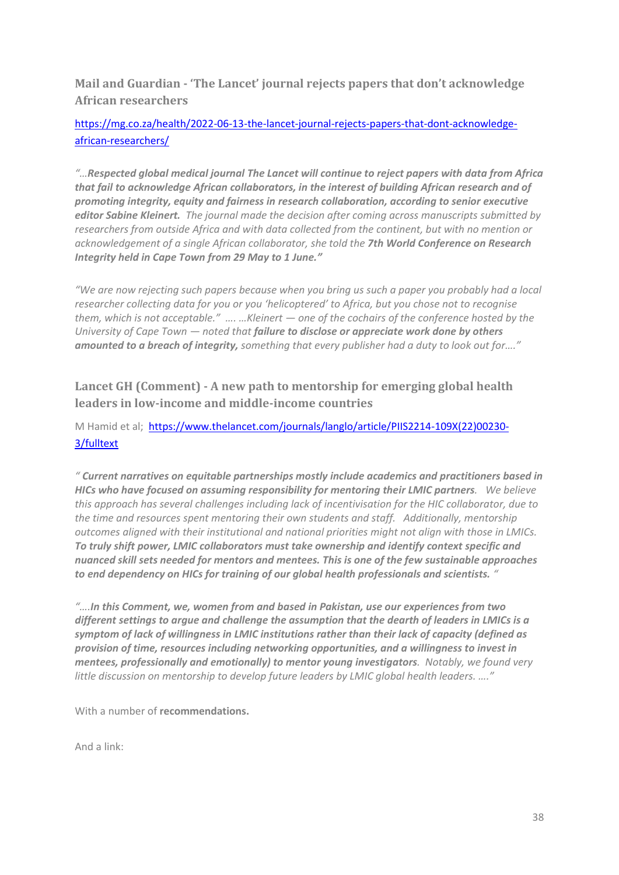**Mail and Guardian - 'The Lancet' journal rejects papers that don't acknowledge African researchers**

### [https://mg.co.za/health/2022-06-13-the-lancet-journal-rejects-papers-that-dont-acknowledge](https://mg.co.za/health/2022-06-13-the-lancet-journal-rejects-papers-that-dont-acknowledge-african-researchers/)[african-researchers/](https://mg.co.za/health/2022-06-13-the-lancet-journal-rejects-papers-that-dont-acknowledge-african-researchers/)

*"…Respected global medical journal The Lancet will continue to reject papers with data from Africa that fail to acknowledge African collaborators, in the interest of building African research and of promoting integrity, equity and fairness in research collaboration, according to senior executive editor Sabine Kleinert. The journal made the decision after coming across manuscripts submitted by researchers from outside Africa and with data collected from the continent, but with no mention or acknowledgement of a single African collaborator, she told the 7th World Conference on Research Integrity held in Cape Town from 29 May to 1 June."*

*"We are now rejecting such papers because when you bring us such a paper you probably had a local researcher collecting data for you or you 'helicoptered' to Africa, but you chose not to recognise them, which is not acceptable." …. …Kleinert — one of the cochairs of the conference hosted by the University of Cape Town — noted that failure to disclose or appreciate work done by others amounted to a breach of integrity, something that every publisher had a duty to look out for…."*

### **Lancet GH (Comment) - A new path to mentorship for emerging global health leaders in low-income and middle-income countries**

### M Hamid et al; [https://www.thelancet.com/journals/langlo/article/PIIS2214-109X\(22\)00230-](https://www.thelancet.com/journals/langlo/article/PIIS2214-109X(22)00230-3/fulltext) [3/fulltext](https://www.thelancet.com/journals/langlo/article/PIIS2214-109X(22)00230-3/fulltext)

*" Current narratives on equitable partnerships mostly include academics and practitioners based in HICs who have focused on assuming responsibility for mentoring their LMIC partners. We believe this approach has several challenges including lack of incentivisation for the HIC collaborator, due to the time and resources spent mentoring their own students and staff. Additionally, mentorship outcomes aligned with their institutional and national priorities might not align with those in LMICs. To truly shift power, LMIC collaborators must take ownership and identify context specific and nuanced skill sets needed for mentors and mentees. This is one of the few sustainable approaches to end dependency on HICs for training of our global health professionals and scientists. "*

*"….In this Comment, we, women from and based in Pakistan, use our experiences from two different settings to argue and challenge the assumption that the dearth of leaders in LMICs is a symptom of lack of willingness in LMIC institutions rather than their lack of capacity (defined as provision of time, resources including networking opportunities, and a willingness to invest in mentees, professionally and emotionally) to mentor young investigators. Notably, we found very little discussion on mentorship to develop future leaders by LMIC global health leaders. …."*

With a number of **recommendations.**

And a link: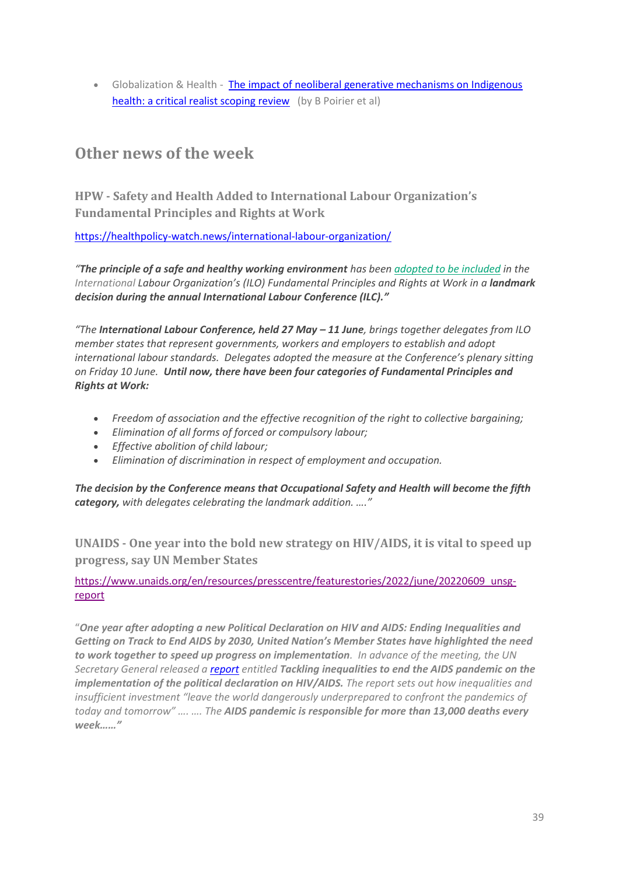• Globalization & Health - [The impact of neoliberal generative mechanisms on Indigenous](https://globalizationandhealth.biomedcentral.com/articles/10.1186/s12992-022-00852-2)  [health: a critical realist scoping review](https://globalizationandhealth.biomedcentral.com/articles/10.1186/s12992-022-00852-2) (by B Poirier et al)

## **Other news of the week**

**HPW - Safety and Health Added to International Labour Organization's Fundamental Principles and Rights at Work**

<https://healthpolicy-watch.news/international-labour-organization/>

*"The principle of a safe and healthy working environment has been [adopted to be included](https://www.ilo.org/global/about-the-ilo/newsroom/news/WCMS_848132/lang--en/index.htm) in the International Labour Organization's (ILO) Fundamental Principles and Rights at Work in a <i>landmark decision during the annual International Labour Conference (ILC)."*

*"The International Labour Conference, held 27 May – 11 June, brings together delegates from ILO member states that represent governments, workers and employers to establish and adopt international labour standards. Delegates adopted the measure at the Conference's plenary sitting on Friday 10 June. Until now, there have been four categories of Fundamental Principles and Rights at Work:*

- *Freedom of association and the effective recognition of the right to collective bargaining;*
- *Elimination of all forms of forced or compulsory labour;*
- *Effective abolition of child labour;*
- *Elimination of discrimination in respect of employment and occupation.*

*The decision by the Conference means that Occupational Safety and Health will become the fifth category, with delegates celebrating the landmark addition. …."*

**UNAIDS - One year into the bold new strategy on HIV/AIDS, it is vital to speed up progress, say UN Member States**

[https://www.unaids.org/en/resources/presscentre/featurestories/2022/june/20220609\\_unsg](https://www.unaids.org/en/resources/presscentre/featurestories/2022/june/20220609_unsg-report)[report](https://www.unaids.org/en/resources/presscentre/featurestories/2022/june/20220609_unsg-report)

"*One year after adopting a new Political Declaration on HIV and AIDS: Ending Inequalities and Getting on Track to End AIDS by 2030, United Nation's Member States have highlighted the need to work together to speed up progress on implementation. In advance of the meeting, the UN Secretary General released a [report](https://www.unaids.org/en/resources/documents/2022/2022-un-sg-report) entitled [Tackling inequalities to end the AIDS pandemic](https://www.unaids.org/en/resources/documents/2022/2022-un-sg-report) on the implementation of the political declaration on HIV/AIDS. The report sets out how inequalities and insufficient investment "leave the world dangerously underprepared to confront the pandemics of today and tomorrow" …. …. The AIDS pandemic is responsible for more than 13,000 deaths every week……"*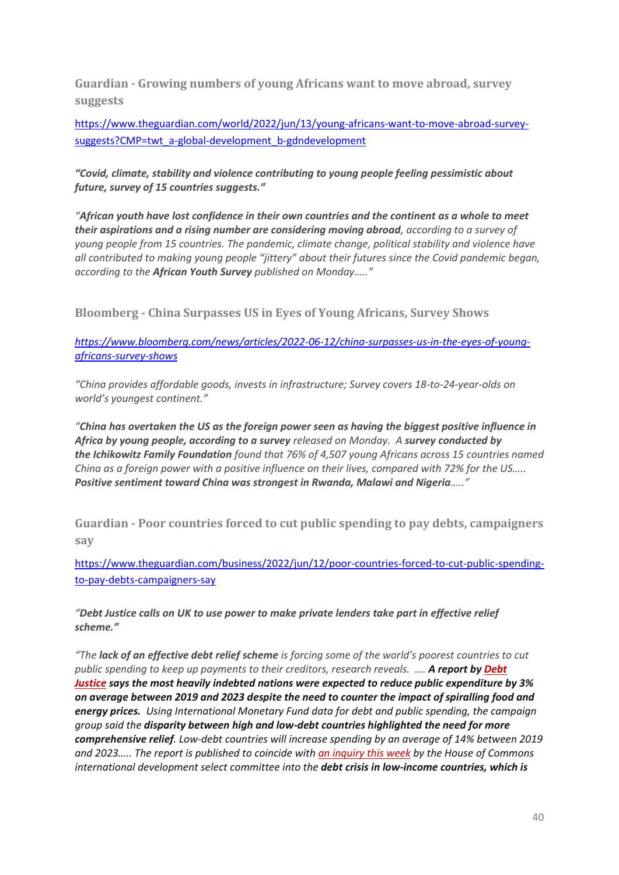**Guardian - Growing numbers of young Africans want to move abroad, survey suggests**

[https://www.theguardian.com/world/2022/jun/13/young-africans-want-to-move-abroad-survey](https://www.theguardian.com/world/2022/jun/13/young-africans-want-to-move-abroad-survey-suggests?CMP=twt_a-global-development_b-gdndevelopment)[suggests?CMP=twt\\_a-global-development\\_b-gdndevelopment](https://www.theguardian.com/world/2022/jun/13/young-africans-want-to-move-abroad-survey-suggests?CMP=twt_a-global-development_b-gdndevelopment)

*"Covid, climate, stability and violence contributing to young people feeling pessimistic about future, survey of 15 countries suggests."*

*"African youth have lost confidence in their own countries and the continent as a whole to meet their aspirations and a rising number are considering moving abroad, according to a survey of young people from 15 countries. The pandemic, climate change, political stability and violence have all contributed to making young people "jittery" about their futures since the Covid pandemic began, according to the African Youth Survey published on Monday….."*

**Bloomberg - China Surpasses US in Eyes of Young Africans, Survey Shows**

*[https://www.bloomberg.com/news/articles/2022-06-12/china-surpasses-us-in-the-eyes-of-young](https://www.bloomberg.com/news/articles/2022-06-12/china-surpasses-us-in-the-eyes-of-young-africans-survey-shows)[africans-survey-shows](https://www.bloomberg.com/news/articles/2022-06-12/china-surpasses-us-in-the-eyes-of-young-africans-survey-shows)*

*"China provides affordable goods, invests in infrastructure; Survey covers 18-to-24-year-olds on world's youngest continent."*

*"[China](https://www.bloomberg.com/quote/PRCH:CH) has overtaken the US as the foreign power seen as having the biggest positive influence in Africa by young people, according to a survey released on Monday. A survey conducted by the [Ichikowitz Family Foundation](https://ichikowitzfoundation.com/) found that 76% of 4,507 young Africans across 15 countries named China as a foreign power with a positive influence on their lives, compared with 72% for the US….. Positive sentiment toward China was strongest in Rwanda, Malawi and Nigeria….."*

**Guardian - Poor countries forced to cut public spending to pay debts, campaigners say**

[https://www.theguardian.com/business/2022/jun/12/poor-countries-forced-to-cut-public-spending](https://www.theguardian.com/business/2022/jun/12/poor-countries-forced-to-cut-public-spending-to-pay-debts-campaigners-say)[to-pay-debts-campaigners-say](https://www.theguardian.com/business/2022/jun/12/poor-countries-forced-to-cut-public-spending-to-pay-debts-campaigners-say)

*"Debt Justice calls on UK to use power to make private lenders take part in effective relief scheme."*

*"The lack of an effective debt relief scheme is forcing some of the world's poorest countries to cut public spending to keep up payments to their creditors, research reveals. …. A report by [Debt](https://www.theguardian.com/business/2022/jan/23/fears-grow-that-us-action-on-inflation-will-trigger-debt-crisis) [Justice](https://www.theguardian.com/business/2022/jan/23/fears-grow-that-us-action-on-inflation-will-trigger-debt-crisis) says the most heavily indebted nations were expected to reduce public expenditure by 3% on average between 2019 and 2023 despite the need to counter the impact of spiralling food and energy prices. Using International Monetary Fund data for debt and public spending, the campaign group said the disparity between high and low-debt countries highlighted the need for more comprehensive relief. Low-debt countries will increase spending by an average of 14% between 2019 and 2023….. The report is published to coincide with an [inquiry](https://committees.parliament.uk/committee/98/international-development-committee/news/171343/mps-probe-debt-crisis-in-lowincome-nations/) this week by the House of Commons international development select committee into the debt crisis in low-income countries, which is*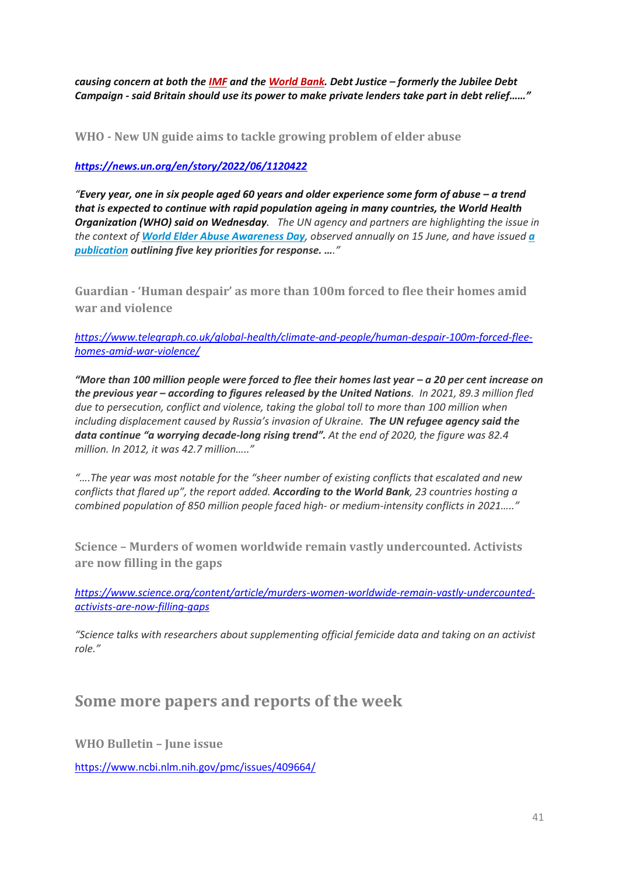*causing concern at both the [IMF](https://blogs.imf.org/2021/12/02/the-g20-common-framework-for-debt-treatments-must-be-stepped-up/) and the [World](https://blogs.worldbank.org/voices/are-we-ready-coming-spate-debt-crises) Bank. Debt Justice – formerly the Jubilee Debt Campaign - said Britain should use its power to make private lenders take part in debt relief……"* 

**WHO - New UN guide aims to tackle growing problem of elder abuse**

*<https://news.un.org/en/story/2022/06/1120422>*

*"*Every year, one in six people aged 60 years and older experience some form of abuse – a trend *that is expected to continue with rapid population ageing in many countries, the World Health Organization (WHO) said on Wednesday. The UN agency and partners are highlighting the issue in the context of [World Elder Abuse Awareness Day](https://www.un.org/development/desa/ageing/world-elder-abuse-awareness-day/2022-2.html), observed annually on 15 June, and have issued [a](https://apps.who.int/iris/handle/10665/356151)  [publication](https://apps.who.int/iris/handle/10665/356151) outlining five key priorities for response. …."*

**Guardian - 'Human despair' as more than 100m forced to flee their homes amid war and violence**

*[https://www.telegraph.co.uk/global-health/climate-and-people/human-despair-100m-forced-flee](https://www.telegraph.co.uk/global-health/climate-and-people/human-despair-100m-forced-flee-homes-amid-war-violence/)[homes-amid-war-violence/](https://www.telegraph.co.uk/global-health/climate-and-people/human-despair-100m-forced-flee-homes-amid-war-violence/)*

*"More than 100 million people were forced to flee their homes last year – a 20 per cent increase on the previous year – according to figures released by the United Nations. In 2021, 89.3 million fled due to persecution, conflict and violence, taking the global toll to more than 100 million when including displacement caused by Russia's invasion of Ukraine. The UN refugee agency said the data continue "a worrying decade-long rising trend". At the end of 2020, the figure was 82.4 million. In 2012, it was 42.7 million….."*

*"….The year was most notable for the "sheer number of existing conflicts that escalated and new conflicts that flared up", the report added. According to the World Bank, 23 countries hosting a combined population of 850 million people faced high- or medium-intensity conflicts in 2021….."*

**Science – Murders of women worldwide remain vastly undercounted. Activists are now filling in the gaps**

*[https://www.science.org/content/article/murders-women-worldwide-remain-vastly-undercounted](https://www.science.org/content/article/murders-women-worldwide-remain-vastly-undercounted-activists-are-now-filling-gaps)[activists-are-now-filling-gaps](https://www.science.org/content/article/murders-women-worldwide-remain-vastly-undercounted-activists-are-now-filling-gaps)*

*"Science talks with researchers about supplementing official femicide data and taking on an activist role."*

### **Some more papers and reports of the week**

**WHO Bulletin – June issue** 

<https://www.ncbi.nlm.nih.gov/pmc/issues/409664/>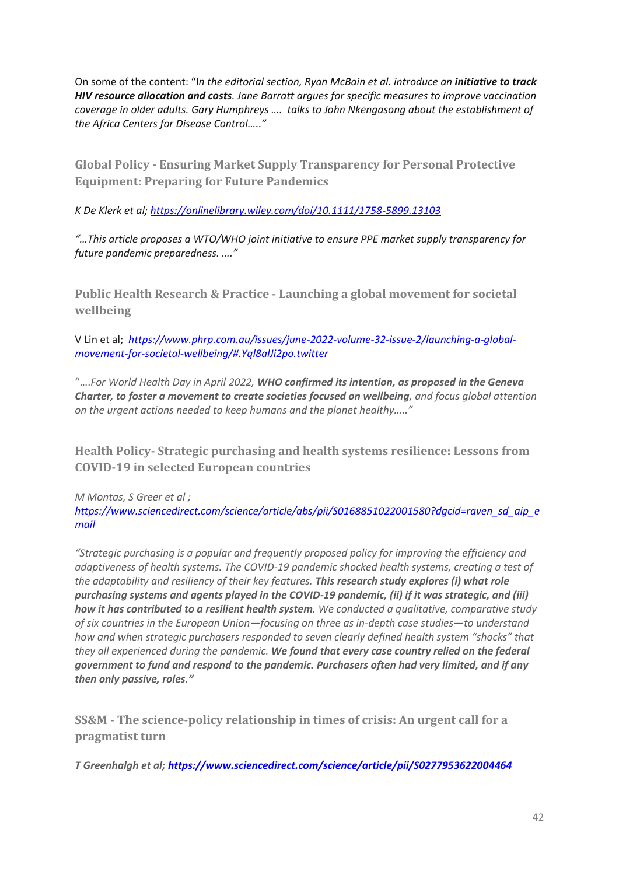On some of the content: "I*n the editorial section, Ryan McBain et al. introduce an initiative to track HIV resource allocation and costs. Jane Barratt argues for specific measures to improve vaccination coverage in older adults. Gary Humphreys …. talks to John Nkengasong about the establishment of the Africa Centers for Disease Control….."*

**Global Policy - Ensuring Market Supply Transparency for Personal Protective Equipment: Preparing for Future Pandemics**

*K De Klerk et al[; https://onlinelibrary.wiley.com/doi/10.1111/1758-5899.13103](https://onlinelibrary.wiley.com/doi/10.1111/1758-5899.13103)*

*"…This article proposes a WTO/WHO joint initiative to ensure PPE market supply transparency for future pandemic preparedness. …."*

**Public Health Research & Practice - Launching a global movement for societal wellbeing**

V Lin et al; *[https://www.phrp.com.au/issues/june-2022-volume-32-issue-2/launching-a-global](https://www.phrp.com.au/issues/june-2022-volume-32-issue-2/launching-a-global-movement-for-societal-wellbeing/#.Yql8alJi2po.twitter)[movement-for-societal-wellbeing/#.Yql8alJi2po.twitter](https://www.phrp.com.au/issues/june-2022-volume-32-issue-2/launching-a-global-movement-for-societal-wellbeing/#.Yql8alJi2po.twitter)*

"….*For World Health Day in April 2022, WHO confirmed its intention, as proposed in the Geneva Charter, to foster a movement to create societies focused on wellbeing, and focus global attention on the urgent actions needed to keep humans and the planet healthy….."*

**Health Policy- Strategic purchasing and health systems resilience: Lessons from COVID-19 in selected European countries**

*M Montas, S Greer et al ; [https://www.sciencedirect.com/science/article/abs/pii/S0168851022001580?dgcid=raven\\_sd\\_aip\\_e](https://www.sciencedirect.com/science/article/abs/pii/S0168851022001580?dgcid=raven_sd_aip_email) [mail](https://www.sciencedirect.com/science/article/abs/pii/S0168851022001580?dgcid=raven_sd_aip_email)*

*"Strategic purchasing is a popular and frequently proposed policy for improving the efficiency and adaptiveness of health systems. The COVID-19 pandemic shocked health systems, creating a test of the adaptability and resiliency of their key features. This research study explores (i) what role purchasing systems and agents played in the COVID-19 pandemic, (ii) if it was strategic, and (iii) how it has contributed to a resilient health system. We conducted a qualitative, comparative study of six countries in the European Union—focusing on three as in-depth case studies—to understand how and when strategic purchasers responded to seven clearly defined health system "shocks" that they all experienced during the pandemic. We found that every case country relied on the federal government to fund and respond to the pandemic. Purchasers often had very limited, and if any then only passive, roles."*

**SS&M - The science-policy relationship in times of crisis: An urgent call for a pragmatist turn**

*T Greenhalgh et al[; https://www.sciencedirect.com/science/article/pii/S0277953622004464](https://www.sciencedirect.com/science/article/pii/S0277953622004464)*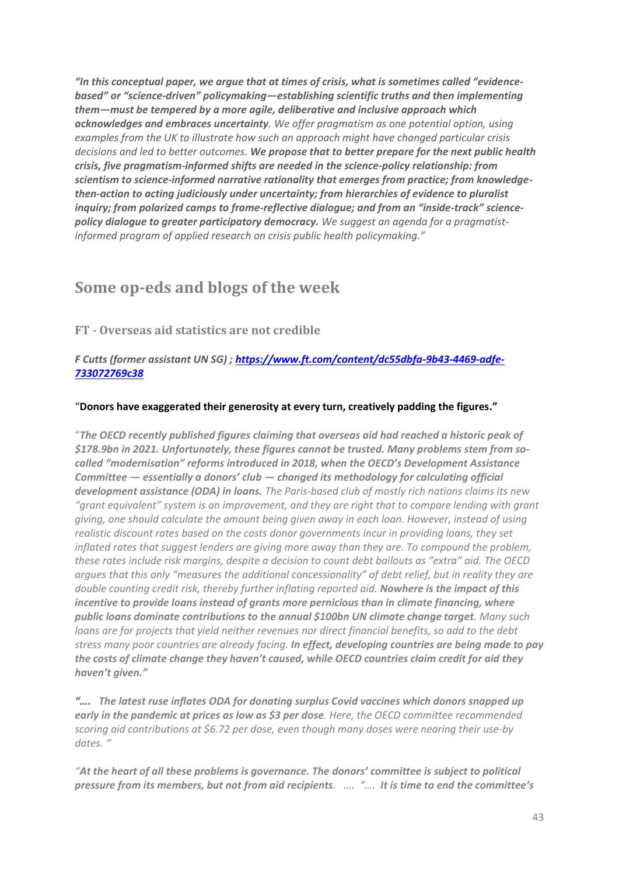*"In this conceptual paper, we argue that at times of crisis, what is sometimes called "evidencebased" or "science-driven" policymaking—establishing scientific truths and then implementing them—must be tempered by a more agile, deliberative and inclusive approach which acknowledges and embraces uncertainty. We offer pragmatism as one potential option, using examples from the UK to illustrate how such an approach might have changed particular crisis decisions and led to better outcomes. We propose that to better prepare for the next public health crisis, five pragmatism-informed shifts are needed in the science-policy relationship: from scientism to science-informed narrative rationality that emerges from practice; from knowledgethen-action to acting judiciously under uncertainty; from hierarchies of evidence to pluralist inquiry; from polarized camps to frame-reflective dialogue; and from an "inside-track" sciencepolicy dialogue to greater participatory democracy. We suggest an agenda for a pragmatistinformed program of applied research on crisis public health policymaking."*

### **Some op-eds and blogs of the week**

**FT - Overseas aid statistics are not credible**

*F Cutts (former assistant UN SG) ; [https://www.ft.com/content/dc55dbfa-9b43-4469-adfe-](https://www.ft.com/content/dc55dbfa-9b43-4469-adfe-733072769c38)[733072769c38](https://www.ft.com/content/dc55dbfa-9b43-4469-adfe-733072769c38)*

#### "**Donors have exaggerated their generosity at every turn, creatively padding the figures."**

"*The OECD recently published figures claiming that overseas aid had reached a historic peak of \$178.9bn in 2021. Unfortunately, these figures cannot be trusted. Many problems stem from socalled "modernisation" reforms introduced in 2018, when the OECD's Development Assistance Committee — essentially a donors' club — changed its methodology for calculating official development assistance (ODA) in loans. The Paris-based club of mostly rich nations claims its new "grant equivalent" system is an improvement, and they are right that to compare lending with grant giving, one should calculate the amount being given away in each loan. However, instead of using realistic discount rates based on the costs donor governments incur in providing loans, they set inflated rates that suggest lenders are giving more away than they are. To compound the problem, these rates include risk margins, despite a decision to count debt bailouts as "extra" aid. The OECD argues that this only "measures the additional concessionality" of debt relief, but in reality they are double counting credit risk, thereby further inflating reported aid. Nowhere is the impact of this incentive to provide loans instead of grants more pernicious than in climate financing, where public loans dominate contributions to the annual \$100bn UN climate change target. Many such loans are for projects that yield neither revenues nor direct financial benefits, so add to the debt stress many poor countries are already facing. In effect, developing countries are being made to pay the costs of climate change they haven't caused, while OECD countries claim credit for aid they haven't given."*

*"…. The latest ruse inflates ODA for donating surplus Covid vaccines which donors snapped up early in the pandemic at prices as low as \$3 per dose. Here, the OECD committee recommended scoring aid contributions at \$6.72 per dose, even though many doses were nearing their use-by dates. "*

*"At the heart of all these problems is governance. The donors' committee is subject to political pressure from its members, but not from aid recipients. …. "…. It is time to end the committee's*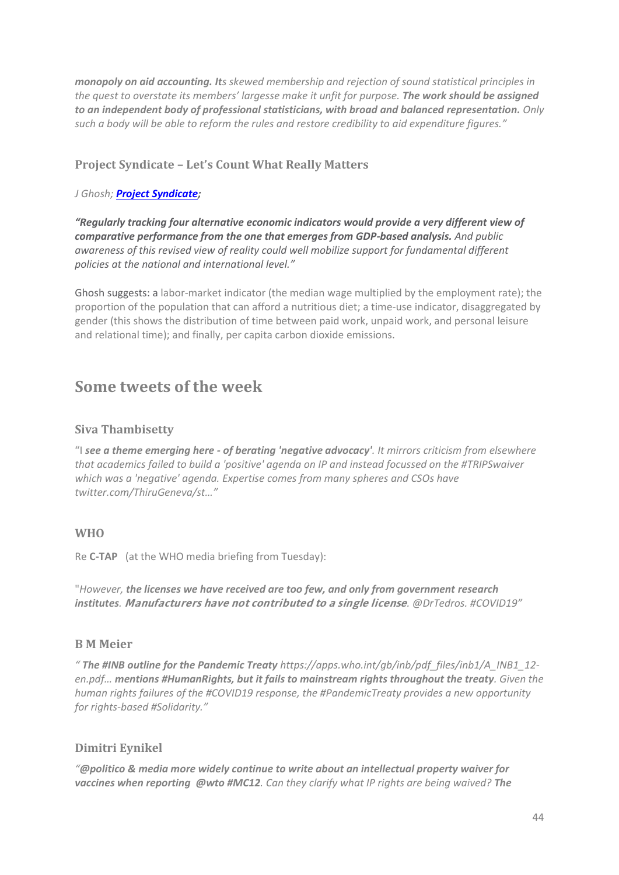*monopoly on aid accounting. Its skewed membership and rejection of sound statistical principles in the quest to overstate its members' largesse make it unfit for purpose. The work should be assigned to an independent body of professional statisticians, with broad and balanced representation. Only such a body will be able to reform the rules and restore credibility to aid expenditure figures."*

### **Project Syndicate – Let's Count What Really Matters**

#### *J Ghosh; [Project Syndicate;](https://www.project-syndicate.org/commentary/gdp-limitations-four-alternative-economic-indicators-by-jayati-ghosh-2022-06?utm_source=twitter&utm_medium=organic-social&utm_campaign=page-posts-june22&utm_post-type=link&utm_format=16%3A9&utm_creative=link-image&utm_post-date=2022-06-16)*

*"Regularly tracking four alternative economic indicators would provide a very different view of comparative performance from the one that emerges from GDP-based analysis. And public awareness of this revised view of reality could well mobilize support for fundamental different policies at the national and international level."*

Ghosh suggests: a labor-market indicator (the median wage multiplied by the employment rate); the proportion of the population that can afford a nutritious diet; a time-use indicator, disaggregated by gender (this shows the distribution of time between paid work, unpaid work, and personal leisure and relational time); and finally, per capita carbon dioxide emissions.

### **Some tweets of the week**

### **Siva Thambisetty**

"I *see a theme emerging here - of berating 'negative advocacy'. It mirrors criticism from elsewhere that academics failed to build a 'positive' agenda on IP and instead focussed on the #TRIPSwaiver which was a 'negative' agenda. Expertise comes from many spheres and CSOs have twitter.com/ThiruGeneva/st…"*

#### **WHO**

Re **C-TAP** (at the WHO media briefing from Tuesday):

"*However, the licenses we have received are too few, and only from government research institutes. Manufacturers have not contributed to a single license.* @DrTedros. [#COVID19](https://twitter.com/hashtag/COVID19?src=hashtag_click)"

#### **B M Meier**

*" The [#INB](https://twitter.com/hashtag/INB?src=hashtag_click) outline for the Pandemic Treaty [https://apps.who.int/gb/inb/pdf\\_files/inb1/A\\_INB1\\_12](https://t.co/mL5RSOgLcz) [en.pdf](https://t.co/mL5RSOgLcz)… mention[s #HumanRights,](https://twitter.com/hashtag/HumanRights?src=hashtag_click) but it fails to mainstream rights throughout the treaty. Given the human rights failures of the [#COVID19](https://twitter.com/hashtag/COVID19?src=hashtag_click) response, the [#PandemicTreaty](https://twitter.com/hashtag/PandemicTreaty?src=hashtag_click) provides a new opportunity for rights-based [#Solidarity.](https://twitter.com/hashtag/Solidarity?src=hashtag_click)"*

### **Dimitri Eynikel**

*"[@politico](https://twitter.com/politico) & media more widely continue to write about an intellectual property waiver for vaccines when reporting [@wto](https://twitter.com/wto) [#MC12](https://twitter.com/hashtag/MC12?src=hashtag_click). Can they clarify what IP rights are being waived? The*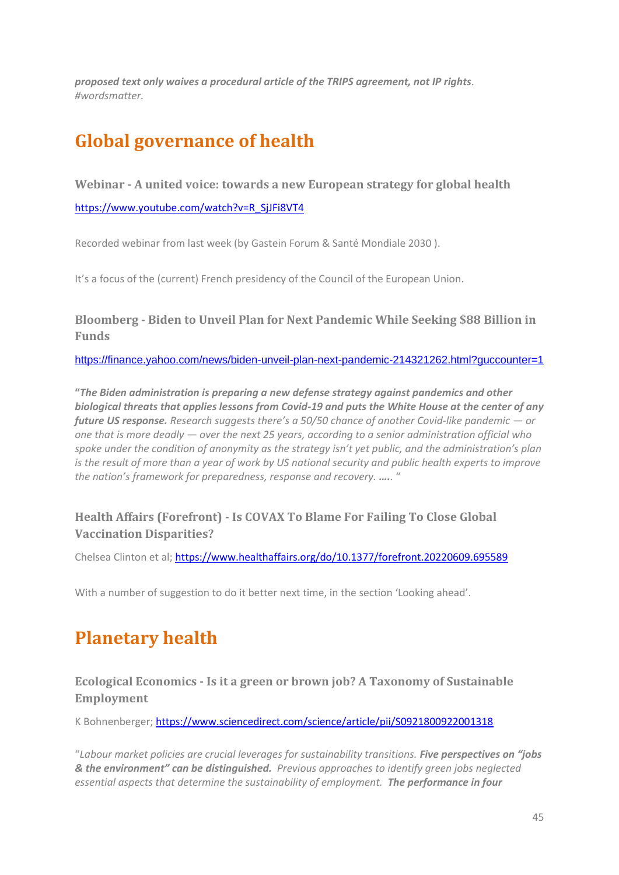*proposed text only waives a procedural article of the TRIPS agreement, not IP rights. [#wordsmatter.](https://twitter.com/hashtag/wordsmatter?src=hashtag_click)*

# **Global governance of health**

#### **Webinar - A united voice: towards a new European strategy for global health**

[https://www.youtube.com/watch?v=R\\_SjJFi8VT4](https://www.youtube.com/watch?v=R_SjJFi8VT4)

Recorded webinar from last week (by Gastein Forum & Santé Mondiale 2030 ).

It's a focus of the (current) French presidency of the Council of the European Union.

### **Bloomberg - [Biden to Unveil Plan for Next Pandemic While Seeking \\$88 Billion in](https://r20.rs6.net/tn.jsp?f=001l0UpsOYPn7yOP58Ie6qMM7UlR2Syom9A7iCPCJ22CygTN068HbZ8IcSu6IVQ8Lgdl5fTIIf_dQ4FDsSDrsFGQUxWKTKYszi6weVdtq_ep5cLYU5s8Nh_Fi8YHKOcwYpv0RDfA1k2ne4mZPfkDRNWBqHFjULQtgJlZy1i-zejKVDw41IY5Qiwl1wW_27HDbl9n2e6uyc9az38bAAq1OoNXrAP0nOvP4ak&c=NB0ybq2S_wre1KyA5abnVxhO9kb8bAIrKcqKhAhjbMU07Db04ICN2Q==&ch=ld7iue-1bMzjL-01zxzqAgJ9Xunfhv9qjCUKRJD-KcG3rtD3UeEzUg==)  [Funds](https://r20.rs6.net/tn.jsp?f=001l0UpsOYPn7yOP58Ie6qMM7UlR2Syom9A7iCPCJ22CygTN068HbZ8IcSu6IVQ8Lgdl5fTIIf_dQ4FDsSDrsFGQUxWKTKYszi6weVdtq_ep5cLYU5s8Nh_Fi8YHKOcwYpv0RDfA1k2ne4mZPfkDRNWBqHFjULQtgJlZy1i-zejKVDw41IY5Qiwl1wW_27HDbl9n2e6uyc9az38bAAq1OoNXrAP0nOvP4ak&c=NB0ybq2S_wre1KyA5abnVxhO9kb8bAIrKcqKhAhjbMU07Db04ICN2Q==&ch=ld7iue-1bMzjL-01zxzqAgJ9Xunfhv9qjCUKRJD-KcG3rtD3UeEzUg==)**

<https://finance.yahoo.com/news/biden-unveil-plan-next-pandemic-214321262.html?guccounter=1>

**"***The Biden administration is preparing a new defense strategy against pandemics and other biological threats that applies lessons from Covid-19 and puts the White House at the center of any future US response. Research suggests there's a 50/50 chance of another Covid-like pandemic — or one that is more deadly — over the next 25 years, according to a senior administration official who spoke under the condition of anonymity as the strategy isn't yet public, and the administration's plan is the result of more than a year of work by US national security and public health experts to improve the nation's framework for preparedness, response and recovery. …..* "

### **Health Affairs (Forefront) - Is COVAX To Blame For Failing To Close Global Vaccination Disparities?**

Chelsea Clinton et al[; https://www.healthaffairs.org/do/10.1377/forefront.20220609.695589](https://www.healthaffairs.org/do/10.1377/forefront.20220609.695589)

With a number of suggestion to do it better next time, in the section 'Looking ahead'.

# **Planetary health**

**Ecological Economics - Is it a green or brown job? A Taxonomy of Sustainable Employment**

K Bohnenberger;<https://www.sciencedirect.com/science/article/pii/S0921800922001318>

"*Labour market policies are crucial leverages for sustainability transitions. Five perspectives on "jobs & the environment" can be distinguished. Previous approaches to identify green jobs neglected essential aspects that determine the sustainability of employment. The performance in four*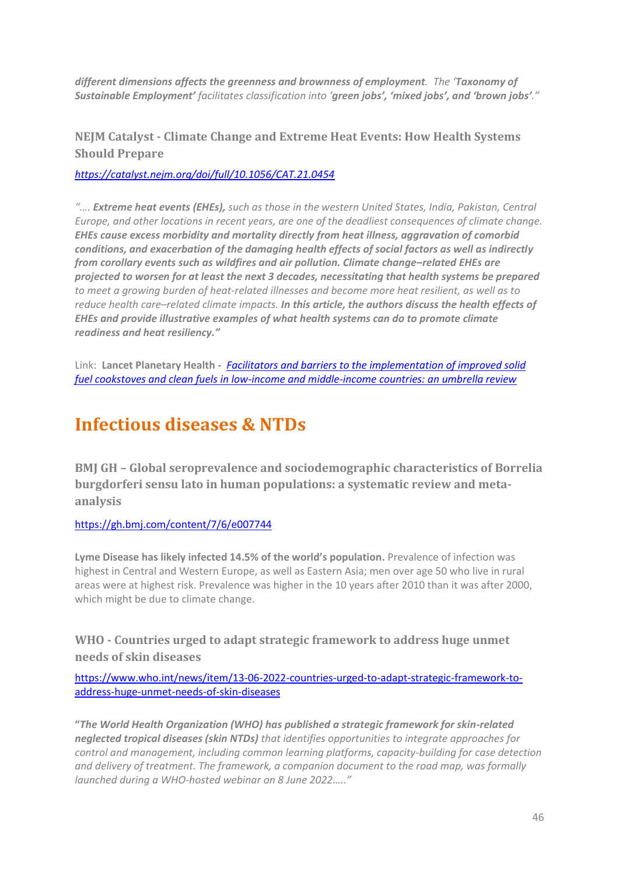*different dimensions affects the greenness and brownness of employment. The 'Taxonomy of Sustainable Employment' facilitates classification into 'green jobs', 'mixed jobs', and 'brown jobs'."*

### **NEJM Catalyst - Climate Change and Extreme Heat Events: How Health Systems Should Prepare**

*<https://catalyst.nejm.org/doi/full/10.1056/CAT.21.0454>*

*"…. Extreme heat events (EHEs), such as those in the western United States, India, Pakistan, Central Europe, and other locations in recent years, are one of the deadliest consequences of climate change. EHEs cause excess morbidity and mortality directly from heat illness, aggravation of comorbid conditions, and exacerbation of the damaging health effects of social factors as well as indirectly from corollary events such as wildfires and air pollution. Climate change–related EHEs are projected to worsen for at least the next 3 decades, necessitating that health systems be prepared to meet a growing burden of heat-related illnesses and become more heat resilient, as well as to reduce health care–related climate impacts. In this article, the authors discuss the health effects of EHEs and provide illustrative examples of what health systems can do to promote climate readiness and heat resiliency."*

Link: **Lancet Planetary Health -** *[Facilitators and barriers to the implementation of improved solid](https://www.thelancet.com/journals/lanplh/article/PIIS2542-5196(22)00094-8/fulltext)  [fuel cookstoves and clean fuels in low-income and middle-income countries: an umbrella review](https://www.thelancet.com/journals/lanplh/article/PIIS2542-5196(22)00094-8/fulltext)*

# **Infectious diseases & NTDs**

**BMJ GH – Global seroprevalence and sociodemographic characteristics of Borrelia burgdorferi sensu lato in human populations: a systematic review and metaanalysis**

### <https://gh.bmj.com/content/7/6/e007744>

**Lyme Disease has likely infected 14.5% of the world's population.** Prevalence of infection was highest in Central and Western Europe, as well as Eastern Asia; men over age 50 who live in rural areas were at highest risk. Prevalence was higher in the 10 years after 2010 than it was after 2000, which might be due to climate change.

### **WHO - Countries urged to adapt strategic framework to address huge unmet needs of skin diseases**

[https://www.who.int/news/item/13-06-2022-countries-urged-to-adapt-strategic-framework-to](https://www.who.int/news/item/13-06-2022-countries-urged-to-adapt-strategic-framework-to-address-huge-unmet-needs-of-skin-diseases)[address-huge-unmet-needs-of-skin-diseases](https://www.who.int/news/item/13-06-2022-countries-urged-to-adapt-strategic-framework-to-address-huge-unmet-needs-of-skin-diseases)

**"***The World Health Organization (WHO) has published a strategic framework for skin-related neglected tropical diseases (skin NTDs) that identifies opportunities to integrate approaches for control and management, including common learning platforms, capacity-building for case detection and delivery of treatment. The framework, a companion document to the road map, was formally launched during a WHO-hosted webinar on 8 June 2022….."*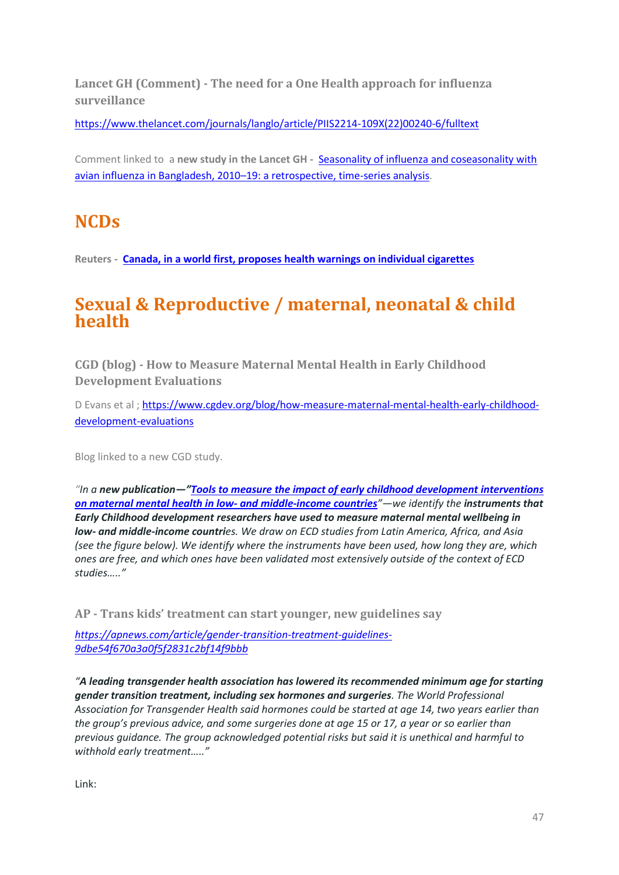**Lancet GH (Comment) - The need for a One Health approach for influenza surveillance**

[https://www.thelancet.com/journals/langlo/article/PIIS2214-109X\(22\)00240-6/fulltext](https://www.thelancet.com/journals/langlo/article/PIIS2214-109X(22)00240-6/fulltext)

Comment linked to a **new study in the Lancet GH -** [Seasonality of influenza and coseasonality with](https://www.thelancet.com/journals/langlo/article/PIIS2214-109X(22)00212-1/fulltext)  avian influenza in Bangladesh, 2010–[19: a retrospective, time-series analysis.](https://www.thelancet.com/journals/langlo/article/PIIS2214-109X(22)00212-1/fulltext)

# **NCDs**

**Reuters - [Canada, in a world first, proposes health warnings on individual cigarettes](https://www.reuters.com/business/healthcare-pharmaceuticals/canada-world-first-proposes-health-warnings-individual-cigarettes-2022-06-10/?taid=62a42863802cad0001f826e4&utm_campaign=trueanthem&utm_medium=trueanthem&utm_source=twitter)** 

# **Sexual & Reproductive / maternal, neonatal & child health**

**CGD (blog) - How to Measure Maternal Mental Health in Early Childhood Development Evaluations**

D Evans et al ; [https://www.cgdev.org/blog/how-measure-maternal-mental-health-early-childhood](https://www.cgdev.org/blog/how-measure-maternal-mental-health-early-childhood-development-evaluations)[development-evaluations](https://www.cgdev.org/blog/how-measure-maternal-mental-health-early-childhood-development-evaluations)

Blog linked to a new CGD study.

*"In a new publication—"[Tools to measure the impact of early childhood development](https://doi.org/10.1016/j.ssmmh.2022.100127) interventions [on maternal mental health in low-](https://doi.org/10.1016/j.ssmmh.2022.100127) and middle-income countries"—we identify the instruments that Early Childhood development researchers have used to measure maternal mental wellbeing in low- and middle-income countries. We draw on ECD studies from Latin America, Africa, and Asia (see the figure below). We identify where the instruments have been used, how long they are, which ones are free, and which ones have been validated most extensively outside of the context of ECD studies….."*

**AP - Trans kids' treatment can start younger, new guidelines say**

*[https://apnews.com/article/gender-transition-treatment-guidelines-](https://apnews.com/article/gender-transition-treatment-guidelines-9dbe54f670a3a0f5f2831c2bf14f9bbb)[9dbe54f670a3a0f5f2831c2bf14f9bbb](https://apnews.com/article/gender-transition-treatment-guidelines-9dbe54f670a3a0f5f2831c2bf14f9bbb)*

*"A leading transgender health association has lowered its recommended minimum age for starting gender transition treatment, including sex hormones and surgeries. The World Professional Association for Transgender Health said hormones could be started at age 14, two years earlier than the group's previous advice, and some surgeries done at age 15 or 17, a year or so earlier than previous guidance. The group acknowledged potential risks but said it is unethical and harmful to withhold early treatment….."*

Link: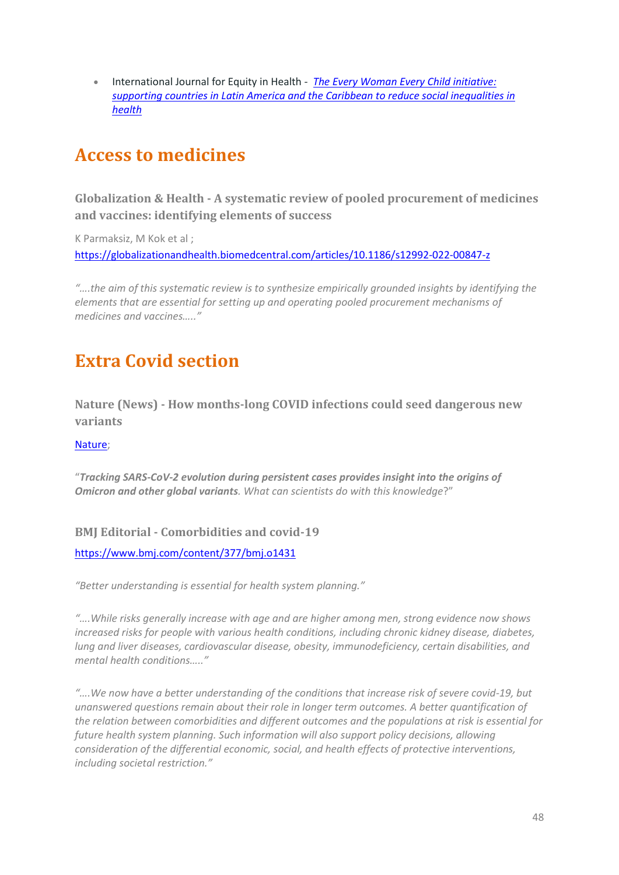• International Journal for Equity in Health - *[The Every Woman Every Child initiative:](https://equityhealthj.biomedcentral.com/articles/10.1186/s12939-022-01682-9)  [supporting countries in Latin America and the Caribbean to reduce social inequalities in](https://equityhealthj.biomedcentral.com/articles/10.1186/s12939-022-01682-9)  [health](https://equityhealthj.biomedcentral.com/articles/10.1186/s12939-022-01682-9)*

# **Access to medicines**

**Globalization & Health - A systematic review of pooled procurement of medicines and vaccines: identifying elements of success**

K Parmaksiz, M Kok et al ; <https://globalizationandhealth.biomedcentral.com/articles/10.1186/s12992-022-00847-z>

*"….the aim of this systematic review is to synthesize empirically grounded insights by identifying the elements that are essential for setting up and operating pooled procurement mechanisms of medicines and vaccines….."*

# **Extra Covid section**

**Nature (News) - How months-long COVID infections could seed dangerous new variants**

#### [Nature;](https://www.nature.com/articles/d41586-022-01613-2?utm_term=Autofeed&utm_campaign=nature&utm_medium=Social&utm_source=Twitter#Echobox=1655286048)

"*Tracking SARS-CoV-2 evolution during persistent cases provides insight into the origins of Omicron and other global variants. What can scientists do with this knowledge*?"

### **BMJ Editorial - Comorbidities and covid-19**

<https://www.bmj.com/content/377/bmj.o1431>

*"Better understanding is essential for health system planning."*

*"….While risks generally increase with age and are higher among men, strong evidence now shows increased risks for people with various health conditions, including chronic kidney disease, diabetes, lung and liver diseases, cardiovascular disease, obesity, immunodeficiency, certain disabilities, and mental health conditions….."*

*"….We now have a better understanding of the conditions that increase risk of severe covid-19, but unanswered questions remain about their role in longer term outcomes. A better quantification of the relation between comorbidities and different outcomes and the populations at risk is essential for future health system planning. Such information will also support policy decisions, allowing consideration of the differential economic, social, and health effects of protective interventions, including societal restriction."*